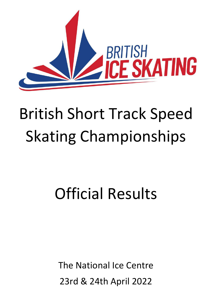

# British Short Track Speed Skating Championships

# Official Results

The National Ice Centre 23rd & 24th April 2022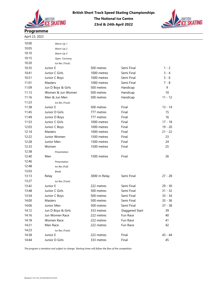



# Programme

April 23, 2022

| 10:00 | Warm Up 1          |              |                        |           |
|-------|--------------------|--------------|------------------------|-----------|
| 10:05 | Warm Up 2          |              |                        |           |
| 10:10 | Warm Up 3          |              |                        |           |
| 10:15 | Open. Cermony      |              |                        |           |
| 10:20 | Ice Res (Track)    |              |                        |           |
| 10:35 | Junior E           | 500 metres   | Semi Final             | 1 - 2     |
| 10:41 | Junior C Girls     | 1000 metres  | Semi Final             | 3 - 4     |
| 10:51 | Junior C Boys      | 1000 metres  | Semi Final             | 5 - 6     |
| 11:01 | Masters            | 1000 metres  | Semi Final             | $7 - 8$   |
| 11:09 | Jun D Boys & Girls | 500 metres   | Handicap               | 9         |
| 11:13 | Women & Jun Women  | 500 metres   | Handicap               | 10        |
| 11:16 | Men & Jun Men      | 500 metres   | Handicap               | $11 - 12$ |
| 11:23 | Ice Res (Track)    |              |                        |           |
| 11:38 | Junior E           | 500 metres   | Final                  | $13 - 14$ |
| 11:45 | Junior D Girls     | 777 metres   | Final                  | 15        |
| 11:49 | Junior D Boys      | 777 metres   | Final                  | 16        |
| 11:53 | Junior C Girls     | 1000 metres  | Final                  | $17 - 18$ |
| 12:03 | Junior C Boys      | 1000 metres  | Final                  | $19 - 20$ |
| 12:14 | <b>Masters</b>     | 1000 metres  | Final                  | $21 - 22$ |
| 12:22 | Junior Women       | 1500 metres  | Final                  | 23        |
| 12:28 | Junior Men         | 1500 metres  | Final                  | 24        |
| 12:33 | Women              | 1500 metres  | Final                  | 25        |
| 12:38 | Presentation       |              |                        |           |
| 12:40 | Men                | 1500 metres  | Final                  | 26        |
| 12:46 | Presentation       |              |                        |           |
| 12:48 | Ice Res (Full)     |              |                        |           |
| 13:03 | <b>Break</b>       |              |                        |           |
| 13:13 | Relay              | 3000 m Relay | Semi Final             | $27 - 28$ |
| 13:27 | Ice Res (Track)    |              |                        |           |
| 13:42 | Junior E           | 222 metres   | Semi Final             | $29 - 30$ |
| 13:48 | Junior C Girls     | 500 metres   | Semi Final             | $31 - 32$ |
| 13:54 | Junior C Boys      | 500 metres   | Semi Final             | $33 - 34$ |
| 14:00 | Masters            | 500 metres   | Semi Final             | $35 - 36$ |
| 14:06 | Junior Men         | 500 metres   | Semi Final             | 37 - 38   |
| 14:12 | Jun D Boys & Girls | 333 metres   | <b>Staggered Start</b> | 39        |
| 14:16 | Jun Women Race     | 222 metres   | Fun Race               | 40        |
| 14:18 | Women Race         | 222 metres   | Fun Race               | 41        |
| 14:21 | Men Race           | 222 metres   | Fun Race               | 42        |
| 14:23 | Ice Res (Track)    |              |                        |           |
| 14:38 | Junior E           | 222 metres   | Final                  | $43 - 44$ |
| 14:44 | Junior D Girls     | 333 metres   | Final                  | 45        |

The program is tentative and subject to change. Starting times will follow the flow of the competition.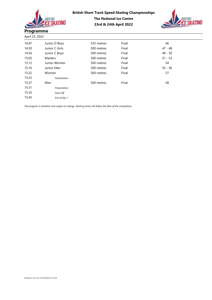



| April 23, 2022 |                |            |       |           |  |
|----------------|----------------|------------|-------|-----------|--|
| 14:47          | Junior D Boys  | 333 metres | Final | 46        |  |
| 14:50          | Junior C Girls | 500 metres | Final | $47 - 48$ |  |
| 14:56          | Junior C Boys  | 500 metres | Final | $49 - 50$ |  |
| 15:03          | Masters        | 500 metres | Final | $51 - 53$ |  |
| 15:12          | Junior Women   | 500 metres | Final | 54        |  |
| 15:16          | Junior Men     | 500 metres | Final | $55 - 56$ |  |
| 15:22          | Women          | 500 metres | Final | 57        |  |
| 15:25          | Presentation   |            |       |           |  |
| 15:27          | Men            | 500 metres | Final | 58        |  |
| 15:31          | Presentation   |            |       |           |  |
| 15:33          | Pads Off       |            |       |           |  |
| 15:43          | End of day 1   |            |       |           |  |

The program is tentative and subject to change. Starting times will follow the flow of the competition.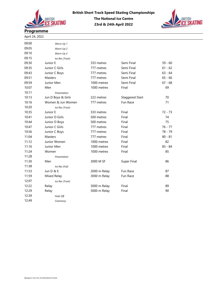

09:00 Warm Up 1



# Programme

April 24, 2022

| 09:05 | Warm Up 2          |              |                        |           |
|-------|--------------------|--------------|------------------------|-----------|
| 09:10 | Warm Up 3          |              |                        |           |
| 09:15 | Ice Res (Track)    |              |                        |           |
| 09:30 | Junior E           | 333 metres   | Semi Final             | $59 - 60$ |
| 09:35 | Junior C Girls     | 777 metres   | Semi Final             | $61 - 62$ |
| 09:43 | Junior C Boys      | 777 metres   | Semi Final             | $63 - 64$ |
| 09:51 | <b>Masters</b>     | 777 metres   | Semi Final             | $65 - 66$ |
| 09:59 | Junior Men         | 1000 metres  | Semi Final             | $67 - 68$ |
| 10:07 | Men                | 1000 metres  | Final                  | 69        |
| 10:11 | Presentation       |              |                        |           |
| 10:13 | Jun D Boys & Girls | 222 metres   | <b>Staggered Start</b> | 70        |
| 10:16 | Women & Jun Women  | 777 metres   | Fun Race               | 71        |
| 10:20 | Ice Res (Track)    |              |                        |           |
| 10:35 | Junior E           | 333 metres   | Final                  | $72 - 73$ |
| 10:41 | Junior D Girls     | 500 metres   | Final                  | 74        |
| 10:44 | Junior D Boys      | 500 metres   | Final                  | 75        |
| 10:47 | Junior C Girls     | 777 metres   | Final                  | $76 - 77$ |
| 10:56 | Junior C Boys      | 777 metres   | Final                  | 78 - 79   |
| 11:04 | <b>Masters</b>     | 777 metres   | Final                  | $80 - 81$ |
| 11:12 | Junior Women       | 1000 metres  | Final                  | 82        |
| 11:16 | Junior Men         | 1000 metres  | Final                  | $83 - 84$ |
| 11:24 | Women              | 1000 metres  | Final                  | 85        |
| 11:28 | Presentation       |              |                        |           |
| 11:30 | Men                | 3000 M SF    | <b>Super Final</b>     | 86        |
| 11:38 | Ice Res (Full)     |              |                        |           |
| 11:53 | Jun D & E          | 2000 m Relay | Fun Race               | 87        |
| 11:59 | Mixed Relay        | 3000 m Relay | Fun Race               | 88        |
| 12:07 | Ice Res (Track)    |              |                        |           |
| 12:22 | Relay              | 3000 m Relay | Final                  | 89        |
| 12:29 | Relay              | 5000 m Relay | Final                  | 90        |
| 12:39 | Pads Off           |              |                        |           |
| 12:49 | Ceremony           |              |                        |           |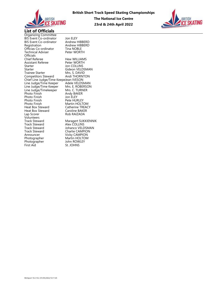



Organizing Committee BIS Event Co-ordinator Jon ELEY BIS Event Co-ordinator Andrew HIBBERD<br>Registration Andrew HIBBERD Officias Co-ordinator Tina NOBLE<br>Technical Adviser Peter WORTH **Technical Adviser** Officials Assistant Referee<br>Starter Starter Jon COLLINS<br>Starter Gideon VELD Trainee Starter Mrs. S. DAVID<br>Competitors Steward Andi THORNTON Competitors Steward Chief Line Judge/Time KeepeJean IVESON<br>Line Judge/Time Keeper Adele VELDSMAN Line Judge/Time Keeper Line Judge/Time Keeper Line Judge/Timekeeper<br>Photo Finish Photo Finish Jon ELEY Photo Finish<br>Photo Finish Photo Finish Martin HOLTOM<br>Heat Box Steward Catherine TREAC Heat Box Steward<br>Lap Scorer Volunteers<br>Track Steward Track Steward<br>Track Steward Track Steward **Johanco VELDSMAN**<br>Track Steward **Charlie CAMPION** Track Steward Charlie CAMPION<br>
Announcer Vicky CAMPION Announcer Vicky CAMPION<br>
Photographer Martin HOLTOM Photographer<br>First Aid

Andrew HIBBERD<br>Tina NOBLE Hew WILLIAMS<br>Peter WORTH Gideon VELDSMAN<br>Mrs. S. DAVID Addie VELDSIVIAN<br>Mrs. E. ROBERSON<br>Mrs. C. TURNER<br>Andy BAKER<br>Jon ELEY Catherine TREACY<br>Caroline BAKER Rob RAIZADA Maragert SUKKIENNIK<br>Alex COLLINS Martin HOLTOM<br>John ROWLEY

St. JOHNS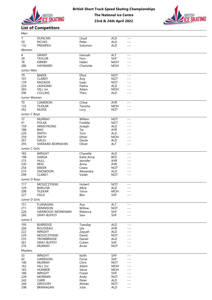

British Short Track Speed Skating Championships



# The National Ice Centre 23rd & 24th April 2022

List of Competitors

| Men            |                                     |                    |                          |                |  |
|----------------|-------------------------------------|--------------------|--------------------------|----------------|--|
| $\overline{7}$ | <b>DUNCAN</b>                       | Lloyd              | <b>ALD</b>               | $---$          |  |
| 59             | <b>RICHES</b>                       | Peter              | <b>ALD</b>               | ---            |  |
| 132            | PREMPEH                             | Solomon            | <b>ALD</b>               | $---$          |  |
| Women          |                                     |                    |                          |                |  |
| 4              | <b>GRANT</b>                        | Hannah             | ALT                      | $---$          |  |
| 39             | <b>TAYLOR</b>                       | Fern               | <b>SHF</b>               | $---$          |  |
| 78             | <b>KIRKBY</b>                       | Helen              | <b>MOH</b>               | ---            |  |
| 286            | <b>HAYWARD</b>                      | Charlotte          | <b>MOH</b>               | $---$          |  |
| Junior Men     |                                     |                    |                          |                |  |
| 79             | <b>BAKER</b>                        | Elliot             | <b>NOT</b>               | $- - -$        |  |
| 107            | <b>CLAREY</b>                       | Arty               | <b>NOT</b>               | $---$          |  |
| 139            | RAIZADA                             | Isaac              | <b>NOT</b>               | $---$          |  |
| 224<br>265     | LASHGARI<br>HILL Jnr                | Pasha<br>Adam      | ALD<br><b>MOH</b>        | ---<br>---     |  |
| 290            | COLLINS                             | Theo               | ALD                      | $---$          |  |
| Junior Women   |                                     |                    |                          |                |  |
| 70             |                                     |                    |                          |                |  |
| 133            | CAMERON<br><b>TILEKAR</b>           | Chloe<br>Tanisha   | AYR<br><b>MOH</b>        | $---$<br>$---$ |  |
| 262            | McKEE                               | Lucy               | <b>NOT</b>               | $---$          |  |
|                |                                     |                    |                          |                |  |
| Junior C Boys  |                                     |                    |                          |                |  |
| 37             | <b>MURRAY</b><br><b>POLAK</b>       | Willem             | <b>NOT</b>               | $---$          |  |
| 41<br>159      | ARMSTRONG                           | Freddie<br>Joseph  | <b>NOT</b><br><b>ALD</b> | $---$<br>---   |  |
| 188            | <b>BAO</b>                          | Tai                | AYR                      | ---            |  |
| 220            | <b>SMITH</b>                        | Tom                | ALD                      | ---            |  |
| 259            | <b>SMITH</b>                        | Ethan              | <b>MOH</b>               | ---            |  |
| 267            | <b>DALILI</b>                       | Dante              | <b>ALD</b>               | $--$           |  |
| 293            | SHERARD-BORNSHIN                    | Oliver             | ALT                      | ---            |  |
| Junior C Girls |                                     |                    |                          |                |  |
| 183            | WRIGHT                              | Chanelle           | <b>ALD</b>               | $---$          |  |
| 198            | VARGA                               | Katie Anne         | <b>BFD</b>               | $---$          |  |
| 215            | <b>HULL</b>                         | Jennifer           | AYR                      | $---$          |  |
| 230            | <b>REID</b>                         | Anna               | <b>AYR</b>               | ---            |  |
| 254<br>275     | <b>BAKER</b><br>SNOWDON             | Ceara<br>Alexandra | <b>NOT</b><br>ALD        | $---$<br>$---$ |  |
| 299            | <b>CLAREY</b>                       | Violet             | <b>NOT</b>               | $---$          |  |
| Junior D Boys  |                                     |                    |                          |                |  |
| 117            | MOSZCZYNSKI                         | Hubert             | <b>NOT</b>               |                |  |
| 129            | <b>BARLOW</b>                       | Albie              | ALD                      | $---$<br>$---$ |  |
| 208            | TILEKAR                             | Tarun              | <b>MOH</b>               | $---$          |  |
| 227            | <b>FIELD</b>                        | Ben                | SHF                      | $---$          |  |
| Junior D Girls |                                     |                    |                          |                |  |
| 151            | <b>FLANAGAN</b>                     | Ava                | ALT                      | $---$          |  |
| 211            | <b>DENNISON</b>                     | Willow             | <b>NOT</b>               | $---$          |  |
| 226            | HARWOOD-MONKMAN                     | Rebecca            | <b>SHF</b>               | ---            |  |
| 260            | GRAY-BUFFEY                         | Savi               | <b>SHF</b>               | $---$          |  |
| Junior E       |                                     |                    |                          |                |  |
| 195            | <b>BURRIDGE</b>                     | Tuesday            | ALD                      | $---$          |  |
| 204            | ROUSSEAU                            | Isla               | AYR                      | ---            |  |
| 222            | <b>WRIGHT</b>                       | Zayyah             | ALD                      | ---            |  |
| 229            | MOSZCZYNSKI                         | David              | <b>NOT</b>               | ---            |  |
| 233            | <b>TROWBRIDGE</b>                   | Daniel             | <b>ALD</b>               | ---            |  |
| 261<br>276     | <b>GRAY-BUFFEY</b><br><b>MURRAY</b> | Cohen              | <b>SHF</b><br><b>NOT</b> | $---$<br>---   |  |
|                |                                     | Arran              |                          |                |  |
| Masters        |                                     |                    |                          |                |  |
| 33             | <b>WRIGHT</b>                       | Keith              | <b>SHF</b>               | $---$          |  |
| 42             | <b>HARRISON</b>                     | Fiona              | <b>SHF</b>               | ---            |  |
| 140<br>162     | <b>MURRAY</b><br><b>HILL Snr</b>    | Chris<br>Adam      | <b>NOT</b><br><b>MOH</b> | $---$<br>---   |  |
| 165            | <b>HUMBER</b>                       | Steve              | <b>MOH</b>               | ---            |  |
| 186            | WRIGHT                              | Frazer             | <b>SHF</b>               | ---            |  |
| 228            | <b>MORRAN</b>                       | Andy               | <b>NOT</b>               | ---            |  |
| 242            | CARR                                | Peter              | ALD                      | ---            |  |
| 244            | GREGORY                             | Alistair           | <b>NOT</b>               | ---            |  |
| 298            | BRANAGAN                            | Julia              | ALD                      | $---$          |  |
|                |                                     |                    |                          |                |  |
|                |                                     |                    |                          |                |  |
|                |                                     |                    |                          |                |  |
|                |                                     |                    |                          |                |  |
|                |                                     |                    |                          |                |  |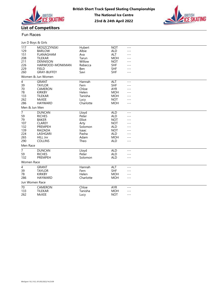



# Fun Races **Financial Sherifican Sherifican Sherifican** Sherifican Sherifican Sherifican Sherifican Sherifican Sherifican Sherifican Sherifican Sherifican Sherifican Sherifican Sherifican Sherifican Sherifican Sherifican Sh

| Jun D Boys & Girls       |                    |            |            |         |  |
|--------------------------|--------------------|------------|------------|---------|--|
| 117                      | MOSZCZYNSKI        | Hubert     | <b>NOT</b> | $---$   |  |
| 129                      | <b>BARLOW</b>      | Albie      | <b>ALD</b> | $---$   |  |
| 151                      | <b>FLANAGHAM</b>   | Ava        | ALT        | $---$   |  |
| 208                      | <b>TILEKAR</b>     | Tarun      | <b>MOH</b> | $---$   |  |
| 211                      | <b>DENNISON</b>    | Willow     | <b>NOT</b> | $---$   |  |
| 226                      | HARWOOD-MONKMAN    | Rebecca    | <b>SHF</b> | $---$   |  |
| 229                      | <b>FIELD</b>       | <b>Ben</b> | <b>SHF</b> | $- - -$ |  |
| 260                      | <b>GRAY-BUFFEY</b> | Savi       | <b>SHF</b> | ---     |  |
|                          | Women & Jun Women  |            |            |         |  |
| $\overline{\mathcal{A}}$ | <b>GRANT</b>       | Hannah     | ALT        | $---$   |  |
| 39                       | <b>TAYLOR</b>      | Fern       | <b>SHF</b> | $---$   |  |
| $70\,$                   | CAMERON            | Chloe      | <b>AYR</b> | $---$   |  |
| 78                       | <b>KIRKBY</b>      | Helen      | <b>MOH</b> | $---$   |  |
| 133                      | <b>TILEKAR</b>     | Tanisha    | <b>MOH</b> | ---     |  |
| 262                      | <b>McKEE</b>       | Lucy       | <b>NOT</b> | $---$   |  |
| 286                      | <b>HAYWARD</b>     | Charlotte  | <b>MOH</b> | $- - -$ |  |
| Men & Jun Men            |                    |            |            |         |  |
| $\overline{7}$           | <b>DUNCAN</b>      | Lloyd      | <b>ALD</b> | $---$   |  |
| 59                       | <b>RICHES</b>      | Peter      | <b>ALD</b> | $---$   |  |
| 79                       | <b>BAKER</b>       | Elliot     | <b>NOT</b> | $---$   |  |
| 107                      | <b>CLAREY</b>      | Arty       | <b>NOT</b> | $---$   |  |
| 132                      | PREMPEH            | Solomon    | <b>ALD</b> | $---$   |  |
| 139                      | <b>RAIZADA</b>     | Isaac      | <b>NOT</b> | $---$   |  |
| 224                      | LASHGARI           | Pasha      | <b>ALD</b> | $---$   |  |
| 265                      | HILL Jnr           | Adam       | <b>MOH</b> | ---     |  |
| 290                      | <b>COLLINS</b>     | Theo       | <b>ALD</b> | $---$   |  |
| Men Race                 |                    |            |            |         |  |
| $\overline{7}$           | <b>DUNCAN</b>      | Lloyd      | <b>ALD</b> | $---$   |  |
| 59                       | <b>RICHES</b>      | Peter      | <b>ALD</b> | $---$   |  |
| 132                      | PREMPEH            | Solomon    | <b>ALD</b> | $---$   |  |
| Women Race               |                    |            |            |         |  |
| $\overline{\mathbf{4}}$  | <b>GRANT</b>       | Hannah     | ALT        | $---$   |  |
| 39                       | <b>TAYLOR</b>      | Fern       | <b>SHF</b> | ---     |  |
| 78                       | <b>KIRKBY</b>      | Helen      | <b>MOH</b> | $---$   |  |
| 286                      | <b>HAYWARD</b>     | Charlotte  | <b>MOH</b> | $---$   |  |
| Jun Women Race           |                    |            |            |         |  |
| $\overline{70}$          | CAMERON            | Chloe      | <b>AYR</b> | $---$   |  |
| 133                      | <b>TILEKAR</b>     | Tanisha    | <b>MOH</b> | $---$   |  |
| 262                      | McKEE              | Lucy       | <b>NOT</b> | $- - -$ |  |
|                          |                    |            |            |         |  |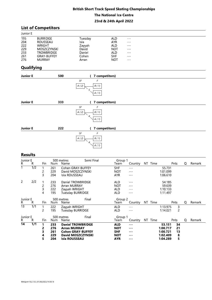|                                               |                                                                                                                                |                                                                |                                                                                                | <b>British Short Track Speed Skating Championships</b> |  |
|-----------------------------------------------|--------------------------------------------------------------------------------------------------------------------------------|----------------------------------------------------------------|------------------------------------------------------------------------------------------------|--------------------------------------------------------|--|
|                                               |                                                                                                                                |                                                                | <b>The National Ice Centre</b>                                                                 |                                                        |  |
|                                               |                                                                                                                                |                                                                | 23rd & 24th April 2022                                                                         |                                                        |  |
|                                               | <b>List of Competitors</b>                                                                                                     |                                                                |                                                                                                |                                                        |  |
| Junior E                                      |                                                                                                                                |                                                                |                                                                                                |                                                        |  |
| 195<br>204<br>222<br>229<br>233<br>261<br>276 | <b>BURRIDGE</b><br><b>ROUSSEAU</b><br><b>WRIGHT</b><br>MOSZCZYNSKI<br><b>TROWBRIDGE</b><br><b>GRAY-BUFFEY</b><br><b>MURRAY</b> | Tuesday<br>Isla<br>Zayyah<br>David<br>Daniel<br>Cohen<br>Arran | <b>ALD</b><br><b>AYR</b><br><b>ALD</b><br><b>NOT</b><br><b>ALD</b><br><b>SHF</b><br><b>NOT</b> | $---$<br>$- -$<br>$- - -$<br>$- - -$<br>$- - -$        |  |
| Qualifying                                    |                                                                                                                                |                                                                |                                                                                                |                                                        |  |
| <b>Junior E</b>                               | 500                                                                                                                            |                                                                | 7 competitors)                                                                                 |                                                        |  |

# **Qualifying**

|                                               |                                                                                                                         |                                                                     |                                                                                         | <b>British Short Track Speed Skating Championships</b>   |  |
|-----------------------------------------------|-------------------------------------------------------------------------------------------------------------------------|---------------------------------------------------------------------|-----------------------------------------------------------------------------------------|----------------------------------------------------------|--|
|                                               |                                                                                                                         |                                                                     | <b>The National Ice Centre</b>                                                          |                                                          |  |
|                                               |                                                                                                                         |                                                                     | 23rd & 24th April 2022                                                                  |                                                          |  |
|                                               | <b>List of Competitors</b>                                                                                              |                                                                     |                                                                                         |                                                          |  |
| Junior E                                      |                                                                                                                         |                                                                     |                                                                                         |                                                          |  |
| 195<br>204<br>222<br>229<br>233<br>261<br>276 | <b>BURRIDGE</b><br>ROUSSEAU<br><b>WRIGHT</b><br>MOSZCZYNSKI<br><b>TROWBRIDGE</b><br><b>GRAY-BUFFEY</b><br><b>MURRAY</b> | Tuesday<br>Isla<br>Zayyah<br>David<br>Daniel<br>Cohen<br>Arran      | <b>ALD</b><br>AYR<br><b>ALD</b><br><b>NOT</b><br><b>ALD</b><br><b>SHF</b><br><b>NOT</b> | $- - -$<br>$- - -$<br>$- - -$<br>$- - -$<br>---<br>$---$ |  |
| Qualifying                                    |                                                                                                                         |                                                                     |                                                                                         |                                                          |  |
| <b>Junior E</b>                               | 500                                                                                                                     | (7 competitors)                                                     |                                                                                         |                                                          |  |
|                                               |                                                                                                                         | SF<br>F<br>$B\ (\ 1)$<br>A(2)<br>5 <sub>l</sub><br>$A$ ( $\sqrt{1}$ |                                                                                         |                                                          |  |
| <b>Junior E</b>                               | 333                                                                                                                     | $\overline{ }$                                                      | 7 competitors)                                                                          |                                                          |  |
|                                               |                                                                                                                         | SF<br>F<br>$A$ ( $2)$<br>$B\ (\ 1)$<br>4<br>A(1)                    |                                                                                         |                                                          |  |
| <b>Junior E</b>                               | 222                                                                                                                     | $\overline{ }$                                                      | 7 competitors)                                                                          |                                                          |  |
|                                               |                                                                                                                         | SF<br>F<br>A(2)<br>B(1)<br>$4_{\tiny \sim}$<br>$A$ ( $1)$           |                                                                                         |                                                          |  |
| <b>Results</b>                                |                                                                                                                         |                                                                     |                                                                                         |                                                          |  |

| Junior E        |     |     |     | 500 metres               | Semi Final | Group 1    |         |     |         |          |      |   |        |
|-----------------|-----|-----|-----|--------------------------|------------|------------|---------|-----|---------|----------|------|---|--------|
| R               | R.  | Fin | Num | Name                     |            | Team       | Country |     | NT Time |          | Pnts | O | Remark |
|                 | 1/2 |     | 261 | Cohen GRAY-BUFFEY        |            | SHF        | ---     |     |         | 55.731   |      |   |        |
|                 |     |     | 229 | David MOSZCZYNSKI        |            | <b>NOT</b> | $---$   |     |         | 1:01.099 |      |   |        |
|                 |     | 3   | 204 | Isla ROUSSEAU            |            | <b>AYR</b> |         |     |         | 1:06.610 |      |   |        |
| 2               | 2/2 |     | 233 | Daniel TROWBRIDGE        |            | ALD        | ---     |     |         | 54.185   |      |   |        |
|                 |     |     | 276 | Arran MURRAY             |            | <b>NOT</b> | ---     |     |         | 59.639   |      |   |        |
|                 |     | 3   | 222 | Zayyah WRIGHT            |            | ALD        | ---     |     |         | 1:10.133 |      |   |        |
|                 |     | 4   | 195 | <b>Tuesday BURRIDGE</b>  |            | <b>ALD</b> | ---     |     |         | 1:11.497 |      |   |        |
| Junior E        |     |     |     | 500 metres               | Final      | Group 2    |         |     |         |          |      |   |        |
| R.              | R.  | Fin | Num | Name                     |            | Team       | Country |     | NT Time |          | Pnts | Q | Remark |
| $\overline{13}$ | 1/1 |     | 222 | Zayyah WRIGHT            |            | ALD        | ---     |     |         | 1:13.975 | 3    |   |        |
|                 |     |     | 195 | <b>Tuesday BURRIDGE</b>  |            | ALD        | ---     |     |         | 1:14.021 | 2    |   |        |
| Junior E        |     |     |     | 500 metres               | Final      | Group 1    |         |     |         |          |      |   |        |
| R               | R.  | Fin | Num | Name                     |            | Team       | Country | NT. | Time    |          | Pnts | Q | Remark |
| 14              | 1/1 | 1   | 233 | <b>Daniel TROWBRIDGE</b> |            | <b>ALD</b> | ---     |     |         | 53.151   | 34   |   |        |
|                 |     |     | 276 | <b>Arran MURRAY</b>      |            | <b>NOT</b> | ---     |     |         | 1:00.717 | 21   |   |        |
|                 |     | 3   | 261 | <b>Cohen GRAY-BUFFEY</b> |            | <b>SHF</b> | ---     |     |         | 1:00.721 | 13   |   |        |
|                 |     | 4   | 229 | David MOSZCZYNSKI        |            | NOT        | ---     |     |         | 1:02.409 | 8    |   |        |
|                 |     | 5   | 204 | <b>Isla ROUSSEAU</b>     |            | <b>AYR</b> | ---     |     |         | 1:04.289 | 5    |   |        |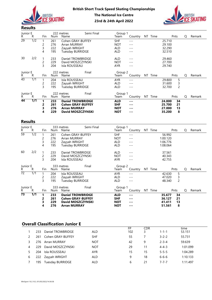



| Junior E<br>R.  | R                | Fin                                 | Num                      | 222 metres<br>Name                                                                               | Semi Final | Group 1<br>Team                                      | Country                                                                                                                                                                                                                                                                                                                                                                                                                                                                                                                                                                                                                                                                                                                                                                                                            | NT Time |                                            | Pnts                     | Q | Remark |
|-----------------|------------------|-------------------------------------|--------------------------|--------------------------------------------------------------------------------------------------|------------|------------------------------------------------------|--------------------------------------------------------------------------------------------------------------------------------------------------------------------------------------------------------------------------------------------------------------------------------------------------------------------------------------------------------------------------------------------------------------------------------------------------------------------------------------------------------------------------------------------------------------------------------------------------------------------------------------------------------------------------------------------------------------------------------------------------------------------------------------------------------------------|---------|--------------------------------------------|--------------------------|---|--------|
| 29              | $\overline{1/2}$ | -1<br>2<br>3<br>$\overline{4}$      | 261<br>276<br>222<br>195 | Cohen GRAY-BUFFEY<br><b>Arran MURRAY</b><br>Zayyah WRIGHT<br>Tuesday BURRIDGE                    |            | SHF<br><b>NOT</b><br><b>ALD</b><br><b>ALD</b>        | $  -$<br>$---$<br>$- - -$<br>$- - -$                                                                                                                                                                                                                                                                                                                                                                                                                                                                                                                                                                                                                                                                                                                                                                               |         | 25.710<br>29.100<br>32.290<br>32.510       |                          |   |        |
| 30              | 2/2              | -1<br>$\overline{c}$<br>3           | 233<br>229<br>204        | Daniel TROWBRIDGE<br>David MOSZCZYNSKI<br>Isla ROUSSEAU                                          |            | <b>ALD</b><br><b>NOT</b><br><b>AYR</b>               | $- - -$<br>$- - -$<br>$---$                                                                                                                                                                                                                                                                                                                                                                                                                                                                                                                                                                                                                                                                                                                                                                                        |         | 29.460<br>27.700<br>29.740                 |                          |   |        |
| Junior E<br>R.  | R                | Fin                                 | Num                      | 222 metres<br>Name                                                                               | Final      | Group 2<br>Team                                      | Country                                                                                                                                                                                                                                                                                                                                                                                                                                                                                                                                                                                                                                                                                                                                                                                                            | NT Time |                                            | Pnts                     | Q | Remark |
| $\overline{43}$ | $\frac{1}{1}$    | $\mathbf{1}$<br>$\overline{c}$<br>3 | 204<br>222<br>195        | Isla ROUSSEAU<br>Zayyah WRIGHT<br><b>Tuesday BURRIDGE</b>                                        |            | <b>AYR</b><br><b>ALD</b><br><b>ALD</b>               | $- - -$<br>$- - -$<br>$- - -$                                                                                                                                                                                                                                                                                                                                                                                                                                                                                                                                                                                                                                                                                                                                                                                      |         | 29.800<br>31.600<br>32.700                 | 5<br>3<br>$\overline{c}$ |   |        |
| Junior E<br>R.  | R                | Fin                                 | Num                      | 222 metres<br>Name                                                                               | Final      | Group 1<br>Team                                      | Country                                                                                                                                                                                                                                                                                                                                                                                                                                                                                                                                                                                                                                                                                                                                                                                                            | NT Time |                                            | Pnts                     | Q | Remark |
| 44              | 1/1              | 1<br>$\overline{2}$<br>3<br>4       | 233<br>261<br>276<br>229 | <b>Daniel TROWBRIDGE</b><br><b>Cohen GRAY-BUFFEY</b><br><b>Arran MURRAY</b><br>David MOSZCZYNSKI |            | <b>ALD</b><br><b>SHF</b><br><b>NOT</b><br><b>NOT</b> | $\frac{1}{2} \frac{1}{2} \frac{1}{2} \frac{1}{2} \frac{1}{2} \frac{1}{2} \frac{1}{2} \frac{1}{2} \frac{1}{2} \frac{1}{2} \frac{1}{2} \frac{1}{2} \frac{1}{2} \frac{1}{2} \frac{1}{2} \frac{1}{2} \frac{1}{2} \frac{1}{2} \frac{1}{2} \frac{1}{2} \frac{1}{2} \frac{1}{2} \frac{1}{2} \frac{1}{2} \frac{1}{2} \frac{1}{2} \frac{1}{2} \frac{1}{2} \frac{1}{2} \frac{1}{2} \frac{1}{2} \frac{$<br>$- - -$<br>$\frac{1}{2} \frac{1}{2} \frac{1}{2} \frac{1}{2} \frac{1}{2} \frac{1}{2} \frac{1}{2} \frac{1}{2} \frac{1}{2} \frac{1}{2} \frac{1}{2} \frac{1}{2} \frac{1}{2} \frac{1}{2} \frac{1}{2} \frac{1}{2} \frac{1}{2} \frac{1}{2} \frac{1}{2} \frac{1}{2} \frac{1}{2} \frac{1}{2} \frac{1}{2} \frac{1}{2} \frac{1}{2} \frac{1}{2} \frac{1}{2} \frac{1}{2} \frac{1}{2} \frac{1}{2} \frac{1}{2} \frac{$<br>$- - -$ |         | 24.800<br>25.700<br>27.000<br>35.200       | 34<br>21<br>13<br>8      |   |        |
|                 | <b>Results</b>   |                                     |                          |                                                                                                  |            |                                                      |                                                                                                                                                                                                                                                                                                                                                                                                                                                                                                                                                                                                                                                                                                                                                                                                                    |         |                                            |                          |   |        |
| Junior E<br>R.  | R                | Fin                                 | <b>Num</b>               | 333 metres<br>Name                                                                               | Semi Final | Group 1<br>Team                                      | Country                                                                                                                                                                                                                                                                                                                                                                                                                                                                                                                                                                                                                                                                                                                                                                                                            | NT Time |                                            | Pnts                     | Q | Remark |
| 59              | $\overline{1/2}$ | -1<br>2<br>3<br>4                   | 261<br>276<br>222<br>195 | Cohen GRAY-BUFFEY<br>Arran MURRAY<br>Zayyah WRIGHT<br><b>Tuesday BURRIDGE</b>                    |            | SHF<br><b>NOT</b><br><b>ALD</b><br><b>ALD</b>        | $---$<br>$- - -$<br>$---$<br>$---$                                                                                                                                                                                                                                                                                                                                                                                                                                                                                                                                                                                                                                                                                                                                                                                 |         | 56.992<br>1:00.120<br>1:06.776<br>1:08.064 |                          |   |        |
| 60              | 2/2              | -1<br>$\overline{c}$<br>3           | 233<br>229<br>204        | Daniel TROWBRIDGE<br>David MOSZCZYNSKI<br>Isla ROUSSEAU                                          |            | <b>ALD</b><br><b>NOT</b><br><b>AYR</b>               | $---$<br>$- - -$<br>$- - -$                                                                                                                                                                                                                                                                                                                                                                                                                                                                                                                                                                                                                                                                                                                                                                                        |         | 37.561<br>40.343<br>42.755                 |                          |   |        |
| Junior E<br>R.  | R                | Fin                                 | Num                      | 333 metres<br>Name                                                                               | Final      | Group 2<br>Team                                      | Country                                                                                                                                                                                                                                                                                                                                                                                                                                                                                                                                                                                                                                                                                                                                                                                                            | NT Time |                                            | Pnts                     | Q | Remark |
| $\overline{72}$ | $\overline{1/1}$ |                                     | 204                      | Isla ROUSSEAU                                                                                    |            | <b>AYR</b>                                           | $---$                                                                                                                                                                                                                                                                                                                                                                                                                                                                                                                                                                                                                                                                                                                                                                                                              |         | 42.630                                     | 5                        |   |        |

### Results

|                       |                                         | ے<br>3                         | ムムコ<br>204        | Isla ROUSSEAU                          | <b>DAVIU IVIOJLCETINJNI</b>                   | ו שצו<br>AYR             | $---$                            |     |         | 21.100<br>29.740 |                     |          |        |
|-----------------------|-----------------------------------------|--------------------------------|-------------------|----------------------------------------|-----------------------------------------------|--------------------------|----------------------------------|-----|---------|------------------|---------------------|----------|--------|
| Junior E<br>R.        | R                                       | Fin                            | Num               | 222 metres<br>Name                     | Final                                         | Group 2<br>Team          | Country                          |     | NT Time |                  | Pnts                | Q        | Remark |
| $\overline{43}$       | $\overline{1/1}$                        | $\mathbf{1}$                   | 204               | Isla ROUSSEAU                          |                                               | AYR                      | $\cdots$                         |     |         | 29.800           | 5                   |          |        |
|                       |                                         | $\overline{2}$                 | 222               | Zayyah WRIGHT                          |                                               | ALD                      | $---$                            |     |         | 31.600           | 3                   |          |        |
|                       |                                         | 3                              | 195               | <b>Tuesday BURRIDGE</b>                |                                               | ALD                      | $- - -$                          |     |         | 32.700           | $\overline{2}$      |          |        |
| Junior E<br>R.        | R                                       | Fin                            | Num               | 222 metres<br>Name                     | Final                                         | Group 1<br>Team          | Country                          |     | NT Time |                  | Pnts                | Q        | Remark |
| 44                    | $\overline{1/1}$                        | $\mathbf{1}$                   | 233               |                                        | <b>Daniel TROWBRIDGE</b>                      | <b>ALD</b>               | $\qquad \qquad -$                |     |         | 24.800           | 34                  |          |        |
|                       |                                         | $\overline{2}$<br>3            | 261<br>276        | <b>Arran MURRAY</b>                    | <b>Cohen GRAY-BUFFEY</b>                      | <b>SHF</b><br><b>NOT</b> | $\cdots$<br>$\sim$ $\sim$ $\sim$ |     |         | 25.700<br>27.000 | 21<br>13            |          |        |
|                       |                                         | 4                              | 229               |                                        | David MOSZCZYNSKI                             | <b>NOT</b>               | $--$                             |     |         | 35.200           | 8                   |          |        |
|                       |                                         |                                |                   |                                        |                                               |                          |                                  |     |         |                  |                     |          |        |
| <b>Results</b>        |                                         |                                |                   |                                        |                                               |                          |                                  |     |         |                  |                     |          |        |
| Junior E<br>R         | $\mathsf{R}$                            | Fin                            | Num               | 333 metres<br>Name                     | Semi Final                                    | Group 1<br>Team          | Country NT Time                  |     |         |                  | Pnts                | Q        | Remark |
| $\overline{59}$       | $\overline{1/2}$                        | $\mathbf{1}$                   | 261               |                                        | Cohen GRAY-BUFFEY                             | <b>SHF</b>               | $---$                            |     |         | 56.992           |                     |          |        |
|                       |                                         | 2                              | 276               | Arran MURRAY                           |                                               | <b>NOT</b>               | $  -$                            |     |         | 1:00.120         |                     |          |        |
|                       |                                         | 3                              | 222               | Zayyah WRIGHT                          |                                               | ALD                      | $  -$                            |     |         | 1:06.776         |                     |          |        |
|                       |                                         | 4                              | 195               | Tuesday BURRIDGE                       |                                               | ALD                      | $---$                            |     |         | 1:08.064         |                     |          |        |
| 60                    | 2/2                                     |                                | 233               |                                        | Daniel TROWBRIDGE                             | ALD                      | $---$                            |     |         | 37.561           |                     |          |        |
|                       |                                         | $\overline{c}$                 | 229               |                                        | David MOSZCZYNSKI                             | <b>NOT</b>               | $- - -$                          |     |         | 40.343           |                     |          |        |
|                       |                                         | 3                              | 204               | Isla ROUSSEAU                          |                                               | <b>AYR</b>               | $- - -$                          |     |         | 42.755           |                     |          |        |
| Junior E              |                                         |                                |                   | 333 metres                             | Final                                         | Group 2                  |                                  |     |         |                  |                     |          |        |
| R.<br>$\overline{72}$ | R<br>$\overline{1/1}$                   | Fin                            | Num               | Name                                   |                                               | Team                     | Country NT Time                  |     |         |                  | Pnts                | Q        | Remark |
|                       |                                         | $\mathbf{1}$<br>$\overline{c}$ | 204<br>222        | Isla ROUSSEAU<br>Zayyah WRIGHT         |                                               | AYR<br>ALD               | $  -$<br>$---$                   |     |         | 42.630<br>47.020 | $\overline{5}$<br>3 |          |        |
|                       |                                         | 3                              | 195               | Tuesday BURRIDGE                       |                                               | ALD                      | $---$                            |     |         | 48.340           | $\overline{c}$      |          |        |
| Junior E              |                                         |                                |                   | 333 metres                             | Final                                         | Group 1                  |                                  |     |         |                  |                     |          |        |
| R.                    | R                                       | Fin                            | Num               | Name                                   |                                               | Team                     | Country NT Time                  |     |         |                  | Pnts                | Q        | Remark |
| $\overline{73}$       | 1/1                                     | $\mathbf{1}$                   | 233               |                                        | <b>Daniel TROWBRIDGE</b>                      | <b>ALD</b>               | $- - -$                          |     |         | 35.677           | 34                  |          |        |
|                       |                                         | $\overline{2}$<br>3            | 261<br>229        |                                        | <b>Cohen GRAY-BUFFEY</b><br>David MOSZCZYNSKI | <b>SHF</b><br><b>NOT</b> | $\cdots$<br>$\qquad \qquad -$    |     |         | 36.127<br>41.411 | 21<br>13            |          |        |
|                       |                                         | 4                              | 276               | <b>Arran MURRAY</b>                    |                                               | <b>NOT</b>               | $\sim$ $\sim$ $\sim$             |     |         | 51.561           | 8                   |          |        |
|                       |                                         |                                |                   |                                        |                                               |                          |                                  |     |         |                  |                     |          |        |
|                       |                                         |                                |                   |                                        |                                               |                          |                                  |     |         |                  |                     |          |        |
|                       |                                         |                                |                   |                                        |                                               |                          |                                  |     |         |                  |                     |          |        |
|                       |                                         |                                |                   | <b>Overall Classification Junior E</b> |                                               |                          | $\overline{FP}$                  | CDR |         |                  |                     | time     |        |
|                       | $\mathbf{1}$                            |                                |                   | 233 Daniel TROWBRIDGE                  | <b>ALD</b>                                    |                          | 102                              | 3   |         | $1 - 1 - 1$      |                     | 53.151   |        |
|                       | 2<br>261                                |                                |                   | Cohen GRAY-BUFFEY                      | <b>SHF</b>                                    |                          | 55                               | 7   |         | $3 - 2 - 2$      |                     | 55.731   |        |
|                       | 3                                       |                                | 276 Arran MURRAY  |                                        | <b>NOT</b>                                    |                          | 42                               | 9   |         | $2 - 3 - 4$      |                     | 59.639   |        |
|                       | 229<br>4                                |                                |                   | David MOSZCZYNSKI                      | <b>NOT</b>                                    |                          | 29                               | 11  |         | $4 - 4 - 3$      |                     | 1:01.099 |        |
|                       |                                         |                                | Isla ROUSSEAU     |                                        | AYR                                           |                          | 15                               | 15  |         | $5 - 5 - 5$      |                     | 1:04.289 |        |
|                       | 5<br>204                                |                                |                   |                                        |                                               |                          |                                  |     |         |                  |                     |          |        |
|                       | 6                                       |                                | 222 Zayyah WRIGHT |                                        | ALD                                           |                          | 9                                | 18  |         | $6 - 6 - 6$      |                     | 1:10.133 |        |
|                       | 7                                       |                                |                   | 195 Tuesday BURRIDGE                   | <b>ALD</b>                                    |                          | 6                                | 21  |         | $7 - 7 - 7$      |                     | 1:11.497 |        |
|                       |                                         |                                |                   |                                        |                                               |                          |                                  |     |         |                  |                     |          |        |
|                       |                                         |                                |                   |                                        |                                               |                          |                                  |     |         |                  |                     |          |        |
|                       |                                         |                                |                   |                                        |                                               |                          |                                  |     |         |                  |                     |          |        |
|                       | WinSport 10.2.10.2 /01/05/2022/14:36:58 |                                |                   |                                        |                                               |                          |                                  |     |         |                  |                     |          |        |

# Overall Classification Junior E

|   |     |                   |            | FP  | CDR |             | time     |
|---|-----|-------------------|------------|-----|-----|-------------|----------|
|   | 233 | Daniel TROWBRIDGE | <b>ALD</b> | 102 |     | $1 - 1 - 1$ | 53.151   |
|   | 261 | Cohen GRAY-BUFFEY | <b>SHF</b> | 55  |     | $3 - 2 - 2$ | 55.731   |
|   | 276 | Arran MURRAY      | <b>NOT</b> | 42  |     | $2 - 3 - 4$ | 59.639   |
| 4 | 229 | David MOSZCZYNSKI | <b>NOT</b> | 29  |     | $4 - 4 - 3$ | 1:01.099 |
|   | 204 | Isla ROUSSEAU     | <b>AYR</b> | 15  | 15  | $5 - 5 - 5$ | 1:04.289 |
| 6 | 222 | Zayyah WRIGHT     | <b>ALD</b> | 9   | 18  | $6 - 6 - 6$ | 1:10.133 |
|   | 195 | Tuesday BURRIDGE  | <b>ALD</b> | 6   | 21  | $7 - 7 - 7$ | 1:11.497 |
|   |     |                   |            |     |     |             |          |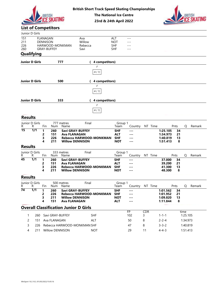



#### List of Competitors

| Junior D Girls<br>151<br>211<br>226<br>260<br>Qualifying |                  | BRITISH<br><b>FLANAGAN</b><br><b>DENNISON</b><br><b>GRAY-BUFFEY</b> | <b>List of Competitors</b> | HARWOOD-MONKMAN    | <b>British Short Track Speed Skating Championships</b><br>Ava<br>Willow<br>Rebecca<br>Savi          | <b>The National Ice Centre</b><br>23rd & 24th April 2022 | ALT<br><b>NOT</b><br><b>SHF</b><br><b>SHF</b>        | $- - -$<br>$---$<br>$---$<br>$---$        |          |                                              |                     |                  |        |
|----------------------------------------------------------|------------------|---------------------------------------------------------------------|----------------------------|--------------------|-----------------------------------------------------------------------------------------------------|----------------------------------------------------------|------------------------------------------------------|-------------------------------------------|----------|----------------------------------------------|---------------------|------------------|--------|
| <b>Junior D Girls</b>                                    |                  |                                                                     |                            | 777                |                                                                                                     | 4 competitors)                                           |                                                      |                                           |          |                                              |                     |                  |        |
| <b>Junior D Girls</b>                                    |                  |                                                                     |                            | 500                |                                                                                                     | F<br>A(1)<br>4 competitors)<br>F                         |                                                      |                                           |          |                                              |                     |                  |        |
|                                                          |                  |                                                                     |                            |                    |                                                                                                     | $A$ ( $\it 1)$                                           |                                                      |                                           |          |                                              |                     |                  |        |
| <b>Junior D Girls</b>                                    |                  |                                                                     |                            | 333                |                                                                                                     | 4 competitors)                                           |                                                      |                                           |          |                                              |                     |                  |        |
|                                                          |                  |                                                                     |                            |                    |                                                                                                     | F                                                        |                                                      |                                           |          |                                              |                     |                  |        |
|                                                          |                  |                                                                     |                            |                    |                                                                                                     | A(1)                                                     |                                                      |                                           |          |                                              |                     |                  |        |
| <b>Results</b><br>Junior D Girls                         |                  |                                                                     |                            | 777 metres         | Final                                                                                               |                                                          | Group 1                                              |                                           |          |                                              |                     |                  |        |
| R                                                        | R                | Fin                                                                 |                            | Num Name           |                                                                                                     |                                                          | Team                                                 | Country NT Time                           |          |                                              | Pnts                | Q                | Remark |
| $\overline{15}$                                          | $\overline{1/1}$ | $\mathbf 1$<br>2<br>3<br>4                                          | 260<br>151<br>226<br>211   |                    | Savi GRAY-BUFFEY<br><b>Ava FLANAGAN</b><br>Rebecca HARWOOD-MONKMAN<br><b>Willow DENNISON</b>        |                                                          | <b>SHF</b><br><b>ALT</b><br><b>SHF</b><br><b>NOT</b> | $- - -$<br>---<br>$--$<br>$\cdots$        |          | 1:25.105<br>1:34.973<br>1:40.819<br>1:51.413 | 34<br>21<br>13<br>8 |                  |        |
| <b>Results</b>                                           |                  |                                                                     |                            |                    |                                                                                                     |                                                          |                                                      |                                           |          |                                              |                     |                  |        |
| Junior D Girls<br>R                                      | R                | Fin                                                                 | Num                        | 333 metres<br>Name | Final                                                                                               |                                                          | Group 1<br>Team                                      | Country NT Time                           |          |                                              | Pnts                | Q                | Remark |
| $\overline{45}$                                          | 1/1              | $\mathbf{1}$<br>2<br>3<br>4                                         | 260<br>151<br>226<br>211   |                    | <b>Savi GRAY-BUFFEY</b><br><b>Ava FLANAGAN</b><br>Rebecca HARWOOD-MONKMAN<br><b>Willow DENNISON</b> |                                                          | <b>SHF</b><br><b>ALT</b><br><b>SHF</b><br><b>NOT</b> | $\sim$ $\sim$ $\sim$<br>---<br>---<br>--- |          | 37.000<br>39.200<br>41.300<br>48.300         | 34<br>21<br>13<br>8 |                  |        |
| <b>Results</b><br>Junior D Girls                         |                  |                                                                     |                            | 500 metres         | Final                                                                                               |                                                          | Group 1                                              |                                           |          |                                              |                     |                  |        |
| R.<br>74                                                 | R<br>1/1         | Fin                                                                 | Num                        | Name               |                                                                                                     |                                                          | Team                                                 | Country NT Time                           |          |                                              | Pnts                | Q                | Remark |
|                                                          |                  | $\mathbf{1}$<br>2<br>3<br>4                                         | 260<br>226<br>211<br>151   |                    | <b>Savi GRAY-BUFFEY</b><br>Rebecca HARWOOD-MONKMAN<br><b>Willow DENNISON</b><br>Ava FLANAGAN        |                                                          | <b>SHF</b><br><b>SHF</b><br><b>NOT</b><br><b>ALT</b> | ---<br>---<br>$\cdots$<br>---             |          | 1:01.562<br>1:01.952<br>1:09.820<br>1:11.844 | 34<br>21<br>13<br>8 |                  |        |
|                                                          |                  |                                                                     |                            |                    | <b>Overall Classification Junior D Girls</b>                                                        |                                                          |                                                      |                                           |          |                                              |                     |                  |        |
|                                                          |                  |                                                                     | 260 Savi GRAY-BUFFEY       |                    |                                                                                                     | SHF                                                      |                                                      | FP<br>102                                 | CDR<br>3 | $1 - 1 - 1$                                  |                     | time<br>1:25.105 |        |
| 2                                                        | 151              |                                                                     | Ava FLANAGAN               |                    |                                                                                                     | ALT                                                      |                                                      | 50                                        | 8        | $2 - 2 - 4$                                  |                     | 1:34.973         |        |
| 3                                                        | 226              |                                                                     |                            |                    | Rebecca HARWOOD-MONKMAN SHF                                                                         |                                                          |                                                      | 47                                        | 8        | $3 - 3 - 2$                                  |                     | 1:40.819         |        |
| 4                                                        | 211              |                                                                     | Willow DENNISON            |                    |                                                                                                     | <b>NOT</b>                                               |                                                      | 29                                        | 11       | $4 - 4 - 3$                                  |                     | 1:51.413         |        |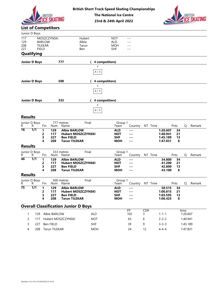





# List of Competitors

| <b>BRITISH</b><br><b>List of Competitors</b><br>Junior D Boys<br>MOSZCZYNSKI<br>117<br>Hubert<br>129<br><b>BARLOW</b><br>Albie<br>208<br>TILEKAR<br>Tarun<br>227<br><b>FIELD</b><br>Ben<br><b>Qualifying</b><br>777<br><b>Junior D Boys</b><br>500<br><b>Junior D Boys</b><br><b>Junior D Boys</b><br>333<br><b>Results</b><br>Final<br>Junior D Boys<br>777 metres<br>R.<br>Fin<br>R<br>Num Name<br>$\overline{16}$<br>$\overline{1/1}$<br><b>Albie BARLOW</b><br>$\mathbf{1}$<br>129<br>2<br>117<br><b>Hubert MOSZCZYNSKI</b><br>227<br>3<br><b>Ben FIELD</b><br>208<br><b>Tarun TILEKAR</b><br>4<br><b>Results</b><br>333 metres<br>Final<br>Junior D Boys<br>R<br>Fin<br>R<br>Num Name<br>$\overline{46}$<br>$\overline{1/1}$<br>129<br><b>Albie BARLOW</b><br>-1<br>$\overline{2}$<br>117<br><b>Hubert MOSZCZYNSKI</b><br>3<br>227<br><b>Ben FIELD</b><br>208<br><b>Tarun TILEKAR</b><br>4<br><b>Results</b><br>Final<br>Junior D Boys<br>500 metres | F<br>$A$ ( $\mathit{1)}$<br>F<br>$A$ ( $\it 1)$<br>F<br>$A$ ( $1)$ | <b>British Short Track Speed Skating Championships</b><br><b>The National Ice Centre</b><br>23rd & 24th April 2022<br><b>NOT</b><br>ALD<br><b>MOH</b><br><b>SHF</b><br>4 competitors)<br>4 competitors)<br>4 competitors)<br>Group 1<br>Team | $- - -$<br>$---$<br>$---$<br>$---$ |                 |                      |          |                  |          |
|-----------------------------------------------------------------------------------------------------------------------------------------------------------------------------------------------------------------------------------------------------------------------------------------------------------------------------------------------------------------------------------------------------------------------------------------------------------------------------------------------------------------------------------------------------------------------------------------------------------------------------------------------------------------------------------------------------------------------------------------------------------------------------------------------------------------------------------------------------------------------------------------------------------------------------------------------------------|--------------------------------------------------------------------|----------------------------------------------------------------------------------------------------------------------------------------------------------------------------------------------------------------------------------------------|------------------------------------|-----------------|----------------------|----------|------------------|----------|
|                                                                                                                                                                                                                                                                                                                                                                                                                                                                                                                                                                                                                                                                                                                                                                                                                                                                                                                                                           |                                                                    |                                                                                                                                                                                                                                              |                                    |                 |                      |          |                  |          |
|                                                                                                                                                                                                                                                                                                                                                                                                                                                                                                                                                                                                                                                                                                                                                                                                                                                                                                                                                           |                                                                    |                                                                                                                                                                                                                                              |                                    |                 |                      |          |                  |          |
|                                                                                                                                                                                                                                                                                                                                                                                                                                                                                                                                                                                                                                                                                                                                                                                                                                                                                                                                                           |                                                                    |                                                                                                                                                                                                                                              |                                    |                 |                      |          |                  |          |
|                                                                                                                                                                                                                                                                                                                                                                                                                                                                                                                                                                                                                                                                                                                                                                                                                                                                                                                                                           |                                                                    |                                                                                                                                                                                                                                              |                                    |                 |                      |          |                  |          |
|                                                                                                                                                                                                                                                                                                                                                                                                                                                                                                                                                                                                                                                                                                                                                                                                                                                                                                                                                           |                                                                    |                                                                                                                                                                                                                                              |                                    |                 |                      |          |                  |          |
|                                                                                                                                                                                                                                                                                                                                                                                                                                                                                                                                                                                                                                                                                                                                                                                                                                                                                                                                                           |                                                                    |                                                                                                                                                                                                                                              |                                    |                 |                      |          |                  |          |
|                                                                                                                                                                                                                                                                                                                                                                                                                                                                                                                                                                                                                                                                                                                                                                                                                                                                                                                                                           |                                                                    |                                                                                                                                                                                                                                              |                                    |                 |                      |          |                  |          |
|                                                                                                                                                                                                                                                                                                                                                                                                                                                                                                                                                                                                                                                                                                                                                                                                                                                                                                                                                           |                                                                    |                                                                                                                                                                                                                                              |                                    |                 |                      |          |                  |          |
|                                                                                                                                                                                                                                                                                                                                                                                                                                                                                                                                                                                                                                                                                                                                                                                                                                                                                                                                                           |                                                                    |                                                                                                                                                                                                                                              |                                    |                 |                      |          |                  |          |
|                                                                                                                                                                                                                                                                                                                                                                                                                                                                                                                                                                                                                                                                                                                                                                                                                                                                                                                                                           |                                                                    |                                                                                                                                                                                                                                              |                                    |                 |                      |          |                  |          |
|                                                                                                                                                                                                                                                                                                                                                                                                                                                                                                                                                                                                                                                                                                                                                                                                                                                                                                                                                           |                                                                    |                                                                                                                                                                                                                                              |                                    | Country NT Time |                      | Pnts     | Q                | Remark   |
|                                                                                                                                                                                                                                                                                                                                                                                                                                                                                                                                                                                                                                                                                                                                                                                                                                                                                                                                                           |                                                                    | <b>ALD</b>                                                                                                                                                                                                                                   | ---                                |                 | 1:20.607             | 34       |                  |          |
|                                                                                                                                                                                                                                                                                                                                                                                                                                                                                                                                                                                                                                                                                                                                                                                                                                                                                                                                                           |                                                                    | <b>NOT</b><br><b>SHF</b>                                                                                                                                                                                                                     | ---<br>---                         |                 | 1:40.941<br>1:45.189 | 21<br>13 |                  |          |
|                                                                                                                                                                                                                                                                                                                                                                                                                                                                                                                                                                                                                                                                                                                                                                                                                                                                                                                                                           |                                                                    | <b>MOH</b>                                                                                                                                                                                                                                   | $\sim$ $\sim$ $\sim$               |                 | 1:47.831             | 8        |                  |          |
|                                                                                                                                                                                                                                                                                                                                                                                                                                                                                                                                                                                                                                                                                                                                                                                                                                                                                                                                                           |                                                                    |                                                                                                                                                                                                                                              |                                    |                 |                      |          |                  |          |
|                                                                                                                                                                                                                                                                                                                                                                                                                                                                                                                                                                                                                                                                                                                                                                                                                                                                                                                                                           |                                                                    | Group 1<br>Team                                                                                                                                                                                                                              |                                    | Country NT Time |                      | Pnts     |                  | Q Remark |
|                                                                                                                                                                                                                                                                                                                                                                                                                                                                                                                                                                                                                                                                                                                                                                                                                                                                                                                                                           |                                                                    | <b>ALD</b>                                                                                                                                                                                                                                   | $\qquad \qquad -$                  |                 | 34.800               | 34       |                  |          |
|                                                                                                                                                                                                                                                                                                                                                                                                                                                                                                                                                                                                                                                                                                                                                                                                                                                                                                                                                           |                                                                    | <b>NOT</b><br><b>SHF</b>                                                                                                                                                                                                                     | ---<br>---                         |                 | 41.200<br>42.800     | 21<br>13 |                  |          |
|                                                                                                                                                                                                                                                                                                                                                                                                                                                                                                                                                                                                                                                                                                                                                                                                                                                                                                                                                           |                                                                    | <b>MOH</b>                                                                                                                                                                                                                                   | $\qquad \qquad -$                  |                 | 43.100               | 8        |                  |          |
|                                                                                                                                                                                                                                                                                                                                                                                                                                                                                                                                                                                                                                                                                                                                                                                                                                                                                                                                                           |                                                                    |                                                                                                                                                                                                                                              |                                    |                 |                      |          |                  |          |
| R<br>Fin<br>R<br>Name<br>Num                                                                                                                                                                                                                                                                                                                                                                                                                                                                                                                                                                                                                                                                                                                                                                                                                                                                                                                              |                                                                    | Group 1<br>Team                                                                                                                                                                                                                              | Country                            | NT Time         |                      | Pnts     | Q                | Remark   |
| $\overline{75}$<br>1/1<br>$\mathbf{1}$<br>129<br><b>Albie BARLOW</b><br>117<br><b>Hubert MOSZCZYNSKI</b>                                                                                                                                                                                                                                                                                                                                                                                                                                                                                                                                                                                                                                                                                                                                                                                                                                                  |                                                                    | <b>ALD</b>                                                                                                                                                                                                                                   | $\qquad \qquad -$                  |                 | 50.515               | 34       |                  |          |
| 2<br>227<br>3<br><b>Ben FIELD</b>                                                                                                                                                                                                                                                                                                                                                                                                                                                                                                                                                                                                                                                                                                                                                                                                                                                                                                                         |                                                                    | <b>NOT</b><br><b>SHF</b>                                                                                                                                                                                                                     | $\qquad \qquad -$<br>---           |                 | 1:00.815<br>1:03.595 | 21<br>13 |                  |          |
| 208<br><b>Tarun TILEKAR</b><br>4                                                                                                                                                                                                                                                                                                                                                                                                                                                                                                                                                                                                                                                                                                                                                                                                                                                                                                                          |                                                                    | <b>MOH</b>                                                                                                                                                                                                                                   | $\qquad \qquad -$                  |                 | 1:06.425             | 8        |                  |          |
| <b>Overall Classification Junior D Boys</b>                                                                                                                                                                                                                                                                                                                                                                                                                                                                                                                                                                                                                                                                                                                                                                                                                                                                                                               |                                                                    |                                                                                                                                                                                                                                              |                                    |                 |                      |          |                  |          |
| Albie BARLOW<br>129                                                                                                                                                                                                                                                                                                                                                                                                                                                                                                                                                                                                                                                                                                                                                                                                                                                                                                                                       | ALD                                                                |                                                                                                                                                                                                                                              | $\overline{FP}$<br>102             | CDR<br>3        | $1 - 1 - 1$          |          | time<br>1:20.607 |          |
| Hubert MOSZCZYNSKI<br>117<br>2                                                                                                                                                                                                                                                                                                                                                                                                                                                                                                                                                                                                                                                                                                                                                                                                                                                                                                                            | <b>NOT</b>                                                         |                                                                                                                                                                                                                                              | 63                                 | $\,6\,$         | $2 - 2 - 2$          |          | 1:40.941         |          |
| Ben FIELD<br>227<br>3                                                                                                                                                                                                                                                                                                                                                                                                                                                                                                                                                                                                                                                                                                                                                                                                                                                                                                                                     | <b>SHF</b>                                                         |                                                                                                                                                                                                                                              | 39                                 | 9               | $3 - 3 - 3$          |          | 1:45.189         |          |
| Tarun TILEKAR<br>208<br>4                                                                                                                                                                                                                                                                                                                                                                                                                                                                                                                                                                                                                                                                                                                                                                                                                                                                                                                                 | <b>MOH</b>                                                         |                                                                                                                                                                                                                                              | 24                                 | 12              | $4 - 4 - 4$          |          | 1:47.831         |          |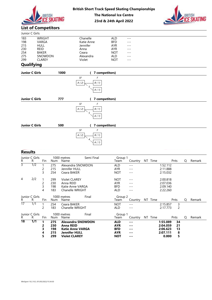



# 23rd & 24th April 2022

# List of Competitors

|                       | <b>BRITISH</b><br><b>ICF SKATING</b> |                    | <b>The National Ice Centre</b><br>23rd & 24th April 2022 | <b>British Short Track Speed Skating Championships</b> | <b>BRITISH</b> |
|-----------------------|--------------------------------------|--------------------|----------------------------------------------------------|--------------------------------------------------------|----------------|
|                       | <b>List of Competitors</b>           |                    |                                                          |                                                        |                |
| Junior C Girls        |                                      |                    |                                                          |                                                        |                |
| 183                   | <b>WRIGHT</b>                        | Chanelle           | <b>ALD</b>                                               | $- - -$                                                |                |
| 198                   | VARGA                                | Katie Anne         | <b>BFD</b>                                               |                                                        |                |
| 215                   | <b>HULL</b>                          | Jennifer           | <b>AYR</b>                                               |                                                        |                |
| 230                   | <b>REID</b>                          | Anna               | <b>AYR</b>                                               |                                                        |                |
| 254                   | <b>BAKER</b><br>SNOWDON              | Ceara<br>Alexandra | <b>NOT</b><br>ALD                                        |                                                        |                |
| 275<br>299            | <b>CLAREY</b>                        | Violet             | <b>NOT</b>                                               | ---<br>---                                             |                |
| Qualifying            |                                      |                    |                                                          |                                                        |                |
| <b>Junior C Girls</b> | 1000                                 |                    | 7 competitors)                                           |                                                        |                |

# **Qualifying**

|                                               |                            | <b>BRITISH</b>                                                                            | <b>SKATING</b>           |                              |                                                 |                         | <b>The National Ice Centre</b><br>23rd & 24th April 2022                              |                                                                                  |                                                                              | <b>British Short Track Speed Skating Championships</b> |                                              | <b>BRITISH</b><br><b>CKATING</b> |  |
|-----------------------------------------------|----------------------------|-------------------------------------------------------------------------------------------|--------------------------|------------------------------|-------------------------------------------------|-------------------------|---------------------------------------------------------------------------------------|----------------------------------------------------------------------------------|------------------------------------------------------------------------------|--------------------------------------------------------|----------------------------------------------|----------------------------------|--|
|                                               | <b>List of Competitors</b> |                                                                                           |                          |                              |                                                 |                         |                                                                                       |                                                                                  |                                                                              |                                                        |                                              |                                  |  |
|                                               | Junior C Girls             |                                                                                           |                          |                              |                                                 |                         |                                                                                       |                                                                                  |                                                                              |                                                        |                                              |                                  |  |
| 183<br>198<br>215<br>230<br>254<br>275<br>299 |                            | WRIGHT<br>VARGA<br><b>HULL</b><br><b>REID</b><br><b>BAKER</b><br>SNOWDON<br><b>CLAREY</b> |                          |                              | Chanelle<br>Jennifer<br>Anna<br>Ceara<br>Violet | Katie Anne<br>Alexandra |                                                                                       | <b>ALD</b><br><b>BFD</b><br>AYR<br><b>AYR</b><br><b>NOT</b><br>ALD<br><b>NOT</b> | $\sim$ $\sim$ $\sim$<br>$---$<br>$---$<br>$- - -$<br>$---$<br>$---$<br>$- -$ |                                                        |                                              |                                  |  |
|                                               | Qualifying                 |                                                                                           |                          |                              |                                                 |                         |                                                                                       |                                                                                  |                                                                              |                                                        |                                              |                                  |  |
|                                               | Junior C Girls             |                                                                                           |                          | 1000                         |                                                 |                         | (7 competitors)                                                                       |                                                                                  |                                                                              |                                                        |                                              |                                  |  |
|                                               | Junior C Girls             |                                                                                           |                          | 777                          | SF<br>$A(2)$<br>SF<br>$A\ (\ 2)$                | 5<br>5                  | F<br>$B\ (\ 1)$<br>$A$ ( $1)$<br>(7 competitors)<br>F<br>$B\ (\ 1)$<br>$A$ ( $\it 1)$ |                                                                                  |                                                                              |                                                        |                                              |                                  |  |
|                                               | Junior C Girls             |                                                                                           |                          | 500                          |                                                 |                         | (7 competitors)                                                                       |                                                                                  |                                                                              |                                                        |                                              |                                  |  |
|                                               |                            |                                                                                           |                          |                              | SF<br>A(2)                                      | 4                       | F<br>B(1)<br>A(1)<br>$\overline{\phantom{a}}$                                         |                                                                                  |                                                                              |                                                        |                                              |                                  |  |
| <b>Results</b>                                |                            |                                                                                           |                          |                              |                                                 |                         |                                                                                       |                                                                                  |                                                                              |                                                        |                                              |                                  |  |
| R                                             | Junior C Girls<br>R        | Fin                                                                                       |                          | 1000 metres<br>Num Name      |                                                 | Semi Final              |                                                                                       | Group 1<br>Team                                                                  |                                                                              | Country NT Time                                        | Pnts                                         | Q Remark                         |  |
| $\overline{3}$                                | $\overline{1/2}$           | $\mathbf{1}$<br>$\overline{c}$<br>3                                                       | 275<br>215<br>254        | Jennifer HULL<br>Ceara BAKER | Alexandra SNOWDON                               |                         |                                                                                       | ALD<br>AYR<br><b>NOT</b>                                                         | $\scriptstyle \cdots$ $\scriptstyle \cdots$<br>$- - -$<br>$- - -$            |                                                        | 1:52.112<br>2:11.888<br>2:15.032             |                                  |  |
| 4                                             | 2/2                        | $\mathbf{1}$<br>$\overline{c}$<br>3<br>4                                                  | 299<br>230<br>198<br>183 | Violet CLAREY<br>Anna REID   | Katie Anne VARGA<br>Chanelle WRIGHT             |                         |                                                                                       | <b>NOT</b><br>AYR<br><b>BFD</b><br>ALD                                           | $---$<br>$- - -$<br>$---$<br>$---$                                           |                                                        | 2:00.818<br>2:07.036<br>2:09.140<br>2:22.260 |                                  |  |

| 5 <sub>1</sub><br>A(1)                                                                                                                                                                                                                                                                                                                                                                                                                                                                                            |
|-------------------------------------------------------------------------------------------------------------------------------------------------------------------------------------------------------------------------------------------------------------------------------------------------------------------------------------------------------------------------------------------------------------------------------------------------------------------------------------------------------------------|
| 777<br><b>Junior C Girls</b><br>(7 competitors)                                                                                                                                                                                                                                                                                                                                                                                                                                                                   |
| SF<br>F<br>$B\ (\ 1)$<br>A(2)<br>5<br>A(1)                                                                                                                                                                                                                                                                                                                                                                                                                                                                        |
| <b>Junior C Girls</b><br>500<br>(7 competitors)                                                                                                                                                                                                                                                                                                                                                                                                                                                                   |
| SF<br>F<br>$A$ ( $2)$<br>$B\ (\ 1)$<br>4<br>A(1)                                                                                                                                                                                                                                                                                                                                                                                                                                                                  |
| <b>Results</b>                                                                                                                                                                                                                                                                                                                                                                                                                                                                                                    |
| Junior C Girls<br>1000 metres<br>Semi Final<br>Group 1<br>Country NT Time<br>Q<br>Remark<br>R<br>Fin<br>Name<br>Pnts<br>R<br>Num<br>Team                                                                                                                                                                                                                                                                                                                                                                          |
| $\overline{3}$<br>$\overline{1/2}$<br>1:52.112<br>275<br>Alexandra SNOWDON<br>ALD<br>$\overline{1}$<br>$  -$<br>$\overline{c}$<br>215<br>Jennifer HULL<br><b>AYR</b><br>2:11.888<br>$- - -$<br>3<br>254<br>Ceara BAKER<br><b>NOT</b><br>2:15.032<br>$\qquad \qquad - -$                                                                                                                                                                                                                                           |
| 2/2<br>4<br>299<br>Violet CLAREY<br><b>NOT</b><br>2:00.818<br>$---$<br>$\overline{c}$<br>230<br>Anna REID<br><b>AYR</b><br>2:07.036<br>$- - -$<br>3<br>198<br>Katie Anne VARGA<br><b>BFD</b><br>2:09.140<br>$---$<br>183<br>Chanelle WRIGHT<br>ALD<br>2:22.260<br>$\overline{4}$<br>$- - -$                                                                                                                                                                                                                       |
| Junior C Girls<br>1000 metres<br>Final<br>Group 2<br>R.<br>NT Time<br>Pnts<br>Q<br>Remark<br>Fin<br>Country<br>R<br>Num<br>Name<br>Team                                                                                                                                                                                                                                                                                                                                                                           |
| $\overline{17}$<br>1/1<br>254<br>Ceara BAKER<br><b>NOT</b><br>2:15.857<br>$\mathsf 3$<br>-1<br>$  -$<br>$\overline{2}$<br>183<br>Chanelle WRIGHT<br>$\overline{c}$<br><b>ALD</b><br>2:17.773<br>$\sim$ $\sim$ $\sim$                                                                                                                                                                                                                                                                                              |
| Junior C Girls<br>1000 metres<br>Final<br>Group 1<br>$\mathsf{R}$<br>NT Time<br>Pnts<br>Q<br>Remark<br>R<br>Fin<br>Num<br>Name<br>Team<br>Country                                                                                                                                                                                                                                                                                                                                                                 |
| $\overline{18}$<br>$\overline{1/1}$<br>$\mathbf{1}$<br>275<br><b>Alexandra SNOWDON</b><br>1:55.089<br>34<br><b>ALD</b><br>$\sim$ $\sim$ $\sim$<br>230<br><b>Anna REID</b><br><b>AYR</b><br>2:04.059<br>21<br>2<br>$\sim$ $\sim$ $\sim$<br>3<br>198<br><b>BFD</b><br>2:06.623<br>13<br><b>Katie Anne VARGA</b><br>$\sim$ $\sim$ $\sim$<br>215<br><b>Jennifer HULL</b><br><b>AYR</b><br>2:07.111<br>8<br>4<br>$\sim$ $\sim$ $\sim$<br>299<br>5<br>5<br><b>Violet CLAREY</b><br><b>NOT</b><br>0.000<br>$\frac{1}{2}$ |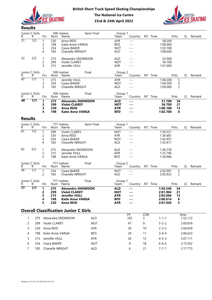



| R.              | Junior C Girls<br>R | Fin                                    | Num                      | Semi Final<br>500 metres<br>Name                                                                | Group 1<br>Team                                      |                                        | Country NT Time | Pnts                                                            | Q | Remark |
|-----------------|---------------------|----------------------------------------|--------------------------|-------------------------------------------------------------------------------------------------|------------------------------------------------------|----------------------------------------|-----------------|-----------------------------------------------------------------|---|--------|
| $\overline{31}$ | $\overline{1/2}$    | 2<br>3<br>4                            | 230<br>198<br>254<br>183 | Anna REID<br>Katie Anne VARGA<br>Ceara BAKER<br>Chanelle WRIGHT                                 | <b>AYR</b><br><b>BFD</b><br><b>NOT</b><br><b>ALD</b> | $- - -$<br>$- - -$<br>$---$<br>$- - -$ |                 | 58.200<br>1:00.000<br>1:03.100<br>1:08.600                      |   |        |
| 32              | 2/2                 | $\overline{1}$<br>$\overline{c}$<br>3  | 275<br>299<br>215        | Alexandra SNOWDON<br><b>Violet CLAREY</b><br>Jennifer HULL                                      | <b>ALD</b><br><b>NOT</b><br><b>AYR</b>               | $---$<br>$- - -$<br>$---$              |                 | 52.000<br>56.100<br>1:01.000                                    |   |        |
| R.              | Junior C Girls<br>R | Fin                                    | Num                      | Final<br>500 metres<br>Name                                                                     | Group 2<br>Team                                      | Country                                | NT Time         | Pnts                                                            | Q | Remark |
| $\overline{47}$ | $\overline{1/1}$    | 2<br>3                                 | 215<br>254<br>183        | Jennifer HULL<br>Ceara BAKER<br>Chanelle WRIGHT                                                 | <b>AYR</b><br><b>NOT</b><br><b>ALD</b>               | $---$<br>$- - -$<br>$---$              |                 | 1:00.200<br>5<br>1:04.300<br>3<br>$\overline{c}$<br>1:09.000    |   |        |
| R.              | Junior C Girls<br>R | Fin                                    | Num                      | Final<br>500 metres<br>Name                                                                     | Group 1<br>Team                                      | Country                                | NT Time         | Pnts                                                            | Q | Remark |
| 48              | $\overline{1/1}$    | -1<br>2<br>3<br>4                      | 275<br>299<br>230<br>198 | <b>Alexandra SNOWDON</b><br><b>Violet CLAREY</b><br><b>Anna REID</b><br><b>Katie Anne VARGA</b> | <b>ALD</b><br><b>NOT</b><br><b>AYR</b><br><b>BFD</b> | $\cdots$<br>$--$<br>$\cdots$<br>---    |                 | 51.700<br>34<br>56.700<br>21<br>1:00.100<br>13<br>1:02.700<br>8 |   |        |
| <b>Results</b>  |                     |                                        |                          |                                                                                                 |                                                      |                                        |                 |                                                                 |   |        |
| R.              | Junior C Girls<br>R | Fin                                    | Num                      | Semi Final<br>777 metres<br>Name                                                                | Group 1<br>Team                                      | Country                                | NT Time         | Pnts                                                            | Q | Remark |
| $\overline{61}$ | $\overline{1/2}$    | $\overline{c}$<br>3<br>$\overline{A}$  | 299<br>230<br>254<br>183 | <b>Violet CLAREY</b><br>Anna REID<br>Ceara BAKER<br>Chanelle WRIGHT                             | <b>NOT</b><br><b>AYR</b><br><b>NOT</b><br><b>ALD</b> | $- - -$<br>$---$<br>$---$<br>$---$     |                 | 1:30.321<br>1:36.681<br>1:42.937<br>1:55.411                    |   |        |
| 62              | 2/2                 | -1<br>$\overline{c}$<br>$\overline{3}$ | 275<br>215<br>198        | Alexandra SNOWDON<br>Jennifer HULL<br>Katie Anne VARGA                                          | <b>ALD</b><br><b>AYR</b><br><b>BFD</b>               | $---$<br>$---$<br>$- - -$              |                 | 1:30.778<br>1:35.796<br>1:36.966                                |   |        |
| R.              | Junior C Girls<br>R | Fin                                    | Num                      | Final<br>777 metres<br>Name                                                                     | Group 2<br>Team                                      | Country                                | NT Time         | Pnts                                                            | Q | Remark |
| $\overline{76}$ | 1/1                 | 2                                      | 254<br>183               | Ceara BAKER<br>Chanelle WRIGHT                                                                  | <b>NOT</b><br><b>ALD</b>                             | $- - -$<br>$---$                       |                 | 2:02.991<br>3<br>$\overline{2}$<br>2:05.933                     |   |        |

|                       |                       | 3                   | 215                 | Jennifer HULL                                |            | <b>AYR</b>               | $---$                   |     | 1:01.000             |                     |          |        |
|-----------------------|-----------------------|---------------------|---------------------|----------------------------------------------|------------|--------------------------|-------------------------|-----|----------------------|---------------------|----------|--------|
| R.                    | Junior C Girls<br>R   | Fin                 | Num                 | 500 metres<br>Name                           | Final      | Group 2<br>Team          | Country NT Time         |     |                      | Pnts                | Q        | Remark |
| $\overline{47}$       | 1/1                   |                     | 215                 | Jennifer HULL                                |            | AYR                      | $---$                   |     | 1:00.200             | 5                   |          |        |
|                       |                       | $\overline{c}$      | 254                 | Ceara BAKER                                  |            | <b>NOT</b>               | $- - -$                 |     | 1:04.300             | 3                   |          |        |
|                       |                       | 3                   | 183                 | Chanelle WRIGHT                              |            | ALD                      | $---$                   |     | 1:09.000             | $\overline{c}$      |          |        |
| R.                    | Junior C Girls<br>R   | Fin                 | Num                 | 500 metres<br>Name                           | Final      | Group 1<br>Team          | Country NT Time         |     |                      | Pnts                | Q        | Remark |
| $\overline{48}$       | $\overline{1/1}$      | 1                   | 275                 | <b>Alexandra SNOWDON</b>                     |            | <b>ALD</b>               | $\cdots$                |     | 51.700               | 34                  |          |        |
|                       |                       | 2<br>3              | 299<br>230          | <b>Violet CLAREY</b><br><b>Anna REID</b>     |            | <b>NOT</b><br><b>AYR</b> | $\cdots$<br>---         |     | 56.700<br>1:00.100   | 21<br>13            |          |        |
|                       |                       | 4                   | 198                 | <b>Katie Anne VARGA</b>                      |            | <b>BFD</b>               | ---                     |     | 1:02.700             | 8                   |          |        |
| <b>Results</b>        |                       |                     |                     |                                              |            |                          |                         |     |                      |                     |          |        |
| R.                    | Junior C Girls<br>R   | Fin                 | Num                 | 777 metres<br>Name                           | Semi Final | Group 1<br>Team          | Country NT Time         |     |                      | Pnts                | Q        | Remark |
| $\overline{61}$       | $\overline{1/2}$      |                     | 299                 | <b>Violet CLAREY</b>                         |            | <b>NOT</b>               | $- - -$                 |     | 1:30.321             |                     |          |        |
|                       |                       | 2                   | 230                 | Anna REID                                    |            | AYR                      | $---$                   |     | 1:36.681             |                     |          |        |
|                       |                       | 3                   | 254                 | Ceara BAKER                                  |            | <b>NOT</b>               | $---$                   |     | 1:42.937             |                     |          |        |
|                       |                       |                     | 183                 | Chanelle WRIGHT                              |            | <b>ALD</b>               | $---$                   |     | 1:55.411             |                     |          |        |
| 62                    | 2/2                   |                     | 275                 | Alexandra SNOWDON                            |            | <b>ALD</b>               | $---$                   |     | 1:30.778             |                     |          |        |
|                       |                       | 2<br>3              | 215<br>198          | Jennifer HULL<br>Katie Anne VARGA            |            | AYR<br><b>BFD</b>        | $---$<br>$---$          |     | 1:35.796<br>1:36.966 |                     |          |        |
|                       |                       |                     |                     |                                              |            |                          |                         |     |                      |                     |          |        |
| R.                    | Junior C Girls<br>R   | Fin                 |                     | 777 metres<br>Num Name                       | Final      | Group 2<br>Team          | Country NT Time         |     |                      | Pnts                | Q        | Remark |
| 76                    | 1/1                   | $\overline{c}$      | 254<br>183          | Ceara BAKER<br>Chanelle WRIGHT               |            | <b>NOT</b><br>ALD        | $- - -$<br>$---$        |     | 2:02.991<br>2:05.933 | 3<br>$\overline{c}$ |          |        |
|                       | Junior C Girls        |                     |                     | 777 metres                                   | Final      | Group 1                  |                         |     |                      |                     |          |        |
| R.<br>$\overline{77}$ | R<br>$\overline{1/1}$ | Fin<br>$\mathbf{1}$ | Num<br>275          | Name<br><b>Alexandra SNOWDON</b>             |            | Team<br><b>ALD</b>       | Country NT Time<br>$--$ |     | 1:56.346             | Pnts<br>34          | Q        | Remark |
|                       |                       | 2                   | 299                 | <b>Violet CLAREY</b>                         |            | <b>NOT</b>               | ---                     |     | 2:01.904             | 21                  |          |        |
|                       |                       | 3                   | 215                 | <b>Jennifer HULL</b>                         |            | <b>AYR</b>               | $- - -$                 |     | 2:05.866             | 13                  |          |        |
|                       |                       | 5                   | 198<br>230          | <b>Katie Anne VARGA</b><br><b>Anna REID</b>  |            | <b>BFD</b><br><b>AYR</b> | ---<br>$- - -$          |     | 2:06.614<br>2:07.020 | 8<br>5              |          |        |
|                       |                       |                     |                     |                                              |            |                          |                         |     |                      |                     |          |        |
|                       |                       |                     |                     | <b>Overall Classification Junior C Girls</b> |            |                          | FP                      | CDR |                      |                     | time     |        |
| -1                    |                       |                     |                     | 275 Alexandra SNOWDON                        | ALD        |                          | 102                     | 3   | $1 - 1 - 1$          |                     | 1:52.112 |        |
| $2^{\circ}$           |                       |                     | 299 Violet CLAREY   |                                              | <b>NOT</b> |                          | 47                      | 9   | $5 - 2 - 2$          |                     | 2:00.818 |        |
| 3                     |                       |                     | 230 Anna REID       |                                              | AYR        |                          | 39                      | 10  | $2 - 3 - 5$          |                     | 2:04.059 |        |
| 4                     | 198                   |                     |                     | Katie Anne VARGA                             | <b>BFD</b> |                          | 29                      | 11  | $3 - 4 - 4$          |                     | 2:06.623 |        |
| 5                     |                       |                     | 215 Jennifer HULL   |                                              | AYR        |                          | 26                      | 12  | $4 - 5 - 3$          |                     | 2:07.111 |        |
| 6                     |                       |                     | 254 Ceara BAKER     |                                              | <b>NOT</b> |                          | 9                       | 18  | $6 - 6 - 6$          |                     | 2:15.032 |        |
| 7                     |                       |                     | 183 Chanelle WRIGHT |                                              | ALD        |                          | 6                       | 21  | $7 - 7 - 7$          |                     | 2:17.773 |        |
|                       |                       |                     |                     |                                              |            |                          |                         |     |                      |                     |          |        |
|                       |                       |                     |                     |                                              |            |                          |                         |     |                      |                     |          |        |
|                       |                       |                     |                     |                                              |            |                          |                         |     |                      |                     |          |        |
|                       |                       |                     |                     |                                              |            |                          |                         |     |                      |                     |          |        |
|                       |                       |                     |                     |                                              |            |                          |                         |     |                      |                     |          |        |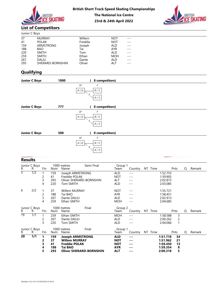



# List of Competitors

|                                                    |                                                                                                           | <b>BRITISH</b><br><b>ICE SKATING</b> |                                                                       | <b>The National Ice Centre</b><br>23rd & 24th April 2022                                                     | <b>British Short Track Speed Skating Championships</b> | <b>BRITISH</b> |
|----------------------------------------------------|-----------------------------------------------------------------------------------------------------------|--------------------------------------|-----------------------------------------------------------------------|--------------------------------------------------------------------------------------------------------------|--------------------------------------------------------|----------------|
|                                                    | <b>List of Competitors</b>                                                                                |                                      |                                                                       |                                                                                                              |                                                        |                |
| Junior C Boys                                      |                                                                                                           |                                      |                                                                       |                                                                                                              |                                                        |                |
| 37<br>41<br>159<br>188<br>220<br>259<br>267<br>293 | <b>MURRAY</b><br><b>POLAK</b><br>ARMSTRONG<br><b>BAO</b><br><b>SMITH</b><br><b>SMITH</b><br><b>DALILI</b> | SHERARD-BORNSHIN                     | Willem<br>Freddie<br>Joseph<br>Tai<br>Tom<br>Ethan<br>Dante<br>Oliver | <b>NOT</b><br><b>NOT</b><br><b>ALD</b><br><b>AYR</b><br><b>ALD</b><br><b>MOH</b><br><b>ALD</b><br><b>ALT</b> | $---$<br>---<br>---<br>$- - -$<br>---<br>---<br>---    |                |
| Qualifying                                         |                                                                                                           |                                      |                                                                       |                                                                                                              |                                                        |                |
| <b>Junior C Boys</b>                               |                                                                                                           | 1000                                 | (                                                                     | 8 competitors)                                                                                               |                                                        |                |

# **Qualifying**

|                                                                 |     | BRITISH                                                                                            |                         |                                        | <b>British Short Track Speed Skating Championships</b>                | <b>The National Ice Centre</b><br>23rd & 24th April 2022            |                                        |                                                                        |                 |                                              |      | BRITISH     |  |
|-----------------------------------------------------------------|-----|----------------------------------------------------------------------------------------------------|-------------------------|----------------------------------------|-----------------------------------------------------------------------|---------------------------------------------------------------------|----------------------------------------|------------------------------------------------------------------------|-----------------|----------------------------------------------|------|-------------|--|
| <b>List of Competitors</b>                                      |     |                                                                                                    |                         |                                        |                                                                       |                                                                     |                                        |                                                                        |                 |                                              |      |             |  |
| Junior C Boys                                                   |     |                                                                                                    |                         |                                        |                                                                       |                                                                     |                                        |                                                                        |                 |                                              |      |             |  |
| $\overline{37}$<br>41<br>159<br>188<br>220<br>259<br>267<br>293 |     | <b>MURRAY</b><br><b>POLAK</b><br>ARMSTRONG<br>BAO<br><b>SMITH</b><br><b>SMITH</b><br><b>DALILI</b> | SHERARD-BORNSHIN        |                                        | Willem<br>Freddie<br>Joseph<br>Tai<br>Tom<br>Ethan<br>Dante<br>Oliver | ALD<br>AYR<br>ALD<br><b>ALD</b><br>ALT                              | <b>NOT</b><br><b>NOT</b><br><b>MOH</b> | $---$<br>$---$<br>$---$<br>$---$<br>$---$<br>$---$<br>$---$<br>$- - -$ |                 |                                              |      |             |  |
| <b>Qualifying</b>                                               |     |                                                                                                    |                         |                                        |                                                                       |                                                                     |                                        |                                                                        |                 |                                              |      |             |  |
| <b>Junior C Boys</b>                                            |     |                                                                                                    |                         | 1000                                   | 0                                                                     | 8 competitors)                                                      |                                        |                                                                        |                 |                                              |      |             |  |
| <b>Junior C Boys</b><br><b>Junior C Boys</b>                    |     |                                                                                                    |                         | 777<br>500                             | 5<br>SF<br>$A$ ( $2)$<br>5<br>$\overline{ }$                          | A(1)<br>8 competitors)<br>F<br>$B\ (\ 1)$<br>A(1)<br>8 competitors) |                                        |                                                                        |                 |                                              |      |             |  |
|                                                                 |     |                                                                                                    |                         |                                        | SF<br>A(2)                                                            | F<br>B(1)<br>$A(1)$<br>$\overline{\phantom{a}}$                     |                                        |                                                                        |                 |                                              |      |             |  |
| <b>Results</b>                                                  |     |                                                                                                    |                         |                                        |                                                                       |                                                                     |                                        |                                                                        |                 |                                              |      |             |  |
| Junior C Boys<br>R.                                             | R.  | Fin                                                                                                | Num                     | 1000 metres<br>Name                    | Semi Final                                                            |                                                                     | Group 1<br>Team                        |                                                                        | Country NT Time |                                              | Pnts | Remark<br>Q |  |
| $\overline{5}$                                                  | 1/2 | -1<br>$\overline{c}$<br>3<br>4                                                                     | 159<br>41<br>293<br>220 | Freddie POLAK<br>Tom SMITH             | Joseph ARMSTRONG<br>Oliver SHERARD-BORNSHIN                           |                                                                     | ALD<br><b>NOT</b><br>ALT<br>ALD        | $\cdots$<br>$- - -$<br>$---$<br>$- - -$                                |                 | 1:52.753<br>1:59.905<br>2:02.873<br>2:03.085 |      |             |  |
| 6                                                               | 2/2 | $\overline{c}$<br>3<br>4                                                                           | 37<br>188<br>267<br>259 | Tai BAO<br>Dante DALILI<br>Ethan SMITH | Willem MURRAY                                                         |                                                                     | <b>NOT</b><br>AYR<br>ALD<br><b>MOH</b> | $---$<br>$- - -$<br>$- - -$<br>$- -$                                   |                 | 1:55.721<br>1:58.451<br>2:02.913<br>2:04.685 |      |             |  |
|                                                                 |     |                                                                                                    |                         |                                        |                                                                       |                                                                     |                                        |                                                                        |                 |                                              |      |             |  |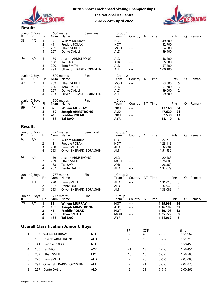



| R.                    | Junior C Boys<br>R | Fin            | Num           | 500 metres<br>Name                          | Semi Final              | Group 1<br>Team          | Country NT Time                                                                                                                                                                                                                                                                                                                                                                              |                  |         |                  | Pnts           | Q        | Remark |
|-----------------------|--------------------|----------------|---------------|---------------------------------------------|-------------------------|--------------------------|----------------------------------------------------------------------------------------------------------------------------------------------------------------------------------------------------------------------------------------------------------------------------------------------------------------------------------------------------------------------------------------------|------------------|---------|------------------|----------------|----------|--------|
| $\overline{33}$       | $\overline{1/2}$   |                | 37            | Willem MURRAY                               |                         | <b>NOT</b>               | $- - -$                                                                                                                                                                                                                                                                                                                                                                                      |                  |         | 49.300           |                |          |        |
|                       |                    | 2              | 41            | Freddie POLAK                               |                         | <b>NOT</b>               | $---$                                                                                                                                                                                                                                                                                                                                                                                        |                  |         | 52.700           |                |          |        |
|                       |                    | 3              | 259           | Ethan SMITH                                 |                         | <b>MOH</b>               | $---$                                                                                                                                                                                                                                                                                                                                                                                        |                  |         | 54.500           |                |          |        |
|                       |                    | 4              | 267           | Dante DALILI                                |                         | ALD                      | $---$                                                                                                                                                                                                                                                                                                                                                                                        |                  |         | 59.400           |                |          |        |
| 34                    | 2/2                |                | 159           | Joseph ARMSTRONG                            |                         | ALD                      | $---$                                                                                                                                                                                                                                                                                                                                                                                        |                  |         | 48.200           |                |          |        |
|                       |                    | 2              | 188           | Tai BAO                                     |                         | AYR                      | $---$                                                                                                                                                                                                                                                                                                                                                                                        |                  |         | 55.300           |                |          |        |
|                       |                    | 3              | 220           | Tom SMITH                                   |                         | ALD                      | $---$                                                                                                                                                                                                                                                                                                                                                                                        |                  |         | 57.200           |                |          |        |
|                       |                    | 4              | 293           |                                             | Oliver SHERARD-BORNSHIN | ALT                      | $---$                                                                                                                                                                                                                                                                                                                                                                                        |                  |         | 1:00.100         |                |          |        |
|                       | Junior C Boys      |                |               | 500 metres                                  | Final                   | Group 2                  |                                                                                                                                                                                                                                                                                                                                                                                              |                  |         |                  |                |          |        |
| R.<br>$\overline{49}$ | R.<br>1/1          | Fin            | Num<br>259    | Name<br>Ethan SMITH                         |                         | Team<br><b>MOH</b>       | Country NT Time<br>$\frac{1}{2}$                                                                                                                                                                                                                                                                                                                                                             |                  |         | 53.800           | Pnts<br>5      | Q        | Remark |
|                       |                    | 2              | 220           | Tom SMITH                                   |                         | ALD                      | $---$                                                                                                                                                                                                                                                                                                                                                                                        |                  |         | 57.700           |                |          |        |
|                       |                    | 3              | 267           | Dante DALILI                                |                         | <b>ALD</b>               | $---$                                                                                                                                                                                                                                                                                                                                                                                        |                  |         | 59.000           | $\overline{c}$ |          |        |
|                       |                    | 4              | 293           |                                             | Oliver SHERARD-BORNSHIN | ALT                      | $---$                                                                                                                                                                                                                                                                                                                                                                                        |                  |         | 59.300           |                |          |        |
|                       | Junior C Boys      |                |               | 500 metres                                  | Final                   | Group 1                  |                                                                                                                                                                                                                                                                                                                                                                                              |                  |         |                  |                |          |        |
| R.                    | R                  | Fin            | Num           | Name                                        |                         | Team                     | Country NT Time                                                                                                                                                                                                                                                                                                                                                                              |                  |         |                  | Pnts           | Q        | Remark |
| 50                    | $\overline{1/1}$   | $\mathbf{1}$   | 37            | <b>Willem MURRAY</b>                        |                         | <b>NOT</b>               | $\frac{1}{2} \frac{1}{2} \frac{1}{2} \frac{1}{2} \frac{1}{2} \frac{1}{2} \frac{1}{2} \frac{1}{2} \frac{1}{2} \frac{1}{2} \frac{1}{2} \frac{1}{2} \frac{1}{2} \frac{1}{2} \frac{1}{2} \frac{1}{2} \frac{1}{2} \frac{1}{2} \frac{1}{2} \frac{1}{2} \frac{1}{2} \frac{1}{2} \frac{1}{2} \frac{1}{2} \frac{1}{2} \frac{1}{2} \frac{1}{2} \frac{1}{2} \frac{1}{2} \frac{1}{2} \frac{1}{2} \frac{$ |                  |         | 47.160           | 34             |          |        |
|                       |                    | 2              | 159           | <b>Joseph ARMSTRONG</b>                     |                         | <b>ALD</b>               | $- - -$                                                                                                                                                                                                                                                                                                                                                                                      |                  |         | 47.620           | 21             |          |        |
|                       |                    | З<br>4         | 41<br>188     | <b>Freddie POLAK</b><br><b>Tai BAO</b>      |                         | <b>NOT</b><br><b>AYR</b> | $- - -$<br>---                                                                                                                                                                                                                                                                                                                                                                               |                  |         | 52.530<br>53.110 | 13<br>8        |          |        |
|                       |                    |                |               |                                             |                         |                          |                                                                                                                                                                                                                                                                                                                                                                                              |                  |         |                  |                |          |        |
| <b>Results</b>        |                    |                |               |                                             |                         |                          |                                                                                                                                                                                                                                                                                                                                                                                              |                  |         |                  |                |          |        |
|                       | Junior C Boys      |                |               | 777 metres                                  | Semi Final              | Group 1                  |                                                                                                                                                                                                                                                                                                                                                                                              |                  |         |                  |                |          |        |
| R.                    | R                  | Fin            | Num           | Name                                        |                         | Team                     | Country NT Time                                                                                                                                                                                                                                                                                                                                                                              |                  |         |                  | Pnts           | Q        | Remark |
| $\overline{63}$       | $\overline{1/2}$   |                | 37            | <b>Willem MURRAY</b>                        |                         | <b>NOT</b>               | $---$                                                                                                                                                                                                                                                                                                                                                                                        |                  |         | 1:22.778         |                |          |        |
|                       |                    | 2              | 41            | Freddie POLAK                               |                         | <b>NOT</b>               | $---$                                                                                                                                                                                                                                                                                                                                                                                        |                  |         | 1:23.118         |                |          |        |
|                       |                    | 3              | 220           | Tom SMITH                                   |                         | <b>ALD</b>               | $---$                                                                                                                                                                                                                                                                                                                                                                                        |                  |         | 1:32.884         |                |          |        |
|                       |                    | $\overline{4}$ | 293           |                                             | Oliver SHERARD-BORNSHIN | ALT                      | $---$                                                                                                                                                                                                                                                                                                                                                                                        |                  |         | 1:51.932         |                |          |        |
| 64                    | 2/2                |                | 159           | Joseph ARMSTRONG                            |                         | ALD                      | $---$                                                                                                                                                                                                                                                                                                                                                                                        |                  |         | 1:20.183         |                |          |        |
|                       |                    | $\overline{c}$ | 259           | Ethan SMITH                                 |                         | <b>MOH</b>               | $---$                                                                                                                                                                                                                                                                                                                                                                                        |                  |         | 1:26.001         |                |          |        |
|                       |                    | 3              | 188           | Tai BAO                                     |                         | <b>AYR</b>               | $---$                                                                                                                                                                                                                                                                                                                                                                                        |                  |         | 1:26.369         |                |          |        |
|                       |                    | 4              | 267           | Dante DALILI                                |                         | ALD                      | $---$                                                                                                                                                                                                                                                                                                                                                                                        |                  |         | 1:34.679         |                |          |        |
|                       | Junior C Boys      |                |               | 777 metres                                  | Final                   | Group 2                  |                                                                                                                                                                                                                                                                                                                                                                                              |                  |         |                  |                |          |        |
| R.                    | R.                 | Fin            | Num           | Name                                        |                         | Team                     | Country                                                                                                                                                                                                                                                                                                                                                                                      |                  | NT Time |                  | Pnts           | Q        | Remark |
| 78                    | 1/1                | -1             | 220           | Tom SMITH                                   |                         | ALD                      | $---$                                                                                                                                                                                                                                                                                                                                                                                        |                  |         | 1:31.013         | 3              |          |        |
|                       |                    | 2              | 267           | Dante DALILI                                |                         | ALD                      | $---$                                                                                                                                                                                                                                                                                                                                                                                        |                  |         | 1:32.945         | $\overline{c}$ |          |        |
|                       |                    | 3              | 293           |                                             | Oliver SHERARD-BORNSHIN | <b>ALT</b>               | $---$                                                                                                                                                                                                                                                                                                                                                                                        |                  |         | 1:33.089         | 1              |          |        |
|                       | Junior C Boys      |                |               | 777 metres                                  | Final                   | Group 1                  |                                                                                                                                                                                                                                                                                                                                                                                              |                  |         |                  |                |          |        |
| R.                    | R                  | Fin            | Num           | Name                                        |                         | Team                     | Country NT Time                                                                                                                                                                                                                                                                                                                                                                              |                  |         |                  | Pnts           | Q        | Remark |
| $\overline{79}$       | 1/1                | 1              | 37            | <b>Willem MURRAY</b>                        |                         | <b>NOT</b>               | $- - -$                                                                                                                                                                                                                                                                                                                                                                                      |                  |         | 1:15.968         | 34             |          |        |
|                       |                    | 2              | 159           | <b>Joseph ARMSTRONG</b>                     |                         | <b>ALD</b>               | $\cdots$                                                                                                                                                                                                                                                                                                                                                                                     |                  |         | 1:16.102         | 21             |          |        |
|                       |                    | 3              | 41            | <b>Freddie POLAK</b>                        |                         | <b>NOT</b>               | $--$                                                                                                                                                                                                                                                                                                                                                                                         |                  |         | 1:19.108         | 13             |          |        |
|                       |                    | 4<br>5         | 259<br>188    | <b>Ethan SMITH</b><br>Tai BAO               |                         | <b>MOH</b><br><b>AYR</b> | ---                                                                                                                                                                                                                                                                                                                                                                                          |                  |         | 1:25.722         | 8              |          |        |
|                       |                    |                |               |                                             |                         |                          | $--$                                                                                                                                                                                                                                                                                                                                                                                         |                  |         | 1:41.062         | 5              |          |        |
|                       |                    |                |               | <b>Overall Classification Junior C Boys</b> |                         |                          |                                                                                                                                                                                                                                                                                                                                                                                              |                  |         |                  |                |          |        |
|                       |                    |                |               |                                             |                         |                          | FP                                                                                                                                                                                                                                                                                                                                                                                           | CDR              |         |                  |                | time     |        |
| 1                     | 37                 |                | Willem MURRAY |                                             | <b>NOT</b>              |                          | 89                                                                                                                                                                                                                                                                                                                                                                                           | 4                |         | $2 - 1 - 1$      |                | 1:51.962 |        |
| 2                     | 159                |                |               | Joseph ARMSTRONG                            | <b>ALD</b>              |                          | 76                                                                                                                                                                                                                                                                                                                                                                                           | 5                |         | $1 - 2 - 2$      |                | 1:51.718 |        |
| 3                     | 41                 |                | Freddie POLAK |                                             | <b>NOT</b>              |                          | 39                                                                                                                                                                                                                                                                                                                                                                                           | $\boldsymbol{9}$ |         | $3 - 3 - 3$      |                | 1:58.450 |        |
| 4                     | 188                | Tai BAO        |               |                                             | AYR                     |                          | 21                                                                                                                                                                                                                                                                                                                                                                                           | 13               |         | $4 - 4 - 5$      |                | 1:58.451 |        |
| 5                     | 259                |                | Ethan SMITH   |                                             | <b>MOH</b>              |                          | 16                                                                                                                                                                                                                                                                                                                                                                                           | 15               |         | $6 - 5 - 4$      |                | 1:58.588 |        |
| 6                     | 220                |                | Tom SMITH     |                                             | <b>ALD</b>              |                          | $\overline{7}$                                                                                                                                                                                                                                                                                                                                                                               | 20               |         | $8 - 6 - 6$      |                | 2:03.085 |        |
|                       |                    |                |               |                                             |                         |                          |                                                                                                                                                                                                                                                                                                                                                                                              |                  |         |                  |                |          |        |

| Junior C Boys |     |     |     | Final<br>777 metres     | Group <sup>1</sup> |                      |    |      |          |      |        |
|---------------|-----|-----|-----|-------------------------|--------------------|----------------------|----|------|----------|------|--------|
| R.            |     | Fin | Num | Name                    | Team               | Countrv              | ΝT | Time |          | Pnts | Remark |
| 79            | 1/1 |     | 37  | <b>Willem MURRAY</b>    | <b>NOT</b>         | $--$                 |    |      | 1:15.968 | 34   |        |
|               |     |     | 159 | <b>Joseph ARMSTRONG</b> | ALD                | $\sim$ $\sim$ $\sim$ |    |      | 1:16.102 | 21   |        |
|               |     |     | 41  | <b>Freddie POLAK</b>    | <b>NOT</b>         | $\sim$ $\sim$ $\sim$ |    |      | 1:19.108 | 13   |        |
|               |     |     | 259 | <b>Ethan SMITH</b>      | <b>MOH</b>         | $--$                 |    |      | 1:25.722 | 8    |        |
|               |     |     | 188 | Tai BAO                 | <b>AYR</b>         | $\sim$ $\sim$ $\sim$ |    |      | 1:41.062 |      |        |

# Overall Classification Junior C Boys

|    |                   | $\angle$<br>3<br>4    | 259<br>188<br>267             | Ethan SMITH<br>Tai BAO<br>Dante DALILI                                                                          |            | <b>MOH</b><br><b>AYR</b><br><b>ALD</b>                             | $---$<br>---<br>$- - -$         |          | 1.26.00T<br>1:26.369<br>1:34.679                                                     |                  |        |
|----|-------------------|-----------------------|-------------------------------|-----------------------------------------------------------------------------------------------------------------|------------|--------------------------------------------------------------------|---------------------------------|----------|--------------------------------------------------------------------------------------|------------------|--------|
|    | nior C Boys<br>R. | Fin                   | Num                           | 777 metres<br>Name                                                                                              | Final      | Group 2<br>Team                                                    | Country                         | NT Time  | Pnts                                                                                 | Q                | Remark |
|    | $\overline{1/1}$  | $\mathbf 1$<br>2<br>3 | 220<br>267<br>293             | Tom SMITH<br>Dante DALILI<br>Oliver SHERARD-BORNSHIN                                                            |            | <b>ALD</b><br><b>ALD</b><br>ALT                                    | $---$<br>---                    |          | 1:31.013<br>3<br>$\overline{c}$<br>1:32.945<br>$\mathbf{1}$<br>1:33.089              |                  |        |
|    | nior C Boys<br>R  | Fin                   | Num                           | 777 metres<br>Name                                                                                              | Final      | Group 1<br>Team                                                    | Country                         | NT Time  | Pnts                                                                                 | Q                | Remark |
|    | 1/1               | 1<br>2<br>3<br>4<br>5 | 37<br>159<br>41<br>259<br>188 | <b>Willem MURRAY</b><br><b>Joseph ARMSTRONG</b><br><b>Freddie POLAK</b><br><b>Ethan SMITH</b><br><b>Tai BAO</b> |            | <b>NOT</b><br><b>ALD</b><br><b>NOT</b><br><b>MOH</b><br><b>AYR</b> | ---<br>---<br>---<br>---<br>--- |          | 1:15.968<br>34<br>21<br>1:16.102<br>13<br>1:19.108<br>8<br>1:25.722<br>5<br>1:41.062 |                  |        |
|    |                   |                       |                               | verall Classification Junior C Boys                                                                             |            |                                                                    |                                 |          |                                                                                      |                  |        |
| 1  | 37                |                       | Willem MURRAY                 |                                                                                                                 | <b>NOT</b> |                                                                    | $\overline{FP}$<br>89           | CDR<br>4 | $2 - 1 - 1$                                                                          | time<br>1:51.962 |        |
| 2  | 159               |                       |                               | Joseph ARMSTRONG                                                                                                | <b>ALD</b> |                                                                    | 76                              | 5        | $1 - 2 - 2$                                                                          | 1:51.718         |        |
| 3  | 41                |                       | Freddie POLAK                 |                                                                                                                 | <b>NOT</b> |                                                                    | 39                              | 9        | $3 - 3 - 3$                                                                          | 1:58.450         |        |
|    | 188               | Tai BAO               |                               |                                                                                                                 | AYR        |                                                                    | 21                              | 13       | $4 - 4 - 5$                                                                          | 1:58.451         |        |
| 4  |                   |                       |                               |                                                                                                                 |            |                                                                    |                                 |          |                                                                                      |                  |        |
| 5. | 259               |                       | Ethan SMITH                   |                                                                                                                 | <b>MOH</b> |                                                                    | 16                              | 15       | $6 - 5 - 4$                                                                          | 1:58.588         |        |
| 6  | 220               |                       | Tom SMITH                     |                                                                                                                 | <b>ALD</b> |                                                                    | $\overline{7}$                  | 20       | $8 - 6 - 6$                                                                          | 2:03.085         |        |
| 7  | 293               |                       |                               | Oliver SHERARD-BORNSHIN                                                                                         | <b>ALT</b> |                                                                    | $\overline{7}$                  | 21       | $5 - 8 - 8$                                                                          | 2:02.873         |        |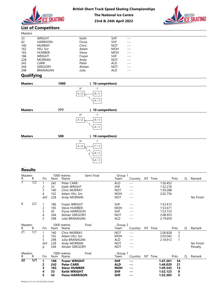



#### Masters

|                | BRITISH<br><b>ICE SKATING</b> |          | <b>The National Ice Centre</b> | <b>British Short Track Speed Skating Championships</b> | <b>BRITISH</b> |
|----------------|-------------------------------|----------|--------------------------------|--------------------------------------------------------|----------------|
|                |                               |          | 23rd & 24th April 2022         |                                                        |                |
|                | <b>List of Competitors</b>    |          |                                |                                                        |                |
| <b>Masters</b> |                               |          |                                |                                                        |                |
| 33             | <b>WRIGHT</b>                 | Keith    | <b>SHF</b>                     | $---$                                                  |                |
| 42             | <b>HARRISON</b>               | Fiona    | <b>SHF</b>                     |                                                        |                |
| 140            | <b>MURRAY</b>                 | Chris    | <b>NOT</b>                     | ---                                                    |                |
| 162            | <b>HILL Snr</b>               | Adam     | <b>MOH</b>                     | ---                                                    |                |
| 165            | <b>HUMBER</b>                 | Steve    | <b>MOH</b>                     | ---                                                    |                |
| 186            | <b>WRIGHT</b>                 | Frazer   | <b>SHF</b>                     | $- - -$                                                |                |
| 228            | <b>MORRAN</b>                 | Andy     | <b>NOT</b>                     |                                                        |                |
| 242            | CARR                          | Peter    | <b>ALD</b>                     |                                                        |                |
| 244            | <b>GREGORY</b>                | Alistair | <b>NOT</b>                     |                                                        |                |
| 298            | BRANAGAN                      | Julia    | <b>ALD</b>                     | ---                                                    |                |
| Qualifying     |                               |          |                                |                                                        |                |
| <b>Masters</b> | 1000                          |          | (10 competitors)               |                                                        |                |

# **Qualifying**

|                                                                  |                                                                                                                                                 |                                |                                                                            |                                                                                          | <b>British Short Track Speed Skating Championships</b><br><b>The National Ice Centre</b><br>23rd & 24th April 2022 |                                                                                                                     |                                                                                              |  |                                                          |   |           |
|------------------------------------------------------------------|-------------------------------------------------------------------------------------------------------------------------------------------------|--------------------------------|----------------------------------------------------------------------------|------------------------------------------------------------------------------------------|--------------------------------------------------------------------------------------------------------------------|---------------------------------------------------------------------------------------------------------------------|----------------------------------------------------------------------------------------------|--|----------------------------------------------------------|---|-----------|
|                                                                  | <b>List of Competitors</b>                                                                                                                      |                                |                                                                            |                                                                                          |                                                                                                                    |                                                                                                                     |                                                                                              |  |                                                          |   |           |
| Masters                                                          |                                                                                                                                                 |                                |                                                                            |                                                                                          |                                                                                                                    |                                                                                                                     |                                                                                              |  |                                                          |   |           |
| 33<br>42<br>140<br>162<br>165<br>186<br>228<br>242<br>244<br>298 | WRIGHT<br><b>HARRISON</b><br><b>MURRAY</b><br><b>HILL Snr</b><br><b>HUMBER</b><br><b>WRIGHT</b><br><b>MORRAN</b><br>CARR<br>GREGORY<br>BRANAGAN |                                |                                                                            | Keith<br>Fiona<br>Chris<br>Adam<br>Steve<br>Frazer<br>Andy<br>Peter<br>Alistair<br>Julia |                                                                                                                    | <b>SHF</b><br>SHF<br><b>NOT</b><br><b>MOH</b><br><b>MOH</b><br><b>SHF</b><br><b>NOT</b><br>ALD<br><b>NOT</b><br>ALD | $- - -$<br>$---$<br>$- -$<br>$---$<br>$---$<br>$- - -$<br>$---$<br>$---$<br>$- - -$<br>$---$ |  |                                                          |   |           |
| Qualifying                                                       |                                                                                                                                                 |                                |                                                                            |                                                                                          |                                                                                                                    |                                                                                                                     |                                                                                              |  |                                                          |   |           |
| <b>Masters</b>                                                   |                                                                                                                                                 |                                | 1000                                                                       |                                                                                          | (10 competitors)                                                                                                   |                                                                                                                     |                                                                                              |  |                                                          |   |           |
| <b>Masters</b>                                                   |                                                                                                                                                 |                                | 777                                                                        | A(2)<br>SF<br>A(2)                                                                       | B(1)<br>5<br>A(1)<br>(10 competitors)<br>F<br>B(1)<br>5<br>A(1)                                                    |                                                                                                                     |                                                                                              |  |                                                          |   |           |
| <b>Masters</b>                                                   |                                                                                                                                                 |                                | 500                                                                        |                                                                                          | (10 competitors)                                                                                                   |                                                                                                                     |                                                                                              |  |                                                          |   |           |
|                                                                  |                                                                                                                                                 |                                |                                                                            | SF<br>A(2)                                                                               | F<br>C(1)<br>4<br>B(1)<br>4<br>A(1)                                                                                |                                                                                                                     |                                                                                              |  |                                                          |   |           |
| <b>Results</b>                                                   |                                                                                                                                                 |                                |                                                                            |                                                                                          |                                                                                                                    |                                                                                                                     |                                                                                              |  |                                                          |   |           |
| Masters<br>$\mathsf{R}^-$<br>${\sf R}$                           | Fin                                                                                                                                             | Num                            | 1000 metres<br>Name                                                        |                                                                                          | Semi Final                                                                                                         | Group 1<br>Team                                                                                                     | Country NT Time                                                                              |  | Pnts                                                     | Q | Remark    |
| $\overline{7}$<br>1/2                                            | $\mathbf 1$<br>$\overline{c}$<br>$\mathsf 3$<br>$\overline{4}$<br>dnf                                                                           | 242<br>33<br>140<br>162<br>228 | Peter CARR<br>Keith WRIGHT<br>Chris MURRAY<br>Adam HILL Snr<br>Andy MORRAN |                                                                                          |                                                                                                                    | <b>ALD</b><br><b>SHF</b><br><b>NOT</b><br><b>MOH</b><br><b>NOT</b>                                                  | $--\,$<br>$- - -$<br>$- -$<br>$- - -$<br>$- - -$                                             |  | 1:50.452<br>1:52.276<br>1:59.288<br>2:02.756             |   | No Finish |
| 2/2<br>8                                                         | $\overline{1}$<br>$\overline{c}$<br>3<br>4<br>5                                                                                                 | 186<br>165<br>42<br>244<br>298 | Frazer WRIGHT<br>Steve HUMBER                                              | Fiona HARRISON<br>Alistair GREGORY<br>Julia BRANAGAN                                     |                                                                                                                    | <b>SHF</b><br><b>MOH</b><br><b>SHF</b><br><b>NOT</b><br><b>ALD</b>                                                  | $- - -$<br>$- -$<br>$---$<br>$---$<br>$--\,$                                                 |  | 1:53.413<br>1:53.671<br>1:53.733<br>2:08.953<br>2:19.659 |   |           |

## Results

|                 |                  |                                  |                                 | ,,,                                                                                                              | $($ to competitors)                         |                                                                    |                                                                                                                                                                                                                                                                                                                                                                                                                                                                  |         |                                                                                      |   |                      |
|-----------------|------------------|----------------------------------|---------------------------------|------------------------------------------------------------------------------------------------------------------|---------------------------------------------|--------------------------------------------------------------------|------------------------------------------------------------------------------------------------------------------------------------------------------------------------------------------------------------------------------------------------------------------------------------------------------------------------------------------------------------------------------------------------------------------------------------------------------------------|---------|--------------------------------------------------------------------------------------|---|----------------------|
|                 |                  |                                  |                                 | SF<br>A(2)                                                                                                       | F<br>$B\ (\ 1)$<br>5<br>A(1)                |                                                                    |                                                                                                                                                                                                                                                                                                                                                                                                                                                                  |         |                                                                                      |   |                      |
| <b>Masters</b>  |                  |                                  |                                 | 500                                                                                                              | (10 competitors)                            |                                                                    |                                                                                                                                                                                                                                                                                                                                                                                                                                                                  |         |                                                                                      |   |                      |
|                 |                  |                                  |                                 | SF<br>$A(2)$                                                                                                     | F<br>$C(1)$<br>$B\ (\ 1)$<br>$A$ ( $\it 1)$ |                                                                    |                                                                                                                                                                                                                                                                                                                                                                                                                                                                  |         |                                                                                      |   |                      |
| <b>Results</b>  |                  |                                  |                                 |                                                                                                                  |                                             |                                                                    |                                                                                                                                                                                                                                                                                                                                                                                                                                                                  |         |                                                                                      |   |                      |
| Masters<br>R.   | R                | Fin                              | Num                             | 1000 metres<br>Name                                                                                              | Semi Final                                  | Group 1<br>Team                                                    | Country                                                                                                                                                                                                                                                                                                                                                                                                                                                          | NT Time | Pnts                                                                                 | Q | Remark               |
| $\overline{7}$  | 1/2              | 2<br>3<br>4<br>dnf               | 242<br>33<br>140<br>162<br>228  | Peter CARR<br>Keith WRIGHT<br>Chris MURRAY<br>Adam HILL Snr<br>Andy MORRAN                                       |                                             | <b>ALD</b><br><b>SHF</b><br><b>NOT</b><br><b>MOH</b><br><b>NOT</b> | $---$<br>$- - -$<br>$\qquad \qquad - -$<br>$---$<br>$---$                                                                                                                                                                                                                                                                                                                                                                                                        |         | 1:50.452<br>1:52.276<br>1:59.288<br>2:02.756                                         |   | No Finish            |
| 8               | 2/2              | $\overline{c}$<br>3<br>4<br>5    | 186<br>165<br>42<br>244<br>298  | Frazer WRIGHT<br><b>Steve HUMBER</b><br>Fiona HARRISON<br><b>Alistair GREGORY</b><br>Julia BRANAGAN              |                                             | SHF<br><b>MOH</b><br><b>SHF</b><br><b>NOT</b><br>ALD               | $---$<br>$\qquad \qquad - -$<br>$\qquad \qquad - -$<br>$---$<br>$\qquad \qquad - -$                                                                                                                                                                                                                                                                                                                                                                              |         | 1:53.413<br>1:53.671<br>1:53.733<br>2:08.953<br>2:19.659                             |   |                      |
| Masters<br>R.   | R                | Fin                              | Num                             | 1000 metres<br>Final<br>Name                                                                                     |                                             | Group 2<br>Team                                                    | Country                                                                                                                                                                                                                                                                                                                                                                                                                                                          | NT Time | Pnts                                                                                 | Q | Remark               |
| $\overline{21}$ | $\overline{1/1}$ | $\overline{c}$<br>3<br>dnf<br>p  | 140<br>162<br>298<br>228<br>244 | Chris MURRAY<br>Adam HILL Snr<br>Julia BRANAGAN<br>Andy MORRAN<br>Alistair GREGORY                               |                                             | <b>NOT</b><br><b>MOH</b><br>ALD<br><b>NOT</b><br><b>NOT</b>        | $- - -$<br>$\qquad \qquad - -$<br>$---$<br>$- - -$<br>$- - -$                                                                                                                                                                                                                                                                                                                                                                                                    |         | 2:00.828<br>3<br>2:03.042<br>$\overline{c}$<br>2:18.912<br>1                         |   | No Finish<br>Penalty |
| Masters<br>R.   | R                | Fin                              | Num                             | 1000 metres<br>Name                                                                                              | Final                                       | Group 1<br>Team                                                    | Country NT Time                                                                                                                                                                                                                                                                                                                                                                                                                                                  |         | Pnts                                                                                 | Q | Remark               |
| $\overline{22}$ | $\overline{1/1}$ | $\mathbf{1}$<br>2<br>3<br>4<br>5 | 186<br>242<br>165<br>33<br>42   | <b>Frazer WRIGHT</b><br><b>Peter CARR</b><br><b>Steve HUMBER</b><br><b>Keith WRIGHT</b><br><b>Fiona HARRISON</b> |                                             | <b>SHF</b><br><b>ALD</b><br><b>MOH</b><br><b>SHF</b><br><b>SHF</b> | $\frac{1}{2} \frac{1}{2} \frac{1}{2} \frac{1}{2} \frac{1}{2} \frac{1}{2} \frac{1}{2} \frac{1}{2} \frac{1}{2} \frac{1}{2} \frac{1}{2} \frac{1}{2} \frac{1}{2} \frac{1}{2} \frac{1}{2} \frac{1}{2} \frac{1}{2} \frac{1}{2} \frac{1}{2} \frac{1}{2} \frac{1}{2} \frac{1}{2} \frac{1}{2} \frac{1}{2} \frac{1}{2} \frac{1}{2} \frac{1}{2} \frac{1}{2} \frac{1}{2} \frac{1}{2} \frac{1}{2} \frac{$<br>$--$<br>$\sim$ $\sim$ $\sim$<br>$\cdots$<br>$\sim$ $\sim$ $\sim$ |         | 1:47.261<br>34<br>1:48.029<br>21<br>13<br>1:49.343<br>1:52.123<br>8<br>1:52.303<br>5 |   |                      |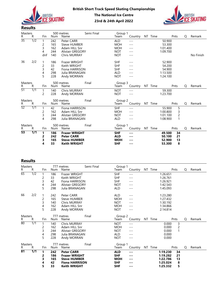



| Masters               |                  |                |     | 500 metres              | Semi Final | Group 1         |                                |         |          |                |   |           |
|-----------------------|------------------|----------------|-----|-------------------------|------------|-----------------|--------------------------------|---------|----------|----------------|---|-----------|
| R.<br>$\overline{35}$ | R                | Fin            | Num | Name                    |            | Team            | Country NT Time                |         |          | Pnts           | Q | Remark    |
|                       | $\overline{1/2}$ | $\mathbf 1$    | 242 | Peter CARR              |            | ALD             | $---$                          |         | 50.900   |                |   |           |
|                       |                  | $\overline{c}$ | 165 | <b>Steve HUMBER</b>     |            | <b>MOH</b>      | $---$                          |         | 53.300   |                |   |           |
|                       |                  | 3              | 162 | Adam HILL Snr           |            | <b>MOH</b>      | $---$                          |         | 1:01.400 |                |   |           |
|                       |                  | 4              | 244 | <b>Alistair GREGORY</b> |            | <b>NOT</b>      | $---$                          |         | 1:09.700 |                |   |           |
|                       |                  | dnf            | 140 | <b>Chris MURRAY</b>     |            | <b>NOT</b>      | $- - -$                        |         |          |                |   | No Finish |
| 36                    | 2/2              | -1             | 186 | Frazer WRIGHT           |            | <b>SHF</b>      | $- - -$                        |         | 52.900   |                |   |           |
|                       |                  | $\overline{c}$ | 33  | Keith WRIGHT            |            | <b>SHF</b>      | $- - -$                        |         | 54.200   |                |   |           |
|                       |                  | 3              | 42  | Fiona HARRISON          |            | <b>SHF</b>      | $---$                          |         | 54.900   |                |   |           |
|                       |                  | 4              | 298 | Julia BRANAGAN          |            | <b>ALD</b>      | $\qquad \qquad - -$            |         | 1:13.500 |                |   |           |
|                       |                  | 5              | 228 | Andy MORRAN             |            | <b>NOT</b>      | $ -$                           |         | 1:24.100 |                |   |           |
|                       |                  |                |     |                         |            |                 |                                |         |          |                |   |           |
| Masters<br>R.         | R                | Fin            | Num | 500 metres<br>Name      | Final      | Group 3<br>Team | Country                        | NT Time |          | Pnts           | Q | Remark    |
| $\overline{51}$       | $\overline{1/1}$ |                |     |                         |            |                 |                                |         |          |                |   |           |
|                       |                  | $\overline{1}$ | 140 | Chris MURRAY            |            | <b>NOT</b>      | $- - -$                        |         | 59.300   |                |   |           |
|                       |                  | $\overline{2}$ | 228 | Andy MORRAN             |            | <b>NOT</b>      | $\qquad \qquad - -$            |         | 1:23.700 |                |   |           |
| Masters               |                  |                |     | 500 metres              | Final      | Group 2         |                                |         |          |                |   |           |
| R.                    | R                | Fin            | Num | Name                    |            | Team            | Country                        | NT Time |          | Pnts           | Q | Remark    |
| $\overline{52}$       | $\overline{1/1}$ | $\overline{1}$ | 42  | Fiona HARRISON          |            | <b>SHF</b>      | $\qquad \qquad - -$            |         | 55.900   | 5              |   |           |
|                       |                  | $\overline{c}$ | 162 | Adam HILL Snr           |            | <b>MOH</b>      | $- - -$                        |         | 1:00.800 | 3              |   |           |
|                       |                  | 3              | 244 | <b>Alistair GREGORY</b> |            | <b>NOT</b>      | $- - -$                        |         | 1:01.100 | $\overline{c}$ |   |           |
|                       |                  | 4              | 298 | Julia BRANAGAN          |            | <b>ALD</b>      | $- - -$                        |         | 1:08.900 | $\mathbf{1}$   |   |           |
| Masters               |                  |                |     | 500 metres              | Final      | Group 1         |                                |         |          |                |   |           |
| R.                    | R                | Fin            | Num | Name                    |            | Team            | Country NT Time                |         |          | Pnts           | Q | Remark    |
| $\overline{53}$       | $\overline{1/1}$ | $\mathbf{1}$   | 186 | <b>Frazer WRIGHT</b>    |            | <b>SHF</b>      | $\sim$ $\sim$ $\sim$           |         | 49.500   | 34             |   |           |
|                       |                  | 2              | 242 | <b>Peter CARR</b>       |            | <b>ALD</b>      | ---                            |         | 50.100   | 21             |   |           |
|                       |                  | 3              | 165 | <b>Steve HUMBER</b>     |            | <b>MOH</b>      | $--$                           |         | 52.900   | 13             |   |           |
|                       |                  | 4              | 33  | <b>Keith WRIGHT</b>     |            | <b>SHF</b>      | $- - -$                        |         | 53.300   | 8              |   |           |
|                       |                  |                |     |                         |            |                 |                                |         |          |                |   |           |
|                       |                  |                |     |                         |            |                 |                                |         |          |                |   |           |
|                       |                  |                |     |                         |            |                 |                                |         |          |                |   |           |
| <b>Results</b>        |                  |                |     |                         |            |                 |                                |         |          |                |   |           |
| Masters               |                  |                |     | 777 metres              | Semi Final | Group 1         |                                |         |          |                |   |           |
| R.                    | R                | Fin            | Num | Name                    |            | Team            | Country                        | NT Time |          | Pnts           | Q | Remark    |
| $\overline{65}$       | $\overline{1/2}$ | $\overline{1}$ | 186 | Frazer WRIGHT           |            | SHF             | $\frac{1}{2}$                  |         | 1:26.651 |                |   |           |
|                       |                  | $\overline{c}$ | 33  | Keith WRIGHT            |            | <b>SHF</b>      | $\!\!\!\!\!-\!-\!$ $\!\!\!-\!$ |         | 1:26.761 |                |   |           |
|                       |                  | 3              | 42  | Fiona HARRISON          |            | SHF             | $- - -$                        |         | 1:26.921 |                |   |           |
|                       |                  | 4              | 244 | <b>Alistair GREGORY</b> |            | <b>NOT</b>      | $- - -$                        |         | 1:42.543 |                |   |           |
|                       |                  | 5              | 298 | Julia BRANAGAN          |            | <b>ALD</b>      | $- - -$                        |         | 1:45.093 |                |   |           |
|                       |                  |                |     |                         |            |                 |                                |         |          |                |   |           |
| 66                    | 2/2              | $\overline{1}$ | 242 | Peter CARR              |            | <b>ALD</b>      | $---$                          |         | 1:23.280 |                |   |           |
|                       |                  | $\overline{c}$ | 165 | <b>Steve HUMBER</b>     |            | <b>MOH</b>      | $---$                          |         | 1:27.432 |                |   |           |
|                       |                  | 3              | 140 | <b>Chris MURRAY</b>     |            | <b>NOT</b>      | $---$                          |         | 1:30.192 |                |   |           |
|                       |                  | 4              | 162 | Adam HILL Snr           |            | <b>MOH</b>      | $- - -$                        |         | 1:34.866 |                |   |           |
|                       |                  | 5              | 228 | Andy MORRAN             |            | <b>NOT</b>      | $---$                          |         | 2:14.814 |                |   |           |

| <u>iiusteis</u><br>R. | R                | Fin          | Num | $300111$ cu cu<br>.<br>Name |            | $OIOUP -$<br>Team | Country                                                                                                                                                                                                                                                                                                                                                                                      | NT Time |                      | Pnts           | Q | Remark |
|-----------------------|------------------|--------------|-----|-----------------------------|------------|-------------------|----------------------------------------------------------------------------------------------------------------------------------------------------------------------------------------------------------------------------------------------------------------------------------------------------------------------------------------------------------------------------------------------|---------|----------------------|----------------|---|--------|
| $\overline{52}$       | $\overline{1/1}$ |              | 42  | Fiona HARRISON              |            | <b>SHF</b>        | $---$                                                                                                                                                                                                                                                                                                                                                                                        |         | 55.900               | 5              |   |        |
|                       |                  | 2            | 162 | Adam HILL Snr               |            | <b>MOH</b>        | $---$                                                                                                                                                                                                                                                                                                                                                                                        |         | 1:00.800             | 3              |   |        |
|                       |                  | 3            | 244 | Alistair GREGORY            |            | <b>NOT</b>        | $- - -$                                                                                                                                                                                                                                                                                                                                                                                      |         | 1:01.100             | $\overline{c}$ |   |        |
|                       |                  | 4            | 298 | Julia BRANAGAN              |            | ALD               | $---$                                                                                                                                                                                                                                                                                                                                                                                        |         | 1:08.900             | $\mathbf{1}$   |   |        |
|                       |                  |              |     | 500 metres<br>Final         |            | Group 1           |                                                                                                                                                                                                                                                                                                                                                                                              |         |                      |                |   |        |
| Masters<br>R F        | R                | Fin          | Num | Name                        |            | Team              | Country NT Time                                                                                                                                                                                                                                                                                                                                                                              |         |                      | Pnts           | Q | Remark |
| $\overline{53}$       | $\overline{1/1}$ | $\mathbf{1}$ | 186 | <b>Frazer WRIGHT</b>        |            | <b>SHF</b>        | $\qquad \qquad -$                                                                                                                                                                                                                                                                                                                                                                            |         | 49.500               | 34             |   |        |
|                       |                  | 2            | 242 | <b>Peter CARR</b>           |            | <b>ALD</b>        | $--$                                                                                                                                                                                                                                                                                                                                                                                         |         | 50.100               | 21             |   |        |
|                       |                  | 3            | 165 | <b>Steve HUMBER</b>         |            | <b>MOH</b>        | ---                                                                                                                                                                                                                                                                                                                                                                                          |         | 52.900               | 13             |   |        |
|                       |                  | 4            | 33  | <b>Keith WRIGHT</b>         |            | <b>SHF</b>        | ---                                                                                                                                                                                                                                                                                                                                                                                          |         | 53.300               | 8              |   |        |
|                       |                  |              |     |                             |            |                   |                                                                                                                                                                                                                                                                                                                                                                                              |         |                      |                |   |        |
| <b>Results</b>        |                  |              |     |                             |            |                   |                                                                                                                                                                                                                                                                                                                                                                                              |         |                      |                |   |        |
| Masters<br>R.         | R                | Fin          | Num | 777 metres<br>Name          | Semi Final | Group 1<br>Team   | Country NT Time                                                                                                                                                                                                                                                                                                                                                                              |         |                      | Pnts           | Q | Remark |
| $\overline{65}$       | $\overline{1/2}$ | 1            | 186 | Frazer WRIGHT               |            | SHF               |                                                                                                                                                                                                                                                                                                                                                                                              |         | 1:26.651             |                |   |        |
|                       |                  |              | 33  | Keith WRIGHT                |            | <b>SHF</b>        | $---$<br>$---$                                                                                                                                                                                                                                                                                                                                                                               |         |                      |                |   |        |
|                       |                  | 2<br>3       | 42  | Fiona HARRISON              |            | <b>SHF</b>        |                                                                                                                                                                                                                                                                                                                                                                                              |         | 1:26.761<br>1:26.921 |                |   |        |
|                       |                  | 4            | 244 | Alistair GREGORY            |            | <b>NOT</b>        | $---$<br>$---$                                                                                                                                                                                                                                                                                                                                                                               |         | 1:42.543             |                |   |        |
|                       |                  | 5            | 298 | Julia BRANAGAN              |            | ALD               | $---$                                                                                                                                                                                                                                                                                                                                                                                        |         | 1:45.093             |                |   |        |
|                       |                  |              |     |                             |            |                   |                                                                                                                                                                                                                                                                                                                                                                                              |         |                      |                |   |        |
| 66                    | 2/2              |              | 242 | Peter CARR                  |            | ALD               | $---$                                                                                                                                                                                                                                                                                                                                                                                        |         | 1:23.280             |                |   |        |
|                       |                  | 2            | 165 | <b>Steve HUMBER</b>         |            | <b>MOH</b>        | $---$                                                                                                                                                                                                                                                                                                                                                                                        |         | 1:27.432             |                |   |        |
|                       |                  | 3            | 140 | Chris MURRAY                |            | <b>NOT</b>        | $---$                                                                                                                                                                                                                                                                                                                                                                                        |         | 1:30.192             |                |   |        |
|                       |                  | 4            | 162 | Adam HILL Snr               |            | <b>MOH</b>        | $---$                                                                                                                                                                                                                                                                                                                                                                                        |         | 1:34.866             |                |   |        |
|                       |                  | 5            | 228 | Andy MORRAN                 |            | <b>NOT</b>        | $---$                                                                                                                                                                                                                                                                                                                                                                                        |         | 2:14.814             |                |   |        |
|                       |                  |              |     |                             |            |                   |                                                                                                                                                                                                                                                                                                                                                                                              |         |                      |                |   |        |
| Masters<br>R.         | R                | Fin          | Num | 777 metres<br>Final<br>Name |            | Group 2<br>Team   | Country NT Time                                                                                                                                                                                                                                                                                                                                                                              |         |                      | Pnts           | Q | Remark |
| $\overline{80}$       | 1/1              |              | 140 | Chris MURRAY                |            | <b>NOT</b>        | $---$                                                                                                                                                                                                                                                                                                                                                                                        |         | 0.000                | 3              |   |        |
|                       |                  | 2            | 162 | Adam HILL Snr               |            | <b>MOH</b>        | $---$                                                                                                                                                                                                                                                                                                                                                                                        |         | 0.000                | $\overline{c}$ |   |        |
|                       |                  | 3            | 244 | Alistair GREGORY            |            | <b>NOT</b>        | $---$                                                                                                                                                                                                                                                                                                                                                                                        |         | 0.000                |                |   |        |
|                       |                  | 4            | 298 | Julia BRANAGAN              |            | ALD               | $---$                                                                                                                                                                                                                                                                                                                                                                                        |         | 0.000                |                |   |        |
|                       |                  | 5            | 228 | Andy MORRAN                 |            | <b>NOT</b>        | $---$                                                                                                                                                                                                                                                                                                                                                                                        |         | 0.000                |                |   |        |
|                       |                  |              |     |                             |            |                   |                                                                                                                                                                                                                                                                                                                                                                                              |         |                      |                |   |        |
| Masters<br>R.         | R                | Fin          | Num | Final<br>777 metres<br>Name |            | Group 1<br>Team   | Country NT Time                                                                                                                                                                                                                                                                                                                                                                              |         |                      | Pnts           | Q | Remark |
| 81                    | 1/1              | 1            | 242 | <b>Peter CARR</b>           |            | <b>ALD</b>        | $\frac{1}{2} \frac{1}{2} \frac{1}{2} \frac{1}{2} \frac{1}{2} \frac{1}{2} \frac{1}{2} \frac{1}{2} \frac{1}{2} \frac{1}{2} \frac{1}{2} \frac{1}{2} \frac{1}{2} \frac{1}{2} \frac{1}{2} \frac{1}{2} \frac{1}{2} \frac{1}{2} \frac{1}{2} \frac{1}{2} \frac{1}{2} \frac{1}{2} \frac{1}{2} \frac{1}{2} \frac{1}{2} \frac{1}{2} \frac{1}{2} \frac{1}{2} \frac{1}{2} \frac{1}{2} \frac{1}{2} \frac{$ |         | 1:19.230             | 34             |   |        |
|                       |                  | 2            | 186 | <b>Frazer WRIGHT</b>        |            | <b>SHF</b>        | ---                                                                                                                                                                                                                                                                                                                                                                                          |         | 1:19.282             | 21             |   |        |
|                       |                  | 3            | 165 | <b>Steve HUMBER</b>         |            | <b>MOH</b>        | $\qquad \qquad -$                                                                                                                                                                                                                                                                                                                                                                            |         | 1:22.786             | 13             |   |        |
|                       |                  | 4            | 42  | <b>Fiona HARRISON</b>       |            | <b>SHF</b>        | $\qquad \qquad -$                                                                                                                                                                                                                                                                                                                                                                            |         | 1:25.024             | 8              |   |        |
|                       |                  | 5            | 33  | <b>Keith WRIGHT</b>         |            | <b>SHF</b>        | $\sim$ $\sim$ $\sim$                                                                                                                                                                                                                                                                                                                                                                         |         | 1:25.332             | 5              |   |        |
|                       |                  |              |     |                             |            |                   |                                                                                                                                                                                                                                                                                                                                                                                              |         |                      |                |   |        |
|                       |                  |              |     |                             |            |                   |                                                                                                                                                                                                                                                                                                                                                                                              |         |                      |                |   |        |
|                       |                  |              |     |                             |            |                   |                                                                                                                                                                                                                                                                                                                                                                                              |         |                      |                |   |        |
|                       |                  |              |     |                             |            |                   |                                                                                                                                                                                                                                                                                                                                                                                              |         |                      |                |   |        |
|                       |                  |              |     |                             |            |                   |                                                                                                                                                                                                                                                                                                                                                                                              |         |                      |                |   |        |
|                       |                  |              |     |                             |            |                   |                                                                                                                                                                                                                                                                                                                                                                                              |         |                      |                |   |        |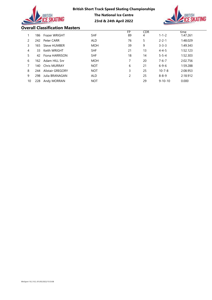|    |     | BRITISH                               | <b>British Short Track Speed Skating Championships</b><br><b>The National Ice Centre</b><br>23rd & 24th April 2022 |          |                 | <b>BRITISH</b> |                  |
|----|-----|---------------------------------------|--------------------------------------------------------------------------------------------------------------------|----------|-----------------|----------------|------------------|
|    |     | <b>Overall Classification Masters</b> |                                                                                                                    |          |                 |                |                  |
| 1  | 186 | Frazer WRIGHT                         | <b>SHF</b>                                                                                                         | FP<br>89 | <b>CDR</b><br>4 | $1 - 1 - 2$    | time<br>1:47.261 |
| 2  | 242 | Peter CARR                            | <b>ALD</b>                                                                                                         | 76       | 5               | $2 - 2 - 1$    | 1:48.029         |
| 3  | 165 | Steve HUMBER                          | <b>MOH</b>                                                                                                         | 39       | 9               | $3 - 3 - 3$    | 1:49.343         |
| 4  | 33  | Keith WRIGHT                          | <b>SHF</b>                                                                                                         | 21       | 13              | $4 - 4 - 5$    | 1:52.123         |
| 5  | 42  | Fiona HARRISON                        | <b>SHF</b>                                                                                                         | 18       | 14              | $5 - 5 - 4$    | 1:52.303         |
| 6  | 162 | Adam HILL Snr                         | <b>MOH</b>                                                                                                         | 7        | 20              | $7 - 6 - 7$    | 2:02.756         |
| 7  | 140 | <b>Chris MURRAY</b>                   | <b>NOT</b>                                                                                                         | 6        | 21              | $6 - 9 - 6$    | 1:59.288         |
| 8  | 244 | <b>Alistair GREGORY</b>               | <b>NOT</b>                                                                                                         | 3        | 25              | $10 - 7 - 8$   | 2:08.953         |
| 9  | 298 | Julia BRANAGAN                        | <b>ALD</b>                                                                                                         | 2        | 25              | $8 - 8 - 9$    | 2:18.912         |
| 10 | 228 | Andy MORRAN                           | <b>NOT</b>                                                                                                         |          | 29              | $9 - 10 - 10$  | 0.000            |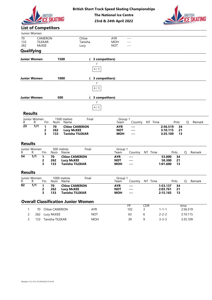



# The National Ice Centre

#### List of Competitors

|                  |                                |                                                         |                            |                                                                     | <b>British Short Track Speed Skating Championships</b> | <b>The National Ice Centre</b><br>23rd & 24th April 2022 |                                                          |                     |                                     |                       | <b>TISH</b> |
|------------------|--------------------------------|---------------------------------------------------------|----------------------------|---------------------------------------------------------------------|--------------------------------------------------------|----------------------------------------------------------|----------------------------------------------------------|---------------------|-------------------------------------|-----------------------|-------------|
|                  | Junior Women                   |                                                         | <b>List of Competitors</b> |                                                                     |                                                        |                                                          |                                                          |                     |                                     |                       |             |
| 70<br>133<br>262 |                                | CAMERON<br>TILEKAR<br>McKEE                             |                            |                                                                     | Chloe<br>Tanisha<br>Lucy                               | AYR<br><b>MOH</b><br><b>NOT</b>                          | $- - -$<br>$---$<br>$---$                                |                     |                                     |                       |             |
|                  | <b>Qualifying</b>              |                                                         |                            |                                                                     |                                                        |                                                          |                                                          |                     |                                     |                       |             |
|                  | <b>Junior Women</b>            |                                                         |                            | 1500                                                                |                                                        | 3 competitors)                                           |                                                          |                     |                                     |                       |             |
|                  |                                |                                                         |                            |                                                                     | F<br>A(1)                                              |                                                          |                                                          |                     |                                     |                       |             |
|                  | <b>Junior Women</b>            |                                                         |                            | 1000                                                                |                                                        | 3 competitors)                                           |                                                          |                     |                                     |                       |             |
|                  |                                |                                                         |                            |                                                                     | F<br>$A$ ( $\it 1)$                                    |                                                          |                                                          |                     |                                     |                       |             |
|                  | <b>Junior Women</b>            |                                                         |                            | 500                                                                 |                                                        | 3 competitors)                                           |                                                          |                     |                                     |                       |             |
|                  |                                |                                                         |                            |                                                                     | F                                                      |                                                          |                                                          |                     |                                     |                       |             |
|                  |                                |                                                         |                            |                                                                     |                                                        |                                                          |                                                          |                     |                                     |                       |             |
|                  |                                |                                                         |                            |                                                                     | $A$ ( $\it 1)$                                         |                                                          |                                                          |                     |                                     |                       |             |
|                  | <b>Results</b><br>Junior Women |                                                         |                            | 1500 metres                                                         | Final                                                  | Group 1                                                  |                                                          |                     |                                     |                       |             |
| R.<br>23         | R.<br>1/1                      | Fin<br>$\mathbf{1}$<br>$\overline{\mathbf{c}}$          | 70<br>262                  | Num Name<br><b>Chloe CAMERON</b><br><b>Lucy McKEE</b>               |                                                        | Team<br><b>AYR</b><br><b>NOT</b>                         | $\cdots$<br>$\sim$ $\sim$ $\sim$                         | Country NT Time     | 2:56.519<br>3:10.115                | Pnts<br>Q<br>34<br>21 | Remark      |
|                  |                                | 3                                                       | 133                        | <b>Tanisha TILEKAR</b>                                              |                                                        | <b>MOH</b>                                               | $\sim$ $\sim$ $\sim$                                     |                     | 3:35.109                            | 13                    |             |
| <b>Results</b>   |                                |                                                         |                            |                                                                     |                                                        |                                                          |                                                          |                     |                                     |                       |             |
| R                | Junior Women<br>R.             | Fin                                                     | Num                        | 500 metres<br>Name                                                  | Final                                                  | Group 1<br>Team                                          |                                                          | Country NT Time     |                                     | Q<br>Pnts             | Remark      |
| $\overline{54}$  | $\overline{1/1}$               | $\mathbf{1}$<br>$\overline{\mathbf{c}}$<br>$\mathbf{3}$ | 70<br>262<br>133           | <b>Chloe CAMERON</b><br><b>Lucy McKEE</b><br><b>Tanisha TILEKAR</b> |                                                        | <b>AYR</b><br><b>NOT</b><br><b>MOH</b>                   | $\cdots$<br>$\sim$ $\sim$ $\sim$<br>$\sim$ $\sim$ $\sim$ |                     | 53.000<br>58.300<br>1:01.600        | 34<br>21<br>13        |             |
| <b>Results</b>   |                                |                                                         |                            |                                                                     |                                                        |                                                          |                                                          |                     |                                     |                       |             |
| R                | Junior Women<br>R              | Fin                                                     | Num                        | 1000 metres<br>Name                                                 | Final                                                  | Group 1<br>Team                                          |                                                          | Country NT Time     |                                     | Pnts<br>Q             | Remark      |
| $\overline{82}$  | $\overline{1/1}$               | $\mathbf{1}$<br>$\overline{2}$<br>3                     | 70<br>262<br>133           | <b>Chloe CAMERON</b><br><b>Lucy McKEE</b><br><b>Tanisha TILEKAR</b> |                                                        | <b>AYR</b><br><b>NOT</b><br><b>MOH</b>                   | $\cdots$<br>$\cdots$<br>$\sim$ $\sim$ $\sim$             |                     | 1:53.137 34<br>2:03.761<br>2:15.165 | 21<br>13              |             |
|                  |                                |                                                         |                            |                                                                     | <b>Overall Classification Junior Women</b>             |                                                          |                                                          |                     |                                     |                       |             |
| -1               |                                |                                                         | 70 Chloe CAMERON           |                                                                     | AYR                                                    |                                                          | FP<br>102                                                | CDR<br>$\mathsf{3}$ | $1 - 1 - 1$                         | time<br>2:56.519      |             |
| 2                |                                |                                                         | 262 Lucy McKEE             |                                                                     | <b>NOT</b>                                             |                                                          | 63                                                       | 6                   | $2 - 2 - 2$                         | 3:10.115              |             |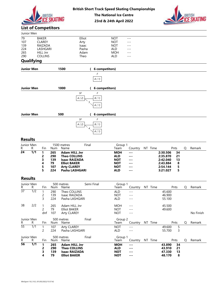



# The National Ice Centre

# List of Competitors

|                                                                  |                        | <b>BRITISH</b>                                                                     |                                              |                                    |                                                                                                                                    |            | <b>British Short Track Speed Skating Championships</b><br><b>The National Ice Centre</b><br>23rd & 24th April 2022 |                                                                                          |                                                                                                                                                           |  |                                                                      |                                       |   | BRITISH   |
|------------------------------------------------------------------|------------------------|------------------------------------------------------------------------------------|----------------------------------------------|------------------------------------|------------------------------------------------------------------------------------------------------------------------------------|------------|--------------------------------------------------------------------------------------------------------------------|------------------------------------------------------------------------------------------|-----------------------------------------------------------------------------------------------------------------------------------------------------------|--|----------------------------------------------------------------------|---------------------------------------|---|-----------|
| <b>List of Competitors</b>                                       |                        |                                                                                    |                                              |                                    |                                                                                                                                    |            |                                                                                                                    |                                                                                          |                                                                                                                                                           |  |                                                                      |                                       |   |           |
| Junior Men                                                       |                        |                                                                                    |                                              |                                    |                                                                                                                                    |            |                                                                                                                    |                                                                                          |                                                                                                                                                           |  |                                                                      |                                       |   |           |
| $\overline{79}$<br>107<br>139<br>224<br>265<br>290<br>Qualifying |                        | <b>BAKER</b><br><b>CLAREY</b><br>RAIZADA<br>LASHGARI<br>HILL Jnr<br><b>COLLINS</b> |                                              |                                    | Elliot<br>Arty<br>Isaac<br>Pasha<br>Adam<br>Theo                                                                                   |            |                                                                                                                    | <b>NOT</b><br><b>NOT</b><br><b>NOT</b><br>ALD<br><b>MOH</b><br>ALD                       | $- - -$<br>$---$<br>$---$<br>$- -$<br>$- -$<br>$- - -$                                                                                                    |  |                                                                      |                                       |   |           |
|                                                                  |                        |                                                                                    |                                              |                                    |                                                                                                                                    |            |                                                                                                                    |                                                                                          |                                                                                                                                                           |  |                                                                      |                                       |   |           |
| <b>Junior Men</b>                                                |                        |                                                                                    |                                              | 1500                               |                                                                                                                                    |            | 6 competitors)<br>F<br>$A$ ( $\sqrt{1}$                                                                            |                                                                                          |                                                                                                                                                           |  |                                                                      |                                       |   |           |
| <b>Junior Men</b>                                                |                        |                                                                                    |                                              | 1000                               |                                                                                                                                    |            | 6 competitors)                                                                                                     |                                                                                          |                                                                                                                                                           |  |                                                                      |                                       |   |           |
| <b>Junior Men</b>                                                |                        |                                                                                    |                                              | 500                                | SF<br>A(2)                                                                                                                         | 5          | F<br>B(1)<br>A(1)<br><b>6 competitors)</b>                                                                         |                                                                                          |                                                                                                                                                           |  |                                                                      |                                       |   |           |
| <b>Results</b>                                                   |                        |                                                                                    |                                              |                                    | SF<br>$A$ ( $2)$                                                                                                                   |            | F<br>B(1)<br>A(1)                                                                                                  |                                                                                          |                                                                                                                                                           |  |                                                                      |                                       |   |           |
| Junior Men                                                       |                        |                                                                                    |                                              | 1500 metres                        |                                                                                                                                    | Final      |                                                                                                                    | Group 1                                                                                  |                                                                                                                                                           |  |                                                                      |                                       |   |           |
| R<br>$\overline{24}$                                             | R.<br>$\overline{1/1}$ | Fin<br>$\mathbf{1}$<br>2<br>3<br>4<br>5<br>5                                       | Num<br>265<br>290<br>139<br>79<br>107<br>224 | Name                               | <b>Adam HILL Jnr</b><br><b>Theo COLLINS</b><br><b>Isaac RAIZADA</b><br><b>Elliot BAKER</b><br><b>Arty CLAREY</b><br>Pasha LASHGARI |            |                                                                                                                    | Team<br><b>MOH</b><br><b>ALD</b><br><b>NOT</b><br><b>NOT</b><br><b>NOT</b><br><b>ALD</b> | Country NT Time<br>$\cdots$<br>$\qquad \qquad \cdots$<br>$\sim$ $\sim$ $\sim$<br>$\qquad \qquad \cdots$<br>$\sim$ $\sim$ $\sim$<br>$\qquad \qquad \cdots$ |  | 2:30.506<br>2:35.870<br>2:42.040<br>2:43.884<br>2:54.144<br>3:21.027 | Pnts<br>34<br>21<br>13<br>8<br>5<br>5 | Q | Remark    |
| <b>Results</b>                                                   |                        |                                                                                    |                                              |                                    |                                                                                                                                    |            |                                                                                                                    |                                                                                          |                                                                                                                                                           |  |                                                                      |                                       |   |           |
| Junior Men                                                       |                        |                                                                                    |                                              | 500 metres                         |                                                                                                                                    | Semi Final |                                                                                                                    | Group 1                                                                                  |                                                                                                                                                           |  |                                                                      |                                       |   |           |
| R.<br>$\overline{37}$                                            | R.<br>$\overline{1/2}$ | Fin<br>$\mathbf{1}$<br>$\overline{c}$<br>3                                         | Num<br>290<br>139<br>224                     | Name                               | Theo COLLINS<br>Isaac RAIZADA<br>Pasha LASHGARI                                                                                    |            |                                                                                                                    | Team<br>ALD<br><b>NOT</b><br>ALD                                                         | Country NT Time<br>$\qquad \qquad - -$<br>$- - -$<br>$\sim$ $\sim$ $\sim$                                                                                 |  | 45.600<br>46.900<br>55.100                                           | Pnts                                  | Q | Remark    |
| 38                                                               | 2/2                    | $\mathbf{1}$<br>$\overline{c}$<br>dnf                                              | 265<br>79<br>107                             | <b>Elliot BAKER</b><br>Arty CLAREY | Adam HILL Jnr                                                                                                                      |            |                                                                                                                    | <b>MOH</b><br><b>NOT</b><br><b>NOT</b>                                                   | $---$<br>$\sim$ $\sim$ $\sim$<br>$---$                                                                                                                    |  | 45.500<br>49.600                                                     |                                       |   | No Finish |
| Junior Men                                                       |                        |                                                                                    |                                              | 500 metres                         |                                                                                                                                    | Final      |                                                                                                                    | Group 2                                                                                  |                                                                                                                                                           |  |                                                                      |                                       |   |           |
| R.<br>$\overline{55}$                                            | R.<br>$\overline{1/1}$ | Fin<br>$\mathbf{1}$<br>$\overline{c}$                                              | Num<br>107<br>224                            | Name<br>Arty CLAREY                | Pasha LASHGARI                                                                                                                     |            |                                                                                                                    | Team<br><b>NOT</b><br>ALD                                                                | Country NT Time<br>$  -$<br>$---$                                                                                                                         |  | 49.600<br>55.700                                                     | Pnts<br>$\sqrt{5}$<br>3               | Q | Remark    |
|                                                                  |                        |                                                                                    |                                              |                                    |                                                                                                                                    |            |                                                                                                                    |                                                                                          |                                                                                                                                                           |  |                                                                      |                                       |   |           |

|                  |                  |                               |                                       | $\begin{array}{c}\n\hline\n\end{array}$                                                                                            | A(1)       |                                                                                  |                                                                                                                                                                                                                                                                                                                                                                                                                                       |         |                                                                      |                               |   |           |
|------------------|------------------|-------------------------------|---------------------------------------|------------------------------------------------------------------------------------------------------------------------------------|------------|----------------------------------------------------------------------------------|---------------------------------------------------------------------------------------------------------------------------------------------------------------------------------------------------------------------------------------------------------------------------------------------------------------------------------------------------------------------------------------------------------------------------------------|---------|----------------------------------------------------------------------|-------------------------------|---|-----------|
| <b>Results</b>   |                  |                               |                                       |                                                                                                                                    |            |                                                                                  |                                                                                                                                                                                                                                                                                                                                                                                                                                       |         |                                                                      |                               |   |           |
| Junior Men<br>R. | R                | <b>Fin</b>                    | Num                                   | 1500 metres<br>Name                                                                                                                | Final      | Group 1<br>Team                                                                  | Country                                                                                                                                                                                                                                                                                                                                                                                                                               | NT Time |                                                                      | Pnts                          | Q | Remark    |
| $\overline{24}$  | $\overline{1/1}$ | 1<br>2<br>3<br>4<br>5<br>5    | 265<br>290<br>139<br>79<br>107<br>224 | <b>Adam HILL Jnr</b><br><b>Theo COLLINS</b><br><b>Isaac RAIZADA</b><br><b>Elliot BAKER</b><br><b>Arty CLAREY</b><br>Pasha LASHGARI |            | <b>MOH</b><br><b>ALD</b><br><b>NOT</b><br><b>NOT</b><br><b>NOT</b><br><b>ALD</b> | $\frac{1}{2} \frac{1}{2} \frac{1}{2} \frac{1}{2} \frac{1}{2} \frac{1}{2} \frac{1}{2} \frac{1}{2} \frac{1}{2} \frac{1}{2} \frac{1}{2} \frac{1}{2} \frac{1}{2} \frac{1}{2} \frac{1}{2} \frac{1}{2} \frac{1}{2} \frac{1}{2} \frac{1}{2} \frac{1}{2} \frac{1}{2} \frac{1}{2} \frac{1}{2} \frac{1}{2} \frac{1}{2} \frac{1}{2} \frac{1}{2} \frac{1}{2} \frac{1}{2} \frac{1}{2} \frac{1}{2} \frac{$<br>---<br>---<br>---<br>---<br>---       |         | 2:30.506<br>2:35.870<br>2:42.040<br>2:43.884<br>2:54.144<br>3:21.027 | 34<br>21<br>13<br>8<br>5<br>5 |   |           |
| <b>Results</b>   |                  |                               |                                       |                                                                                                                                    |            |                                                                                  |                                                                                                                                                                                                                                                                                                                                                                                                                                       |         |                                                                      |                               |   |           |
| Junior Men<br>R. | R                | Fin                           | Num                                   | 500 metres<br>Name                                                                                                                 | Semi Final | Group 1<br>Team                                                                  | Country                                                                                                                                                                                                                                                                                                                                                                                                                               | NT Time |                                                                      | Pnts                          | Q | Remark    |
| $\overline{37}$  | $\overline{1/2}$ | $\overline{c}$<br>3           | 290<br>139<br>224                     | Theo COLLINS<br>Isaac RAIZADA<br>Pasha LASHGARI                                                                                    |            | ALD<br><b>NOT</b><br><b>ALD</b>                                                  | $- - -$<br>$- - -$<br>$- - -$                                                                                                                                                                                                                                                                                                                                                                                                         |         | 45.600<br>46.900<br>55.100                                           |                               |   |           |
| 38               | 2/2              | $\overline{c}$<br>dnf         | 265<br>79<br>107                      | Adam HILL Jnr<br><b>Elliot BAKER</b><br><b>Arty CLAREY</b>                                                                         |            | <b>MOH</b><br><b>NOT</b><br><b>NOT</b>                                           | $- - -$<br>$\frac{1}{2}$<br>$  -$                                                                                                                                                                                                                                                                                                                                                                                                     |         | 45.500<br>49.600                                                     |                               |   | No Finish |
| Junior Men<br>R  | R                | Fin                           | Num                                   | 500 metres<br>Name                                                                                                                 | Final      | Group 2<br>Team                                                                  | Country NT Time                                                                                                                                                                                                                                                                                                                                                                                                                       |         |                                                                      | Pnts                          | Q | Remark    |
| $\overline{55}$  | 1/1              | $\overline{2}$                | 107<br>224                            | <b>Arty CLAREY</b><br>Pasha LASHGARI                                                                                               |            | <b>NOT</b><br>ALD                                                                | $  -$<br>$- - -$                                                                                                                                                                                                                                                                                                                                                                                                                      |         | 49.600<br>55.700                                                     | $\sqrt{5}$<br>3               |   |           |
| Junior Men<br>R. | R                | Fin                           | Num                                   | 500 metres<br>Name                                                                                                                 | Final      | Group 1<br>Team                                                                  | Country NT Time                                                                                                                                                                                                                                                                                                                                                                                                                       |         |                                                                      | Pnts                          | Q | Remark    |
| 56               | $\overline{1/1}$ | 1<br>$\overline{2}$<br>3<br>4 | 265<br>290<br>139<br>79               | <b>Adam HILL Jnr</b><br><b>Theo COLLINS</b><br><b>Isaac RAIZADA</b><br><b>Elliot BAKER</b>                                         |            | <b>MOH</b><br><b>ALD</b><br><b>NOT</b><br><b>NOT</b>                             | $\frac{1}{2} \frac{1}{2} \frac{1}{2} \frac{1}{2} \frac{1}{2} \frac{1}{2} \frac{1}{2} \frac{1}{2} \frac{1}{2} \frac{1}{2} \frac{1}{2} \frac{1}{2} \frac{1}{2} \frac{1}{2} \frac{1}{2} \frac{1}{2} \frac{1}{2} \frac{1}{2} \frac{1}{2} \frac{1}{2} \frac{1}{2} \frac{1}{2} \frac{1}{2} \frac{1}{2} \frac{1}{2} \frac{1}{2} \frac{1}{2} \frac{1}{2} \frac{1}{2} \frac{1}{2} \frac{1}{2} \frac{$<br>$\cdots$<br>$\cdots$<br>$\frac{1}{2}$ |         | 43.890<br>43.910<br>47.330<br>48.170                                 | 34<br>21<br>13<br>8           |   |           |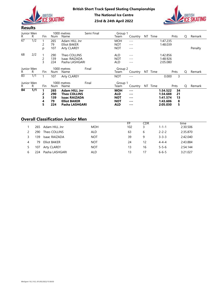



| R.              | Junior Men<br>R  | Fin                                   | Num                 | 1000 metres<br>Name                                                 | Semi Final | Group 1<br>Team                        | Country                                      |          | NT Time |                                  | Pnts           | Q                | Remark  |
|-----------------|------------------|---------------------------------------|---------------------|---------------------------------------------------------------------|------------|----------------------------------------|----------------------------------------------|----------|---------|----------------------------------|----------------|------------------|---------|
| 67              | $\overline{1/2}$ | $\mathbf{1}$<br>$\overline{c}$<br>p   | 265<br>79<br>107    | Adam HILL Jnr<br><b>Elliot BAKER</b><br><b>Arty CLAREY</b>          |            | <b>MOH</b><br><b>NOT</b><br><b>NOT</b> | $- - -$<br>$\qquad \qquad - -$<br>$---$      |          |         | 1:47.235<br>1:48.039             |                |                  | Penalty |
| 68              | 2/2              | $\overline{1}$<br>$\overline{c}$<br>3 | 290<br>139<br>224   | Theo COLLINS<br>Isaac RAIZADA<br>Pasha LASHGARI                     |            | ALD<br><b>NOT</b><br><b>ALD</b>        | $\frac{1}{2}$<br>$---$<br>$- -$              |          |         | 1:42.856<br>1:48.926<br>2:05.080 |                |                  |         |
| R               | Junior Men<br>R  | Fin                                   | Num                 | 1000 metres<br>Name                                                 | Final      | Group 2<br>Team                        | Country NT Time                              |          |         |                                  | Pnts           | Q                | Remark  |
| 83              | $\overline{1/1}$ | $\mathbf{1}$                          | 107                 | <b>Arty CLAREY</b>                                                  |            | <b>NOT</b>                             | $ -$                                         |          |         | 0.000                            | $\mathsf{3}$   |                  |         |
| R.              | Junior Men<br>R. | Fin                                   | Num                 | 1000 metres<br>Name                                                 | Final      | Group 1<br>Team                        | Country                                      |          | NT Time |                                  | Pnts           | Q                | Remark  |
| $\overline{84}$ | $\overline{1/1}$ | 1<br>2<br>3                           | 265<br>290<br>139   | <b>Adam HILL Jnr</b><br><b>Theo COLLINS</b><br><b>Isaac RAIZADA</b> |            | <b>MOH</b><br><b>ALD</b><br><b>NOT</b> | $\sim$ $\sim$ $\sim$<br>$\cdots$<br>$\cdots$ |          |         | 1:34.522<br>1:34.688<br>1:41.574 | 34<br>21<br>13 |                  |         |
|                 |                  | 4<br>5                                | 79<br>224           | <b>Elliot BAKER</b><br>Pasha LASHGARI                               |            | <b>NOT</b><br><b>ALD</b>               | $\cdots$<br>$\cdots$                         |          |         | 1:43.606<br>2:05.030             | 8<br>5         |                  |         |
|                 |                  |                                       |                     | <b>Overall Classification Junior Men</b>                            |            |                                        |                                              |          |         |                                  |                |                  |         |
| 1               | 265              |                                       | Adam HILL Jnr       |                                                                     | <b>MOH</b> |                                        | $\overline{FP}$<br>102                       | CDR<br>3 |         | $1 - 1 - 1$                      |                | time<br>2:30.506 |         |
| 2               | 290              |                                       | Theo COLLINS        |                                                                     | ALD        |                                        | 63                                           | 6        |         | $2 - 2 - 2$                      |                | 2:35.870         |         |
| 3               | 139              |                                       | Isaac RAIZADA       |                                                                     | <b>NOT</b> |                                        | 39                                           | 9        |         | $3 - 3 - 3$                      |                | 2:42.040         |         |
| 4               | 79               |                                       | <b>Elliot BAKER</b> |                                                                     | <b>NOT</b> |                                        | 24                                           | 12       |         | $4 - 4 - 4$                      |                | 2:43.884         |         |
| 5               | 107              |                                       | <b>Arty CLAREY</b>  |                                                                     | <b>NOT</b> |                                        | 13                                           | 16       |         | $5 - 5 - 6$                      |                | 2:54.144         |         |

# Overall Classification Junior Men

|   |     |                     |            | FP  | CDR |             | time     |
|---|-----|---------------------|------------|-----|-----|-------------|----------|
|   | 265 | Adam HILL Jnr       | <b>MOH</b> | 102 | ∍   | $1 - 1 - 1$ | 2:30.506 |
|   | 290 | Theo COLLINS        | <b>ALD</b> | 63  | b   | $2 - 2 - 2$ | 2:35.870 |
|   | 139 | Isaac RAIZADA       | <b>NOT</b> | 39  | 9   | $3 - 3 - 3$ | 2:42.040 |
| 4 | 79  | <b>Elliot BAKER</b> | <b>NOT</b> | 24  | 12  | $4 - 4 - 4$ | 2:43.884 |
| 5 | 107 | <b>Arty CLAREY</b>  | <b>NOT</b> | 13  | 16  | $5 - 5 - 6$ | 2:54.144 |
| b | 224 | Pasha LASHGARI      | ALD        | 13  |     | $6 - 6 - 5$ | 3:21.027 |
|   |     |                     |            |     |     |             |          |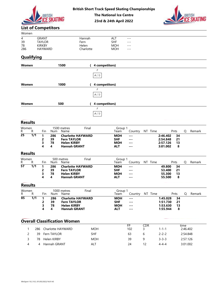





## List of Competitors

| Women |                |           |            |         |  |
|-------|----------------|-----------|------------|---------|--|
| 4     | GRANT          | Hannah    | ALT        | $---$   |  |
| 39    | <b>TAYLOR</b>  | Fern      | <b>SHF</b> | $- - -$ |  |
| 78    | KIRKBY         | Helen     | <b>MOH</b> | $- - -$ |  |
| 286   | <b>HAYWARD</b> | Charlotte | <b>MOH</b> | $- - -$ |  |

# **Qualifying**

|                               |                                                           |                      |                |                             |                                                                       | <b>British Short Track Speed Skating Championships</b>   |                                                      |                                                         |  |                                              |                     |                |
|-------------------------------|-----------------------------------------------------------|----------------------|----------------|-----------------------------|-----------------------------------------------------------------------|----------------------------------------------------------|------------------------------------------------------|---------------------------------------------------------|--|----------------------------------------------|---------------------|----------------|
|                               |                                                           | <b>BRITISH</b>       | <b>SKATING</b> |                             |                                                                       | <b>The National Ice Centre</b><br>23rd & 24th April 2022 |                                                      |                                                         |  |                                              |                     | <b>BRITISH</b> |
| <b>List of Competitors</b>    |                                                           |                      |                |                             |                                                                       |                                                          |                                                      |                                                         |  |                                              |                     |                |
| Women<br>4<br>39<br>78<br>286 | <b>GRANT</b><br><b>TAYLOR</b><br><b>KIRKBY</b><br>HAYWARD |                      |                |                             | Hannah<br>Fern<br>Helen<br>Charlotte                                  |                                                          | ALT<br><b>SHF</b><br><b>MOH</b><br><b>MOH</b>        | $- - -$<br>$---$<br>$- - -$<br>$---$                    |  |                                              |                     |                |
| <b>Qualifying</b>             |                                                           |                      |                |                             |                                                                       |                                                          |                                                      |                                                         |  |                                              |                     |                |
| Women                         |                                                           |                      |                | 1500                        |                                                                       | 4 competitors)                                           |                                                      |                                                         |  |                                              |                     |                |
|                               |                                                           |                      |                |                             |                                                                       | F<br>$A$ ( $\sqrt{1}$                                    |                                                      |                                                         |  |                                              |                     |                |
| Women                         |                                                           |                      |                | 1000                        |                                                                       | 4 competitors)                                           |                                                      |                                                         |  |                                              |                     |                |
|                               |                                                           |                      |                |                             |                                                                       | F<br>$A$ ( $\mathit{1)}$                                 |                                                      |                                                         |  |                                              |                     |                |
| Women                         |                                                           |                      | 500            |                             |                                                                       | 4 competitors)                                           |                                                      |                                                         |  |                                              |                     |                |
|                               |                                                           |                      |                |                             |                                                                       | F<br>$A$ ( $\it 1)$                                      |                                                      |                                                         |  |                                              |                     |                |
| <b>Results</b>                |                                                           |                      |                |                             |                                                                       |                                                          |                                                      |                                                         |  |                                              |                     |                |
| Women<br>R R                  |                                                           |                      |                | 1500 metres<br>Fin Num Name | Final                                                                 |                                                          | Group 1<br>Team <sup>'</sup>                         | Country NT Time Pnts                                    |  |                                              |                     | Q Remark       |
| $\overline{25}$<br>1/1        | $\blacksquare$<br>$\overline{2}$<br>3<br>4                | 286<br>39<br>78<br>4 |                | <b>Helen KIRBY</b>          | <b>Charlotte HAYWARD</b><br><b>Fern TAYLOR</b><br><b>Hannah GRANT</b> |                                                          | <b>MOH</b><br><b>SHF</b><br><b>MOH</b><br><b>ALT</b> | $\sim$ $\sim$ $\sim$<br>---<br>---<br>$\qquad \qquad -$ |  | 2:46.402<br>2:54.848<br>2:57.126<br>3:01.002 | 34<br>21<br>13<br>8 |                |
| <b>Results</b>                |                                                           |                      |                |                             |                                                                       |                                                          |                                                      |                                                         |  |                                              |                     |                |
| Women<br>R R<br>$57 - 1/1$    | $\overline{1}$                                            |                      |                | 500 metres<br>Fin Num Name  | Final<br>286 Charlotte HAYWARD                                        |                                                          | Group 1<br>Team                                      | Country NT Time                                         |  |                                              | Pnts                | Q Remark       |
|                               |                                                           |                      |                |                             |                                                                       |                                                          | <b>MOH</b>                                           | $\scriptstyle\cdots$                                    |  | 49.800 34                                    |                     |                |

#### Results

| <b>VVOIIIEII</b> |                  |                   |                             |                      | טטכו                                                                                        |       | $(4$ competitors)     |                                                      |                                         |          |         |                                              |                     |      |          |
|------------------|------------------|-------------------|-----------------------------|----------------------|---------------------------------------------------------------------------------------------|-------|-----------------------|------------------------------------------------------|-----------------------------------------|----------|---------|----------------------------------------------|---------------------|------|----------|
|                  |                  |                   |                             |                      |                                                                                             |       | F<br>$A$ ( $\sqrt{1}$ |                                                      |                                         |          |         |                                              |                     |      |          |
| Women            |                  |                   |                             |                      | 1000                                                                                        |       | 4 competitors)        |                                                      |                                         |          |         |                                              |                     |      |          |
|                  |                  |                   |                             |                      |                                                                                             |       | F<br>$A$ ( $\sqrt{1}$ |                                                      |                                         |          |         |                                              |                     |      |          |
| Women            |                  |                   |                             |                      | 500                                                                                         |       | 4 competitors)        |                                                      |                                         |          |         |                                              |                     |      |          |
|                  |                  |                   |                             |                      |                                                                                             |       | F<br>$A$ ( $\sqrt{1}$ |                                                      |                                         |          |         |                                              |                     |      |          |
| <b>Results</b>   |                  |                   |                             |                      |                                                                                             |       |                       |                                                      |                                         |          |         |                                              |                     |      |          |
| Women<br>R.      | R                |                   | Fin                         | Num                  | 1500 metres<br>Name                                                                         | Final |                       | Group 1<br>Team                                      | Country NT Time                         |          |         |                                              | Pnts                | Q    | Remark   |
| $\overline{25}$  | 1/1              | $\mathbf{1}$      | 2<br>3<br>4                 | 286<br>39<br>78<br>4 | <b>Charlotte HAYWARD</b><br><b>Fern TAYLOR</b><br><b>Helen KIRBY</b><br><b>Hannah GRANT</b> |       |                       | <b>MOH</b><br><b>SHF</b><br><b>MOH</b><br><b>ALT</b> | ---<br>---<br>---<br>---                |          |         | 2:46.402<br>2:54.848<br>2:57.126<br>3:01.002 | 34<br>21<br>13<br>8 |      |          |
| <b>Results</b>   |                  |                   |                             |                      |                                                                                             |       |                       |                                                      |                                         |          |         |                                              |                     |      |          |
| Women<br>R.      | R                |                   | Fin                         | Num                  | 500 metres<br>Name                                                                          | Final |                       | Group 1<br>Team                                      | Country                                 |          | NT Time |                                              | Pnts                | Q    | Remark   |
| 57               | $\overline{1/1}$ | $\mathbf{1}$<br>4 | 2<br>3                      | 286<br>39<br>78<br>4 | <b>Charlotte HAYWARD</b><br><b>Fern TAYLOR</b><br><b>Helen KIRBY</b><br><b>Hannah GRANT</b> |       |                       | <b>MOH</b><br><b>SHF</b><br><b>MOH</b><br><b>ALT</b> | ---<br>---<br>---<br>---                |          |         | 49.800<br>53.400<br>55.300<br>55.500         | 34<br>21<br>13<br>8 |      |          |
|                  | <b>Results</b>   |                   |                             |                      |                                                                                             |       |                       |                                                      |                                         |          |         |                                              |                     |      |          |
| Women<br>R.      | R                |                   | Fin                         | Num                  | 1000 metres<br>Name                                                                         | Final |                       | Group 1<br>Team                                      | Country NT Time                         |          |         |                                              | Pnts                | Q    | Remark   |
| 85               | 1/1              |                   | 1<br>$\mathbf{2}$<br>3<br>4 | 286<br>39<br>78<br>4 | <b>Charlotte HAYWARD</b><br><b>Fern TAYLOR</b><br><b>Helen KIRBY</b><br><b>Hannah GRANT</b> |       |                       | <b>MOH</b><br><b>SHF</b><br><b>MOH</b><br><b>ALT</b> | $\cdots$<br>$\cdots$<br>$- - -$<br>$--$ |          |         | 1:45.028<br>1:51.730<br>1:53.630<br>1:55.944 | 34<br>21<br>13<br>8 |      |          |
|                  |                  |                   |                             |                      | <b>Overall Classification Women</b>                                                         |       |                       |                                                      |                                         |          |         |                                              |                     |      |          |
|                  |                  |                   |                             |                      | 286 Charlotte HAYWARD                                                                       |       | <b>MOH</b>            |                                                      | FP<br>102                               | CDR<br>3 |         | $1 - 1 - 1$                                  |                     | time | 2:46.402 |
|                  | $\overline{c}$   |                   |                             | 39 Fern TAYLOR       |                                                                                             |       | SHF                   |                                                      | 63                                      | 6        |         | $2 - 2 - 2$                                  |                     |      | 2:54.848 |
|                  | 3                |                   |                             | 78 Helen KIRBY       |                                                                                             |       | <b>MOH</b>            |                                                      | 39                                      | 9        |         | $3 - 3 - 3$                                  |                     |      | 2:57.126 |
|                  | 4                |                   |                             | 4 Hannah GRANT       |                                                                                             |       | ALT                   |                                                      | 24                                      | 12       |         | $4 - 4 - 4$                                  |                     |      | 3:01.002 |

| Women<br>R. | D   | Fin | Num | 1000 metres<br>Finar<br>Name | Group<br><sup>r</sup> eam | Lountrv              | ΝT<br>Time | Pnts | Remark |
|-------------|-----|-----|-----|------------------------------|---------------------------|----------------------|------------|------|--------|
| 85          | 1/1 |     | 286 | <b>Charlotte HAYWARD</b>     | <b>MOH</b>                | $\sim$ $\sim$ $\sim$ | 1:45.028   | 34   |        |
|             |     |     | 39  | <b>Fern TAYLOR</b>           | <b>SHF</b>                | $\cdots$             | 1:51.730   | 21   |        |
|             |     |     | 78  | <b>Helen KIRBY</b>           | <b>MOH</b>                | $\sim$ $\sim$ $\sim$ | 1:53.630   | 13   |        |
|             |     | 4   | Д   | <b>Hannah GRANT</b>          | <b>ALT</b>                | $- - -$              | 1:55.944   | 8    |        |

# Overall Classification Women

|     |                   |            | FP  | CDR |             | time     |
|-----|-------------------|------------|-----|-----|-------------|----------|
| 286 | Charlotte HAYWARD | <b>MOH</b> | 102 |     | 1-1-1       | 2:46.402 |
| 39  | Fern TAYLOR       | <b>SHF</b> | 63  |     | $2 - 2 - 2$ | 2:54.848 |
| 78  | Helen KIRBY       | <b>MOH</b> | 39  |     | $3 - 3 - 3$ | 2:57.126 |
|     | Hannah GRANT      | <b>ALT</b> | 24  |     | $4 - 4 - 4$ | 3:01.002 |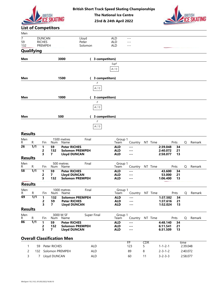





|                             |                       |                                                |                             |                                            |                           | <b>British Short Track Speed Skating Championships</b><br><b>The National Ice Centre</b><br>23rd & 24th April 2022 |                                        |                                                                      |          |                                    |                |                      | BRITISH |
|-----------------------------|-----------------------|------------------------------------------------|-----------------------------|--------------------------------------------|---------------------------|--------------------------------------------------------------------------------------------------------------------|----------------------------------------|----------------------------------------------------------------------|----------|------------------------------------|----------------|----------------------|---------|
|                             |                       |                                                | <b>List of Competitors</b>  |                                            |                           |                                                                                                                    |                                        |                                                                      |          |                                    |                |                      |         |
| Men                         |                       |                                                |                             |                                            |                           |                                                                                                                    |                                        |                                                                      |          |                                    |                |                      |         |
| $\overline{7}$<br>59<br>132 |                       | <b>DUNCAN</b><br><b>RICHES</b><br>PREMPEH      |                             |                                            | Lloyd<br>Peter<br>Solomon |                                                                                                                    | ALD<br><b>ALD</b><br><b>ALD</b>        | $  -$<br>$---$<br>$---$                                              |          |                                    |                |                      |         |
|                             | <b>Qualifying</b>     |                                                |                             |                                            |                           |                                                                                                                    |                                        |                                                                      |          |                                    |                |                      |         |
| Men                         |                       |                                                |                             | 3000                                       |                           | 3 competitors)                                                                                                     | SupF<br>A(1)                           |                                                                      |          |                                    |                |                      |         |
| Men                         |                       |                                                |                             | 1500                                       |                           | 3 competitors)                                                                                                     |                                        |                                                                      |          |                                    |                |                      |         |
|                             |                       |                                                |                             |                                            |                           | F<br>$A$ ( $\mathit{1)}$                                                                                           |                                        |                                                                      |          |                                    |                |                      |         |
| Men                         |                       |                                                |                             | 1000                                       |                           | 3 competitors)                                                                                                     |                                        |                                                                      |          |                                    |                |                      |         |
|                             |                       |                                                |                             |                                            |                           | F<br>$A$ ( $1)$                                                                                                    |                                        |                                                                      |          |                                    |                |                      |         |
| Men                         |                       |                                                |                             | 500                                        |                           | 3 competitors)                                                                                                     |                                        |                                                                      |          |                                    |                |                      |         |
|                             |                       |                                                |                             |                                            |                           | F<br>A(1)                                                                                                          |                                        |                                                                      |          |                                    |                |                      |         |
| <b>Results</b>              |                       |                                                |                             |                                            |                           |                                                                                                                    |                                        |                                                                      |          |                                    |                |                      |         |
| Men<br>R.                   | $\mathsf{R}$          | Fin                                            |                             | 1500 metres<br>Num Name                    | Final                     |                                                                                                                    | Group 1<br>Team                        | Country NT Time                                                      |          |                                    | Pnts           | Q                    | Remark  |
| $\overline{26}$             | 1/1                   | $\mathbf{1}$<br>$\overline{2}$<br>3            | 59<br>132<br>$\overline{7}$ | <b>Peter RICHES</b><br><b>Lloyd DUNCAN</b> | <b>Solomon PREMPEH</b>    |                                                                                                                    | <b>ALD</b><br><b>ALD</b><br><b>ALD</b> | $\sim$ $\sim$ $\sim$<br>$\sim$ $\sim$ $\sim$<br>$- - -$              |          | 2:39.048<br>2:40.072<br>2:58.077   | 34<br>21<br>13 |                      |         |
| <b>Results</b><br>Men       |                       |                                                |                             | 500 metres                                 | Final                     |                                                                                                                    | Group 1                                |                                                                      |          |                                    |                |                      |         |
| R.<br>$\overline{58}$       | R<br>$\overline{1/1}$ | Fin<br>$\mathbf{1}$                            | Num<br>59                   | Name<br><b>Peter RICHES</b>                |                           |                                                                                                                    | Team<br><b>ALD</b>                     | Country NT Time<br>$\sim$ $\sim$ $\sim$                              |          | 43.600                             | Pnts<br>34     | Q                    | Remark  |
|                             |                       | $\overline{2}$<br>3                            | $\overline{7}$<br>132       | <b>Lloyd DUNCAN</b>                        | <b>Solomon PREMPEH</b>    |                                                                                                                    | <b>ALD</b><br><b>ALD</b>               | $\sim$ $\sim$ $\sim$<br>$\cdots$                                     |          | 53.000<br>1:06.400                 | 21<br>13       |                      |         |
| <b>Results</b>              |                       |                                                |                             |                                            |                           |                                                                                                                    |                                        |                                                                      |          |                                    |                |                      |         |
| Men<br>R                    | $\mathsf{R}$          | Fin                                            | Num                         | 1000 metres<br>Name                        | Final                     |                                                                                                                    | Group 1<br>Team                        | Country NT Time                                                      |          |                                    | Pnts           | Q                    | Remark  |
| 69                          | $\overline{1/1}$      | $\mathbf{1}$<br>$\overline{2}$<br>$\mathbf{3}$ | 132<br>59<br>$\overline{7}$ | <b>Peter RICHES</b><br><b>Lloyd DUNCAN</b> | Solomon PREMPEH           |                                                                                                                    | <b>ALD</b><br><b>ALD</b><br><b>ALD</b> | $\sim$ $\sim$ $\sim$<br>$\cdots$<br>$\sim$ $\sim$ $\sim$             |          | 1:37.582<br>1:37.616<br>1:52.024   | 34<br>21<br>13 |                      |         |
| <b>Results</b>              |                       |                                                |                             |                                            |                           |                                                                                                                    |                                        |                                                                      |          |                                    |                |                      |         |
| Men<br>R.                   | ${\sf R}$             | Fin                                            | Num                         | 3000 M SF<br>Name                          | Super Final               |                                                                                                                    | Group 1<br>Team                        | Country NT Time                                                      |          |                                    | Pnts           | Q                    | Remark  |
| 86                          | $\overline{1/1}$      | $\mathbf{1}$<br>$\overline{\mathbf{c}}$<br>3   | 59<br>132<br>$\overline{7}$ | <b>Peter RICHES</b><br><b>Lloyd DUNCAN</b> | <b>Solomon PREMPEH</b>    |                                                                                                                    | <b>ALD</b><br><b>ALD</b><br><b>ALD</b> | $\sim$ $\sim$ $\sim$<br>$\sim$ $\sim$ $\sim$<br>$\sim$ $\sim$ $\sim$ |          | 4:48.140<br>6:11.541<br>6:31.509   | 34<br>21<br>13 |                      |         |
|                             |                       |                                                |                             | <b>Overall Classification Men</b>          |                           |                                                                                                                    |                                        |                                                                      |          |                                    |                |                      |         |
| $\mathbf{1}$                | 59                    |                                                | Peter RICHES                |                                            |                           | <b>ALD</b>                                                                                                         |                                        | FP<br>123                                                            | CDR<br>5 | $1 - 1 - 2 - 1$                    |                | time<br>2:39.048     |         |
| $\overline{c}$              | 3                     |                                                | 7 Lloyd DUNCAN              | 132 Solomon PREMPEH                        |                           | <b>ALD</b><br>ALD                                                                                                  |                                        | 89<br>60                                                             | 8<br>11  | $2 - 3 - 1 - 2$<br>$3 - 2 - 3 - 3$ |                | 2:40.072<br>2:58.077 |         |

| $\cdot$ | $\mathbf{L}$ | . | 1941 I L        | тчанне                            |             | 1 Calif    | COUNTRY              | $1 \times 1$ $1 \times 1 \times 1$ |                 | гнь | ◡        | $N$ c $n$ a $N$ |
|---------|--------------|---|-----------------|-----------------------------------|-------------|------------|----------------------|------------------------------------|-----------------|-----|----------|-----------------|
| 86      | 1/1          |   | 59              | <b>Peter RICHES</b>               |             | ALD        | $- - -$              |                                    | 4:48.140        | 34  |          |                 |
|         |              |   | 132             | <b>Solomon PREMPEH</b>            |             | <b>ALD</b> | $\sim$ $\sim$ $\sim$ |                                    | 6:11.541        | -21 |          |                 |
|         |              |   |                 | Lloyd DUNCAN                      |             | <b>ALD</b> | $\sim$ $\sim$ $\sim$ |                                    | 6:31.509        | 13  |          |                 |
|         |              |   |                 | <b>Overall Classification Men</b> |             |            |                      |                                    |                 |     |          |                 |
|         |              |   |                 |                                   |             |            | FP                   | CDR                                |                 |     | time     |                 |
|         | 59           |   | Peter RICHES    |                                   | ALD         |            | 123                  |                                    | $1 - 1 - 2 - 1$ |     | 2:39.048 |                 |
|         | 122.         |   | Solomon PREMPEH |                                   | <b>AI</b> D |            | ΩQ                   |                                    | $2 - 3 - 1 - 2$ |     | 2.10072  |                 |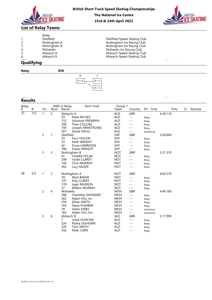



| 2<br>3<br>4<br>5 | Relay<br>Sheffield<br>Nottingham A<br>Nottingham B<br><b>Mohawks</b><br>Aldwych A | Sheffield Speed Skating Club<br>Nottingham Ice Racing Club<br>Nottingham Ice Racing Club<br>Mohawks Ice Racing Club<br>Aldwych Speed Skating Club |
|------------------|-----------------------------------------------------------------------------------|---------------------------------------------------------------------------------------------------------------------------------------------------|
| 6                | Aldwych B                                                                         | Aldwych Speed Skating Club                                                                                                                        |

# **Qualifying**

|       | 3 E IZ |          |  |
|-------|--------|----------|--|
| Relay | .      |          |  |
|       |        | --<br>-- |  |



#### **Results**

|                                         |                         | <b>BRITISH</b>                                                          | <b>SKATING</b>                                                    |                                                                                                                                                                                                               |                                                                                                                                                                                                                                                                                                                                                                           | <b>The National Ice Centre</b><br>23rd & 24th April 2022                                                                                                                                                                                                                                                                                                          |                                                                                                                                                                                                                                                                                                                                 |                                                                                                                                                                                                |                                                          |          | <b>BRITISH</b><br><b>IFF SKATING</b> |
|-----------------------------------------|-------------------------|-------------------------------------------------------------------------|-------------------------------------------------------------------|---------------------------------------------------------------------------------------------------------------------------------------------------------------------------------------------------------------|---------------------------------------------------------------------------------------------------------------------------------------------------------------------------------------------------------------------------------------------------------------------------------------------------------------------------------------------------------------------------|-------------------------------------------------------------------------------------------------------------------------------------------------------------------------------------------------------------------------------------------------------------------------------------------------------------------------------------------------------------------|---------------------------------------------------------------------------------------------------------------------------------------------------------------------------------------------------------------------------------------------------------------------------------------------------------------------------------|------------------------------------------------------------------------------------------------------------------------------------------------------------------------------------------------|----------------------------------------------------------|----------|--------------------------------------|
|                                         |                         |                                                                         | <b>List of Relay Teams</b>                                        |                                                                                                                                                                                                               |                                                                                                                                                                                                                                                                                                                                                                           |                                                                                                                                                                                                                                                                                                                                                                   |                                                                                                                                                                                                                                                                                                                                 |                                                                                                                                                                                                |                                                          |          |                                      |
| 1<br>$\overline{c}$<br>3<br>4<br>5<br>6 | Qualifying              | Relay<br>Sheffield                                                      | Nottingham A<br>Nottingham B<br>Mohawks<br>Aldwych A<br>Aldwych B |                                                                                                                                                                                                               |                                                                                                                                                                                                                                                                                                                                                                           | Sheffield Speed Skating Club<br>Nottingham Ice Racing Club<br>Nottingham Ice Racing Club<br>Mohawks Ice Racing Club<br>Aldwych Speed Skating Club<br>Aldwych Speed Skating Club                                                                                                                                                                                   |                                                                                                                                                                                                                                                                                                                                 |                                                                                                                                                                                                |                                                          |          |                                      |
|                                         |                         |                                                                         |                                                                   |                                                                                                                                                                                                               |                                                                                                                                                                                                                                                                                                                                                                           |                                                                                                                                                                                                                                                                                                                                                                   |                                                                                                                                                                                                                                                                                                                                 |                                                                                                                                                                                                |                                                          |          |                                      |
| Relay                                   |                         |                                                                         |                                                                   | R5K                                                                                                                                                                                                           | SF<br>F                                                                                                                                                                                                                                                                                                                                                                   |                                                                                                                                                                                                                                                                                                                                                                   |                                                                                                                                                                                                                                                                                                                                 |                                                                                                                                                                                                |                                                          |          |                                      |
|                                         |                         |                                                                         |                                                                   |                                                                                                                                                                                                               | $A$ ( $2)$<br>$B\ (\ 1)$<br>A(1)                                                                                                                                                                                                                                                                                                                                          |                                                                                                                                                                                                                                                                                                                                                                   |                                                                                                                                                                                                                                                                                                                                 |                                                                                                                                                                                                |                                                          |          |                                      |
| <b>Results</b>                          |                         |                                                                         |                                                                   |                                                                                                                                                                                                               |                                                                                                                                                                                                                                                                                                                                                                           |                                                                                                                                                                                                                                                                                                                                                                   |                                                                                                                                                                                                                                                                                                                                 |                                                                                                                                                                                                |                                                          |          |                                      |
| Relay<br>R.                             | R                       | Fin                                                                     | Num                                                               | 3000 m Relay<br>Name                                                                                                                                                                                          | Semi Final                                                                                                                                                                                                                                                                                                                                                                | Group 1<br>Team                                                                                                                                                                                                                                                                                                                                                   | Country                                                                                                                                                                                                                                                                                                                         | NT Time                                                                                                                                                                                        | Pnts                                                     | Q Remark |                                      |
| $\overline{27}$<br>28                   | $\overline{1/2}$<br>2/2 | $\mathbf{1}$<br>$\overline{c}$<br>3<br>$\overline{1}$<br>$\overline{2}$ | 5<br>$\overline{1}$<br>3<br>$\overline{2}$<br>4                   | Aldwych A<br>59<br>132<br>290<br>159<br>267<br>Sheffield<br>39<br>33<br>42<br>186<br>Nottingham B<br>41<br>299<br>140<br>262<br>Nottingham A<br>79<br>107<br>139<br>37<br>Mohawks<br>286<br>265<br>259<br>165 | Peter RICHES<br>Solomon PREMPEH<br>Theo COLLINS<br>Joseph ARMSTRONG<br>Dante DALILI<br>Fern TAYLOR<br>Keith WRIGHT<br>Fiona HARRISON<br>Frazer WRIGHT<br>Freddie POLAK<br><b>Violet CLAREY</b><br>Chris MURRAY<br>Lucy McKEE<br><b>Elliot BAKER</b><br>Arty CLAREY<br>Isaac RAIZADA<br>Willem MURRAY<br>Charlotte HAYWARD<br>Adam HILL Jnr<br>Ethan SMITH<br>Steve HUMBER | ALD<br><b>ALD</b><br><b>ALD</b><br><b>ALD</b><br><b>ALD</b><br><b>ALD</b><br><b>SHF</b><br><b>SHF</b><br><b>SHF</b><br><b>SHF</b><br><b>SHF</b><br><b>NOT</b><br><b>NOT</b><br><b>NOT</b><br><b>NOT</b><br><b>NOT</b><br><b>NOT</b><br><b>NOT</b><br><b>NOT</b><br><b>NOT</b><br><b>NOT</b><br><b>MOH</b><br><b>MOH</b><br><b>MOH</b><br><b>MOH</b><br><b>MOH</b> | <b>GBR</b><br>$\qquad \qquad - -$<br>$---$<br>$- - -$<br>$---$<br>$- - -$<br><b>GBR</b><br>$---$<br>$- - -$<br>$\cdots$<br>$- - -$<br><b>GBR</b><br>$\cdots$<br>$--\,$<br>$---$<br>$---$<br>GBR<br>$\sim$ $\sim$ $\sim$<br>$- - -$<br>$- - -$<br>$- - -$<br><b>GBR</b><br>$\sim$ $\sim$ $\sim$<br>$- - -$<br>$- - -$<br>$- - -$ | Relay<br>Relay<br>Relay<br>Relay<br>Substitute<br>Relay<br>Relay<br>Relay<br>Relay<br>Relay<br>Relay<br>Relay<br>Relay<br>Relay<br>Relay<br>Relay<br>Relay<br>Relay<br>Relay<br>Relay<br>Relay | 4:30.110<br>5:09.600<br>5:51.310<br>4:43.570<br>4:49.180 |          |                                      |
|                                         |                         | 3                                                                       | 6                                                                 | 78<br>162<br>Aldwych B<br>$\overline{7}$<br>224<br>220<br>242                                                                                                                                                 | Helen KIRBY<br>Adam HILL Snr<br>Lloyd DUNCAN<br>Pasha LASHGARI<br>Tom SMITH<br>Peter CARR                                                                                                                                                                                                                                                                                 | <b>MOH</b><br><b>MOH</b><br>ALD<br>ALD<br>ALD<br><b>ALD</b><br><b>ALD</b>                                                                                                                                                                                                                                                                                         | $\cdots$<br>$- - -$<br>GBR<br>$\qquad \qquad - -$<br>$- - -$<br>$- - -$<br>$\cdots$                                                                                                                                                                                                                                             | Substitute<br>Substitute<br>Relay<br>Relay<br>Relay<br>Relay                                                                                                                                   | 5:17.990                                                 |          |                                      |

British Short Track Speed Skating Championships<br>
The National Ice Centre<br>
23rd & 24th April 2022<br>
List of Relay<br>
<sup>Relay</sup><br>
<sup>Relay</sup><br>
<sup>2</sup> Sheffield Speed Skating Club<br>
<sup>2</sup> Sheffield Speed Skating Club<br>
<sup>2</sup> Nottingham Ice Raci Short Track Speed Skating Championships<br>
The National Ice Centre<br>
23rd & 24th April 2022<br>
Sheffield Speed Skating Club<br>
Nottingham Ice Racing Club<br>
Nottingham Ice Racing Club<br>
Mothaws ice Racing Club<br>
Aldwych Speed Skatin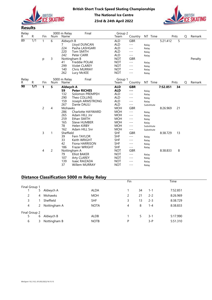



| Relay<br>R     | R                | Fin            | Num            | 3000 m Relay<br>Name     | Final                                             | Group 2<br>Team          | Country             |    | NT Time        |          | Pnts        |          | Q | Remark  |
|----------------|------------------|----------------|----------------|--------------------------|---------------------------------------------------|--------------------------|---------------------|----|----------------|----------|-------------|----------|---|---------|
| 89             | 1/1              | $\mathbf{1}$   | 6              | Aldwych B                |                                                   | <b>ALD</b>               | <b>GBR</b>          |    |                | 5:21.412 |             | 5        |   |         |
|                |                  |                |                | 7                        | Lloyd DUNCAN                                      | <b>ALD</b>               | $---$               |    | Relay          |          |             |          |   |         |
|                |                  |                |                | 224                      | Pasha LASHGARI                                    | ALD                      | $---$               |    | Relay          |          |             |          |   |         |
|                |                  |                |                | 220                      | Tom SMITH                                         | ALD                      | $---$               |    | Relay          |          |             |          |   |         |
|                |                  |                |                | 242                      | Peter CARR                                        | ALD                      | $---$               |    | Relay          |          |             |          |   |         |
|                |                  | p              | 3              |                          | Nottingham B                                      | <b>NOT</b>               | <b>GBR</b>          |    |                |          |             |          |   | Penalty |
|                |                  |                |                | 41                       | Freddie POLAK                                     | <b>NOT</b>               | $---$               |    | Relay          |          |             |          |   |         |
|                |                  |                |                | 299<br>140               | Violet CLAREY<br>Chris MURRAY                     | <b>NOT</b><br><b>NOT</b> | $---$<br>$---$      |    | Relay          |          |             |          |   |         |
|                |                  |                |                | 262                      | Lucy McKEE                                        | <b>NOT</b>               | $---$               |    | Relay<br>Relay |          |             |          |   |         |
|                |                  |                |                |                          |                                                   |                          |                     |    |                |          |             |          |   |         |
| Relay<br>R     | R                | Fin            |                | 5000 m Relay<br>Num Name | Final                                             | Group 1<br>Team          | Country             |    | NT Time        |          | Pnts        |          | Q | Remark  |
| 90             | $\overline{1/1}$ | $\mathbf{1}$   | 5              | Aldwych A                |                                                   | <b>ALD</b>               | <b>GBR</b>          |    |                | 7:52.851 |             | 34       |   |         |
|                |                  |                |                | 59                       | <b>Peter RICHES</b>                               | <b>ALD</b>               | ---                 |    | Relay          |          |             |          |   |         |
|                |                  |                |                | 132                      | Solomon PREMPEH                                   | ALD                      | $---$               |    | Relay          |          |             |          |   |         |
|                |                  |                |                | 290                      | Theo COLLINS                                      | ALD                      | $---$               |    | Relay          |          |             |          |   |         |
|                |                  |                |                | 159                      | Joseph ARMSTRONG                                  | <b>ALD</b>               | $---$               |    | Relay          |          |             |          |   |         |
|                |                  | $\overline{c}$ | 4              | 267<br>Mohawks           | Dante DALILI                                      | ALD<br><b>MOH</b>        | $---$<br><b>GBR</b> |    | Substitute     | 8:26.969 |             | 21       |   |         |
|                |                  |                |                | 286                      | Charlotte HAYWARD                                 | <b>MOH</b>               | $---$               |    | Relay          |          |             |          |   |         |
|                |                  |                |                | 265                      | Adam HILL Jnr                                     | <b>MOH</b>               | $---$               |    | Relay          |          |             |          |   |         |
|                |                  |                |                | 259                      | Ethan SMITH                                       | <b>MOH</b>               | ---                 |    | Relay          |          |             |          |   |         |
|                |                  |                |                | 165                      | Steve HUMBER                                      | <b>MOH</b>               | $---$               |    | Relay          |          |             |          |   |         |
|                |                  |                |                | 78                       | Helen KIRBY                                       | <b>MOH</b>               | $---$               |    | Substitute     |          |             |          |   |         |
|                |                  |                |                | 162                      | Adam HILL Snr                                     | <b>MOH</b>               | $---$               |    | Substitute     |          |             |          |   |         |
|                |                  | 3              | $\mathbf{1}$   | Sheffield                |                                                   | <b>SHF</b>               | <b>GBR</b>          |    |                | 8:38.729 |             | 13       |   |         |
|                |                  |                |                | 39<br>33                 | Fern TAYLOR                                       | <b>SHF</b><br><b>SHF</b> | $---$               |    | Relay          |          |             |          |   |         |
|                |                  |                |                | 42                       | Keith WRIGHT<br>Fiona HARRISON                    | <b>SHF</b>               | $---$<br>$---$      |    | Relay          |          |             |          |   |         |
|                |                  |                |                | 186                      | Frazer WRIGHT                                     | <b>SHF</b>               | $---$               |    | Relay          |          |             |          |   |         |
|                |                  | 4              | $\overline{c}$ |                          | Nottingham A                                      | <b>NOT</b>               | <b>GBR</b>          |    | Relay          | 8:38.833 |             | 8        |   |         |
|                |                  |                |                | 79                       | <b>Elliot BAKER</b>                               | <b>NOT</b>               | $---$               |    | Relay          |          |             |          |   |         |
|                |                  |                |                | 107                      | <b>Arty CLAREY</b>                                | <b>NOT</b>               | $---$               |    | Relay          |          |             |          |   |         |
|                |                  |                |                | 139                      | Isaac RAIZADA                                     | <b>NOT</b>               | $---$               |    | Relay          |          |             |          |   |         |
|                |                  |                |                | 37                       | Willem MURRAY                                     | <b>NOT</b>               | $---$               |    | Relay          |          |             |          |   |         |
|                |                  |                |                |                          |                                                   |                          |                     |    |                |          |             |          |   |         |
|                |                  |                |                |                          | <b>Distance Classification 5000 m Relay Relay</b> |                          |                     |    |                |          |             |          |   |         |
|                |                  |                |                |                          |                                                   |                          | Fin                 |    |                |          | <b>Time</b> |          |   |         |
| Final Group 1  |                  |                |                |                          |                                                   |                          |                     |    |                |          |             |          |   |         |
| $\overline{1}$ | 5                |                | Aldwych A      |                          | ALDA                                              |                          | $1 \quad$           |    | 34 1-1         |          |             | 7:52.851 |   |         |
| $\overline{c}$ | 4                |                | Mohawks        |                          | <b>MOH</b>                                        |                          | 2                   | 21 | $2 - 2$        |          |             | 8:26.969 |   |         |
| 3              | 1                |                | Sheffield      |                          | <b>SHF</b>                                        |                          | 3                   | 13 | $2 - 3$        |          |             | 8:38.729 |   |         |
| 4              |                  |                | 2 Nottingham A |                          | <b>NOTA</b>                                       |                          | 4                   | 8  | $1 - 4$        |          |             | 8:38.833 |   |         |
| Final Group 2  |                  |                |                |                          |                                                   |                          |                     |    |                |          |             |          |   |         |
| 5              | 6                |                | Aldwych B      |                          | ALDB                                              |                          | $\mathbf{1}$        | 5  | $3 - 1$        |          |             | 5:17.990 |   |         |

# Distance Classification 5000 m Relay Relay

|               |   |              |             | Fin |               |         | Time     |
|---------------|---|--------------|-------------|-----|---------------|---------|----------|
| Final Group 1 |   |              |             |     |               |         |          |
|               |   | Aldwych A    | <b>ALDA</b> |     | 34            | $1 - 1$ | 7:52.851 |
| 2             | 4 | Mohawks      | <b>MOH</b>  | 2   | 21            | $2 - 2$ | 8:26.969 |
| 3             |   | Sheffield    | <b>SHF</b>  | 3   | 13            | $2 - 3$ | 8:38.729 |
| 4             | 2 | Nottingham A | <b>NOTA</b> | 4   | 8             | $1 - 4$ | 8:38.833 |
| Final Group 2 |   |              |             |     |               |         |          |
| 5             | 6 | Aldwych B    | ALDB        |     | $\mathcal{D}$ | $3 - 1$ | 5:17.990 |
| 6             |   | Nottingham B | <b>NOTB</b> | Þ   |               | $3-P$   | 5:51.310 |
|               |   |              |             |     |               |         |          |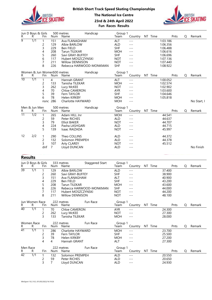

British Short Track Speed Skating Championships

4

|   |                         |                      |     |                                                                                                                                                                                                                                                                                                                                                                                                                                                                                            | <b>The National Ice Centre</b> |                          |         |            |          | BRITISH |        |
|---|-------------------------|----------------------|-----|--------------------------------------------------------------------------------------------------------------------------------------------------------------------------------------------------------------------------------------------------------------------------------------------------------------------------------------------------------------------------------------------------------------------------------------------------------------------------------------------|--------------------------------|--------------------------|---------|------------|----------|---------|--------|
|   |                         |                      |     |                                                                                                                                                                                                                                                                                                                                                                                                                                                                                            | 23rd & 24th April 2022         | <b>Fun Races Results</b> |         |            |          |         |        |
| R | Jun D Boys & Girls<br>К | Fin                  | Num | 500 metres<br>Name                                                                                                                                                                                                                                                                                                                                                                                                                                                                         | Handicap                       | Group 1<br>Team          | Country | Time<br>NT | Pnts     | O       | Remark |
| 9 | 1/1                     |                      | 151 | Ava FLANAGHAM                                                                                                                                                                                                                                                                                                                                                                                                                                                                              |                                | <b>ALT</b>               | ---     |            | 1:03.186 |         |        |
|   |                         |                      | 129 | Albie BARLOW                                                                                                                                                                                                                                                                                                                                                                                                                                                                               |                                | <b>ALD</b>               | ---     |            | 1:06.356 |         |        |
|   |                         | 3                    | 229 | Ben FIELD                                                                                                                                                                                                                                                                                                                                                                                                                                                                                  |                                | <b>SHF</b>               | ---     |            | 1:06.488 |         |        |
|   |                         | 4                    | 208 | <b>Tarun TILEKAR</b>                                                                                                                                                                                                                                                                                                                                                                                                                                                                       |                                | <b>MOH</b>               | $---$   |            | 1:06.616 |         |        |
|   |                         | 5                    | 260 | Savi GRAY-BUFFEY                                                                                                                                                                                                                                                                                                                                                                                                                                                                           |                                | <b>SHF</b>               | ---     |            | 1:06.696 |         |        |
|   |                         | 6                    | 117 | Hubert MOSZCZYNSKI                                                                                                                                                                                                                                                                                                                                                                                                                                                                         |                                | <b>NOT</b>               | $---$   |            | 1:07.136 |         |        |
|   |                         |                      | 211 | Willow DENNISON                                                                                                                                                                                                                                                                                                                                                                                                                                                                            |                                | <b>NOT</b>               | $---$   |            | 1:07.440 |         |        |
|   |                         | 8                    | 226 |                                                                                                                                                                                                                                                                                                                                                                                                                                                                                            | Rebecca HARWOOD-MONKMAN        | <b>SHF</b>               | ---     |            | 1:08.922 |         |        |
| . |                         | $\sim$ $\sim$ $\sim$ |     | $\blacksquare$ $\blacksquare$ $\blacksquare$ $\blacksquare$ $\blacksquare$ $\blacksquare$ $\blacksquare$ $\blacksquare$ $\blacksquare$ $\blacksquare$ $\blacksquare$ $\blacksquare$ $\blacksquare$ $\blacksquare$ $\blacksquare$ $\blacksquare$ $\blacksquare$ $\blacksquare$ $\blacksquare$ $\blacksquare$ $\blacksquare$ $\blacksquare$ $\blacksquare$ $\blacksquare$ $\blacksquare$ $\blacksquare$ $\blacksquare$ $\blacksquare$ $\blacksquare$ $\blacksquare$ $\blacksquare$ $\blacks$ |                                | $\sim$ $\sim$            |         |            |          |         |        |

|                 |                    | 7                           | 211                    | <b>Willow DENNISON</b>               | <b>NOT</b>      | $---$   |                 | 1:07.440 |             |             |
|-----------------|--------------------|-----------------------------|------------------------|--------------------------------------|-----------------|---------|-----------------|----------|-------------|-------------|
|                 |                    | 8                           | 226                    | Rebecca HARWOOD-MONKMAN              | <b>SHF</b>      | $---$   |                 | 1:08.922 |             |             |
|                 |                    | Women & Jun Women500 metres |                        | Handicap                             | Group 1         |         |                 |          |             |             |
| R.              | R.                 | Fin                         | Num                    | Name                                 | Team            | Country | NT Time         | Pnts     | Q           | Remark      |
| $\overline{10}$ | $\overline{1/1}$   |                             | 4                      | Hannah GRANT                         | ALT             | $---$   |                 | 1:00.052 |             |             |
|                 |                    | $\overline{c}$              | 133                    | Tanisha TILEKAR                      | <b>MOH</b>      | $---$   |                 | 1:02.574 |             |             |
|                 |                    | 3                           | 262                    | Lucy McKEE                           | <b>NOT</b>      | $---$   |                 | 1:02.902 |             |             |
|                 |                    | 4                           | 70                     | <b>Chloe CAMERON</b>                 | <b>AYR</b>      | $---$   |                 | 1:03.600 |             |             |
|                 |                    | 5                           | 39                     | Fern TAYLOR                          | <b>SHF</b>      | $---$   |                 | 1:04.646 |             |             |
|                 |                    | 6                           | 78                     | Helen KIRKBY                         | <b>MOH</b>      | $---$   |                 | 1:05.818 |             |             |
|                 |                    | nsnc                        | 286                    | Charlotte HAYWARD                    | <b>MOH</b>      | $---$   |                 |          |             | No Start, I |
| Men & Jun Men   |                    |                             | 500 metres<br>Handicap |                                      |                 |         |                 |          |             |             |
| R.              | R                  | Fin                         | Num                    | Name                                 | Group 1<br>Team | Country | NT Time         | Pnts     | $\mathsf Q$ | Remark      |
| $\overline{11}$ | $\overline{1/2}$   |                             | 265                    | Adam HILL Jnr                        | <b>MOH</b>      | $- - -$ |                 | 44.541   |             |             |
|                 |                    | $\overline{c}$              | 59                     | Peter RICHES                         | <b>ALD</b>      | $---$   |                 | 44.637   |             |             |
|                 |                    | 3                           | 79                     | <b>Elliot BAKER</b>                  | <b>NOT</b>      | $---$   |                 | 44.707   |             |             |
|                 |                    | 4                           | 224                    | Pasha LASHGARI                       | <b>ALD</b>      | $---$   |                 | 44.715   |             |             |
|                 |                    | 5                           | 139                    | Isaac RAIZADA                        | <b>NOT</b>      | $---$   |                 | 45.997   |             |             |
| 12              | 2/2                |                             | 290                    | Theo COLLINS                         | <b>ALD</b>      | $---$   |                 | 44.372   |             |             |
|                 |                    | $\overline{c}$              | 132                    | Solomon PREMPEH                      | <b>ALD</b>      | $---$   |                 | 44.378   |             |             |
|                 |                    | 3                           | 107                    | <b>Arty CLAREY</b>                   | <b>NOT</b>      | $---$   |                 | 45.512   |             |             |
|                 |                    | dnf                         | 7                      |                                      | <b>ALD</b>      | $---$   |                 |          |             | No Finish   |
|                 |                    |                             |                        | Lloyd DUNCAN                         |                 |         |                 |          |             |             |
|                 |                    |                             |                        |                                      |                 |         |                 |          |             |             |
|                 | <b>Results</b>     |                             |                        |                                      |                 |         |                 |          |             |             |
|                 | Jun D Boys & Girls |                             |                        | 333 metres<br><b>Staggered Start</b> | Group 1         |         |                 |          |             |             |
| R               | R.                 | Fin                         | Num                    | Name                                 | Team            | Country | NT Time         | Pnts     | Q           | Remark      |
| $\overline{39}$ | $\overline{1/1}$   |                             | 129                    | Albie BARLOW                         | <b>ALD</b>      | $- - -$ |                 | 37.400   |             |             |
|                 |                    | 2                           | 260                    | Savi GRAY-BUFFEY                     | <b>SHF</b>      | $- - -$ |                 | 38.900   |             |             |
|                 |                    | 3                           | 151                    | Ava FLANAGHAM                        | <b>ALT</b>      | $---$   |                 | 40.900   |             |             |
|                 |                    | $\Delta$                    | 229                    | Ben FIELD                            | <b>SHF</b>      | $- - -$ |                 | 43.200   |             |             |
|                 |                    | 5                           | 208                    | Tarun TILEKAR                        | <b>MOH</b>      | $---$   |                 | 43.600   |             |             |
|                 |                    | 6                           | 226                    | Rebecca HARWOOD-MONKMAN              | <b>SHF</b>      | $---$   |                 | 44.000   |             |             |
|                 |                    | $\overline{7}$              | 117                    | Hubert MOSZCZYNSKI                   | <b>NOT</b>      | $---$   |                 | 44.200   |             |             |
|                 |                    | 8                           | 211                    | Willow DENNISON                      | <b>NOT</b>      | ---     |                 | 48.100   |             |             |
|                 | Jun Women Race     |                             |                        | Fun Race<br>222 metres               | Group 1         |         |                 |          |             |             |
| R               | R                  | Fin                         |                        | Num Name                             | Team            |         | Country NT Time | Pnts     | Q           | Remark      |

|                                         | nsnc 286                                       | , J                                                  | Charlotte HAYWARD                                                                                                        |                         | <b>MOH</b>                                                                                            | ,,,,,,<br>$- - -$                                                            |                 |                                                                              |   |           |
|-----------------------------------------|------------------------------------------------|------------------------------------------------------|--------------------------------------------------------------------------------------------------------------------------|-------------------------|-------------------------------------------------------------------------------------------------------|------------------------------------------------------------------------------|-----------------|------------------------------------------------------------------------------|---|-----------|
| Men & Jun Men<br>R.<br>R                | Fin                                            | Num                                                  | 500 metres<br>Name                                                                                                       | Handicap                | Group 1<br>Team                                                                                       |                                                                              | Country NT Time | Pnts                                                                         | Q | Remark    |
| $\overline{11}$<br>$\overline{1/2}$     | 2<br>3<br>4<br>5                               | 265<br>59<br>79<br>224<br>139                        | Adam HILL Jnr<br>Peter RICHES<br><b>Elliot BAKER</b><br>Pasha LASHGARI<br>Isaac RAIZADA                                  |                         | <b>MOH</b><br>ALD<br><b>NOT</b><br>ALD<br><b>NOT</b>                                                  | $---$<br>$- - -$<br>$---$<br>$---$<br>$- - -$                                |                 | 44.541<br>44.637<br>44.707<br>44.715<br>45.997                               |   |           |
| 12<br>2/2                               | 2<br>3<br>dnf                                  | 290<br>132<br>107<br>7                               | Theo COLLINS<br>Solomon PREMPEH<br><b>Arty CLAREY</b><br>Lloyd DUNCAN                                                    |                         | ALD<br><b>ALD</b><br><b>NOT</b><br>ALD                                                                | $---$<br>$- - -$<br>$---$<br>$---$                                           |                 | 44.372<br>44.378<br>45.512                                                   |   | No Finish |
| <b>Results</b>                          |                                                |                                                      |                                                                                                                          |                         |                                                                                                       |                                                                              |                 |                                                                              |   |           |
| Jun D Boys & Girls<br>R<br>R            | Fin                                            | Num                                                  | 333 metres<br>Name                                                                                                       | <b>Staggered Start</b>  | Group 1<br>Team                                                                                       |                                                                              | Country NT Time | Pnts                                                                         | Q | Remark    |
| $\overline{39}$<br>$\overline{1/1}$     | $\mathbf 1$<br>2<br>3<br>6<br>8                | 129<br>260<br>151<br>229<br>208<br>226<br>117<br>211 | Albie BARLOW<br>Savi GRAY-BUFFEY<br>Ava FLANAGHAM<br>Ben FIELD<br>Tarun TILEKAR<br>Hubert MOSZCZYNSKI<br>Willow DENNISON | Rebecca HARWOOD-MONKMAN | ALD<br><b>SHF</b><br><b>ALT</b><br><b>SHF</b><br><b>MOH</b><br><b>SHF</b><br><b>NOT</b><br><b>NOT</b> | $- - -$<br>$- - -$<br>$---$<br>$---$<br>$---$<br>$---$<br>$- - -$<br>$- - -$ |                 | 37.400<br>38.900<br>40.900<br>43.200<br>43.600<br>44.000<br>44.200<br>48.100 |   |           |
| Jun Women Race<br>R<br>R                | Fin                                            | Num                                                  | 222 metres<br>Name                                                                                                       | Fun Race                | Group 1<br>Team                                                                                       |                                                                              | Country NT Time | Pnts                                                                         | Q | Remark    |
| 40<br>$\overline{1/1}$                  | 1<br>2<br>3                                    | 70<br>262<br>133                                     | Chloe CAMERON<br>Lucy McKEE<br>Tanisha TILEKAR                                                                           |                         | AYR<br><b>NOT</b><br><b>MOH</b>                                                                       | $\qquad \qquad - -$<br>$---$<br>$---$                                        |                 | 24.300<br>27.300<br>28.000                                                   |   |           |
| Women Race<br>R.<br>R                   | Fin                                            | Num                                                  | 222 metres<br>Name                                                                                                       | Fun Race                | Group 1<br>Team                                                                                       |                                                                              | Country NT Time | Pnts                                                                         | Q | Remark    |
| $\overline{41}$<br>1/1                  | -1<br>2<br>3<br>4                              | 286<br>39<br>78<br>4                                 | Charlotte HAYWARD<br>Fern TAYLOR<br>Helen KIRKBY<br>Hannah GRANT                                                         |                         | <b>MOH</b><br><b>SHF</b><br><b>MOH</b><br><b>ALT</b>                                                  | $- - -$<br>$---$<br>$---$<br>$- - -$                                         |                 | 23.700<br>25.500<br>27.200<br>27.300                                         |   |           |
| Men Race<br>R.<br>R                     | Fin                                            | Num                                                  | 222 metres<br>Name                                                                                                       | Fun Race                | Group 1<br>Team                                                                                       |                                                                              | Country NT Time | Pnts                                                                         | Q | Remark    |
| $\overline{42}$<br>$\overline{1/1}$     | $\mathbf{1}$<br>$\overline{c}$<br>$\mathsf{3}$ | 132<br>59<br>$\overline{7}$                          | Solomon PREMPEH<br>Peter RICHES<br>Lloyd DUNCAN                                                                          |                         | <b>ALD</b><br>ALD<br>ALD                                                                              | $\qquad \qquad - -$<br>$- - -$<br>$- - -$                                    |                 | 20.550<br>20.650<br>24.930                                                   |   |           |
| WinSport 10.2.10.2 /01/05/2022/16:19:26 |                                                |                                                      |                                                                                                                          |                         |                                                                                                       |                                                                              |                 |                                                                              |   |           |